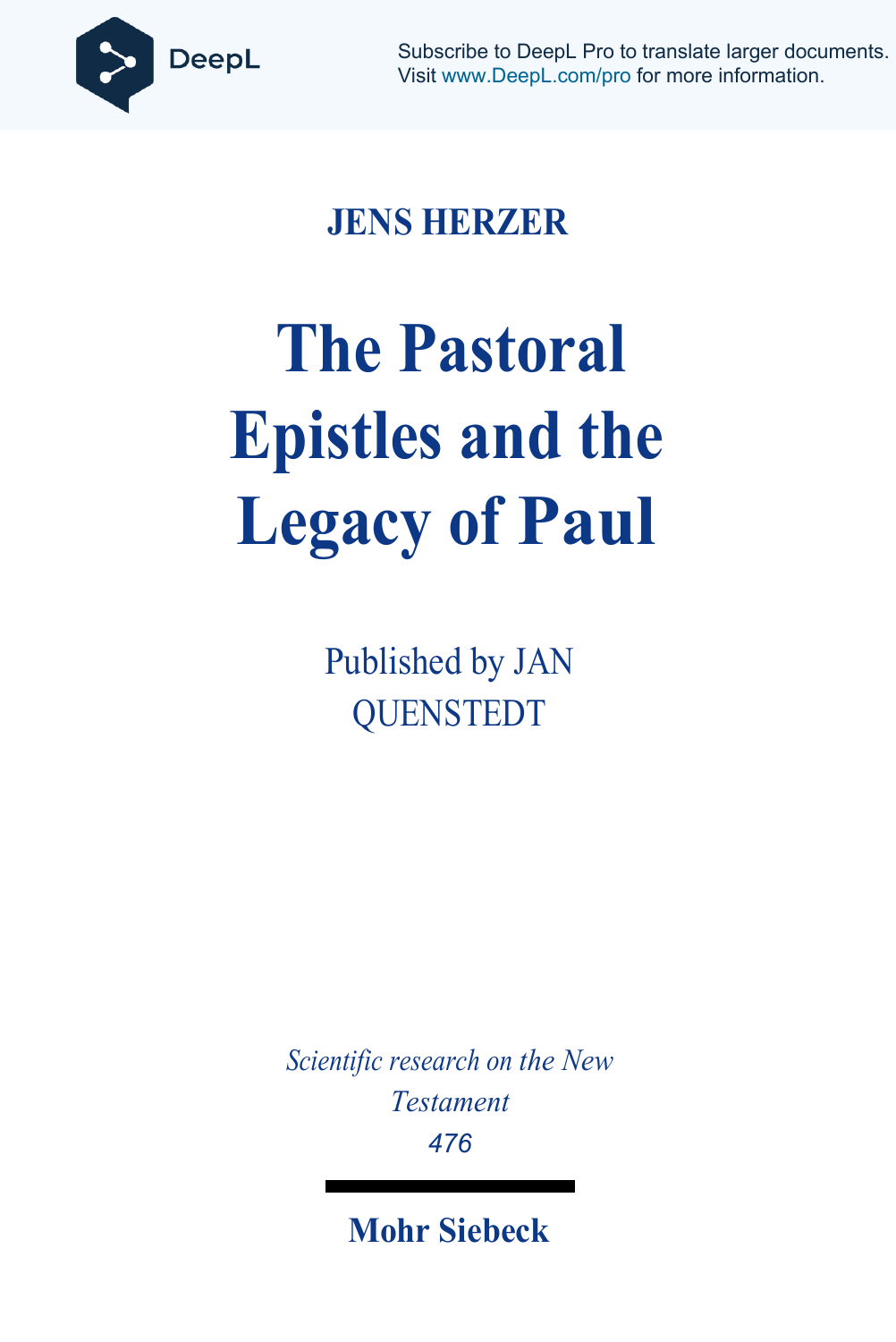

Subscribe to DeepL Pro to translate larger documents. Visit [www.DeepL.com/pro](https://www.deepl.com/pro?cta=edit-document&pdf=1) for more information.

## **JENS HERZER**

# **The Pastoral Epistles and the Legacy of Paul**

Published by JAN QUENSTEDT

*Scientific research on the New Testament 476*

**Mohr Siebeck**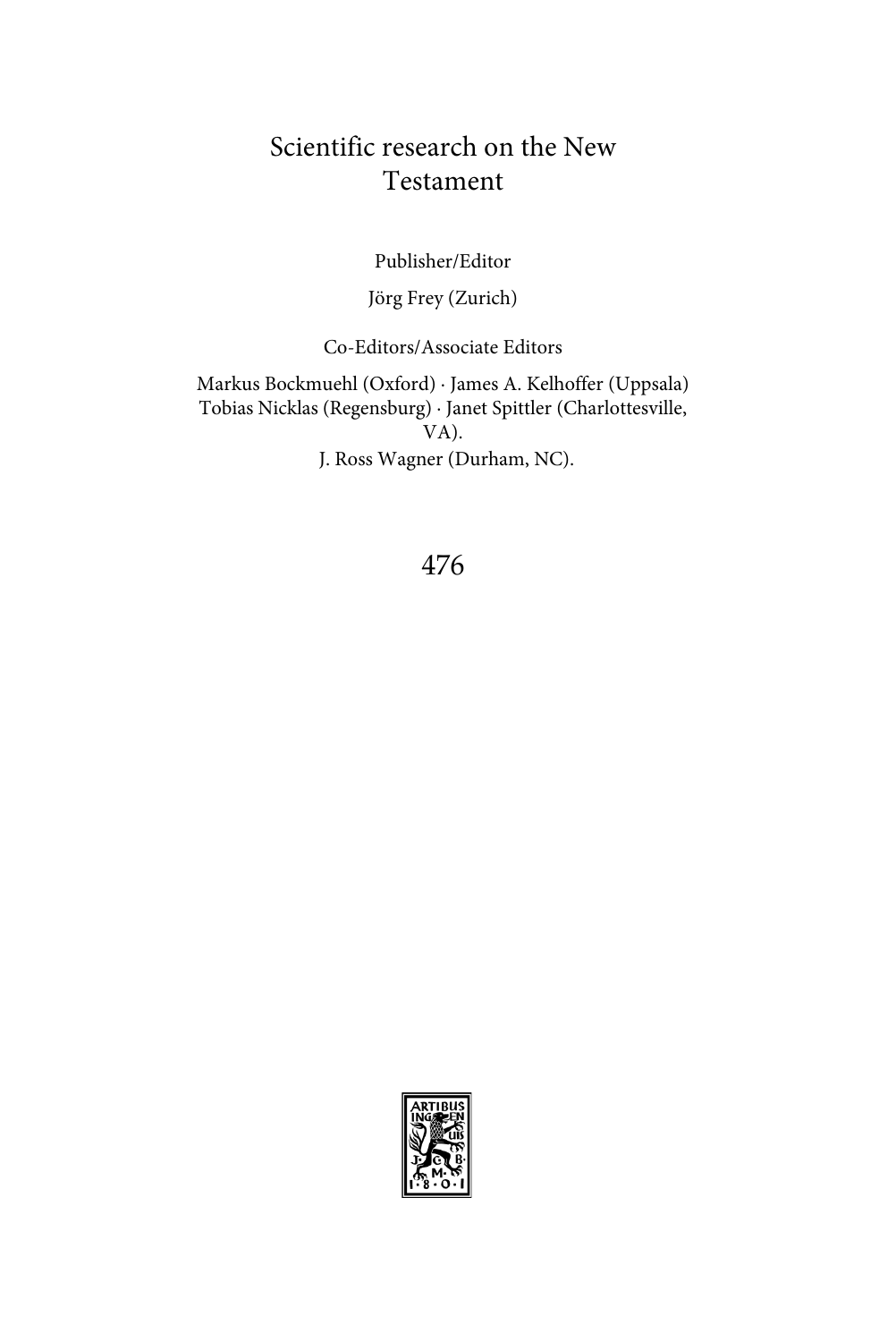## Scientific research on the New Testament

Publisher/Editor

Jörg Frey (Zurich)

Co-Editors/Associate Editors

Markus Bockmuehl (Oxford) ∙ James A. Kelhoffer (Uppsala) Tobias Nicklas (Regensburg) ∙ Janet Spittler (Charlottesville, VA). J. Ross Wagner (Durham, NC).

476

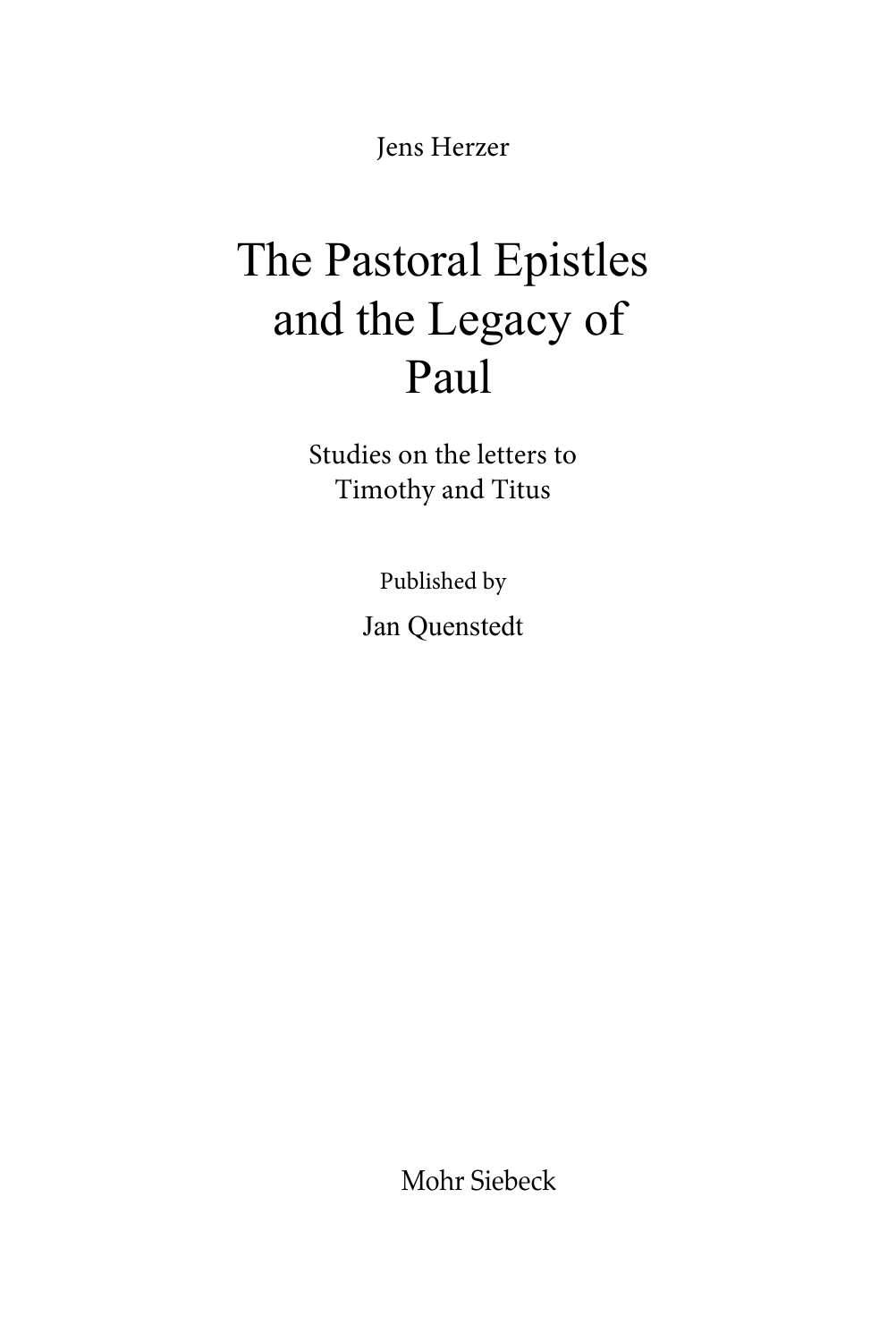Jens Herzer

## The Pastoral Epistles and the Legacy of Paul

Studies on the letters to Timothy and Titus

> Published by Jan Quenstedt

> > Mohr Siebeck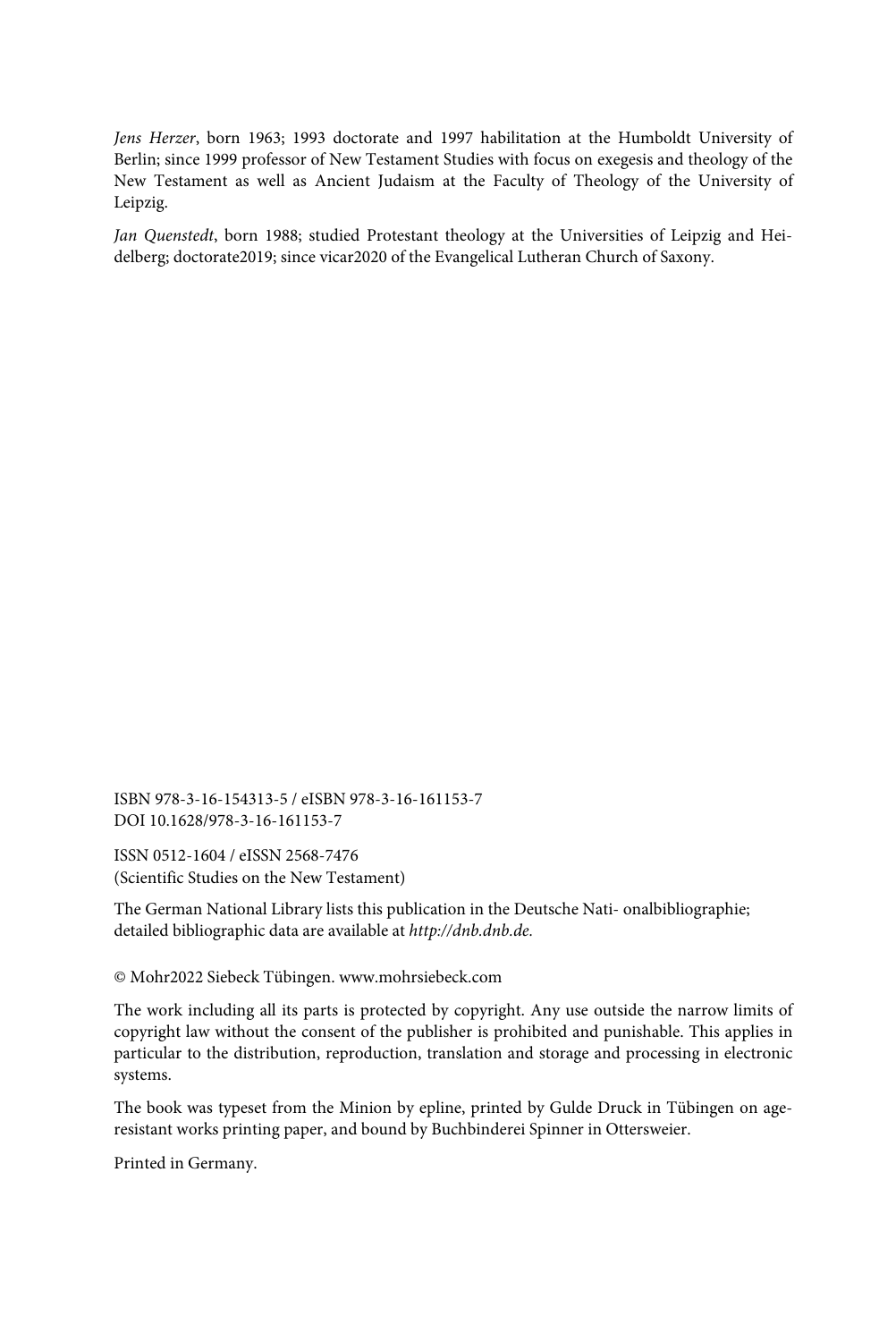*Jens Herzer*, born 1963; 1993 doctorate and 1997 habilitation at the Humboldt University of Berlin; since 1999 professor of New Testament Studies with focus on exegesis and theology of the New Testament as well as Ancient Judaism at the Faculty of Theology of the University of Leipzig.

*Jan Quenstedt*, born 1988; studied Protestant theology at the Universities of Leipzig and Heidelberg; doctorate2019; since vicar2020 of the Evangelical Lutheran Church of Saxony.

ISBN 978-3-16-154313-5 / eISBN 978-3-16-161153-7 DOI 10.1628/978-3-16-161153-7

ISSN 0512-1604 / eISSN 2568-7476 (Scientific Studies on the New Testament)

The German National Library lists this publication in the Deutsche Nati- onalbibliographie; detailed bibliographic data are available at *[http://dnb.dnb.de.](http://dnb.dnb.de/)*

© Mohr2022 Siebeck Tübingen[. www.mohrsiebeck.com](http://www.mohrsiebeck.com/)

The work including all its parts is protected by copyright. Any use outside the narrow limits of copyright law without the consent of the publisher is prohibited and punishable. This applies in particular to the distribution, reproduction, translation and storage and processing in electronic systems.

The book was typeset from the Minion by epline, printed by Gulde Druck in Tübingen on ageresistant works printing paper, and bound by Buchbinderei Spinner in Ottersweier.

Printed in Germany.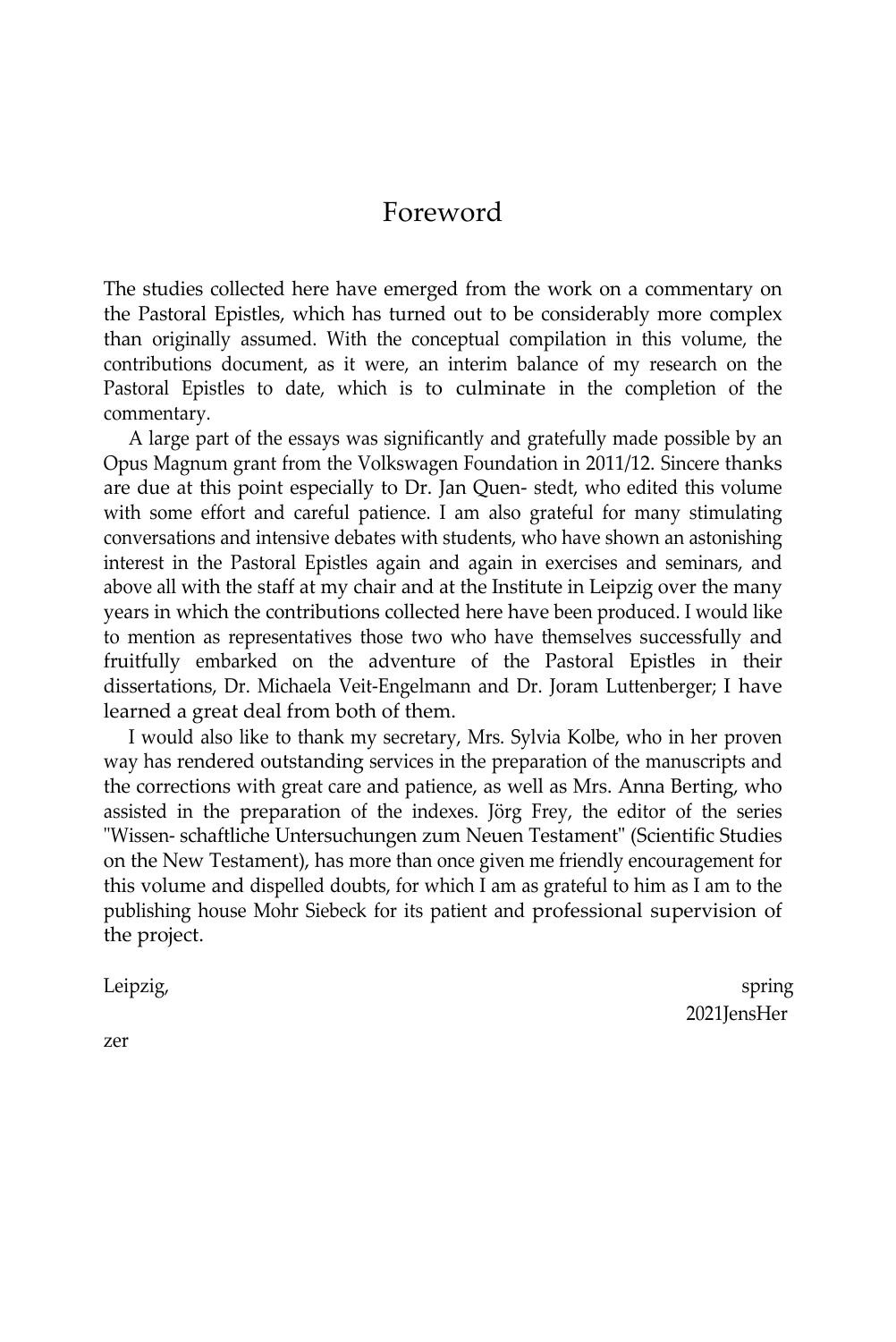#### Foreword

The studies collected here have emerged from the work on a commentary on the Pastoral Epistles, which has turned out to be considerably more complex than originally assumed. With the conceptual compilation in this volume, the contributions document, as it were, an interim balance of my research on the Pastoral Epistles to date, which is to culminate in the completion of the commentary.

A large part of the essays was significantly and gratefully made possible by an Opus Magnum grant from the Volkswagen Foundation in 2011/12. Sincere thanks are due at this point especially to Dr. Jan Quen- stedt, who edited this volume with some effort and careful patience. I am also grateful for many stimulating conversations and intensive debates with students, who have shown an astonishing interest in the Pastoral Epistles again and again in exercises and seminars, and above all with the staff at my chair and at the Institute in Leipzig over the many years in which the contributions collected here have been produced. I would like to mention as representatives those two who have themselves successfully and fruitfully embarked on the adventure of the Pastoral Epistles in their dissertations, Dr. Michaela Veit-Engelmann and Dr. Joram Luttenberger; I have learned a great deal from both of them.

I would also like to thank my secretary, Mrs. Sylvia Kolbe, who in her proven way has rendered outstanding services in the preparation of the manuscripts and the corrections with great care and patience, as well as Mrs. Anna Berting, who assisted in the preparation of the indexes. Jörg Frey, the editor of the series "Wissen- schaftliche Untersuchungen zum Neuen Testament" (Scientific Studies on the New Testament), has more than once given me friendly encouragement for this volume and dispelled doubts, for which I am as grateful to him as I am to the publishing house Mohr Siebeck for its patient and professional supervision of the project.

Leipzig, spring is a spring of the contract of the contract of the contract of the contract of the contract of 2021JensHer

zer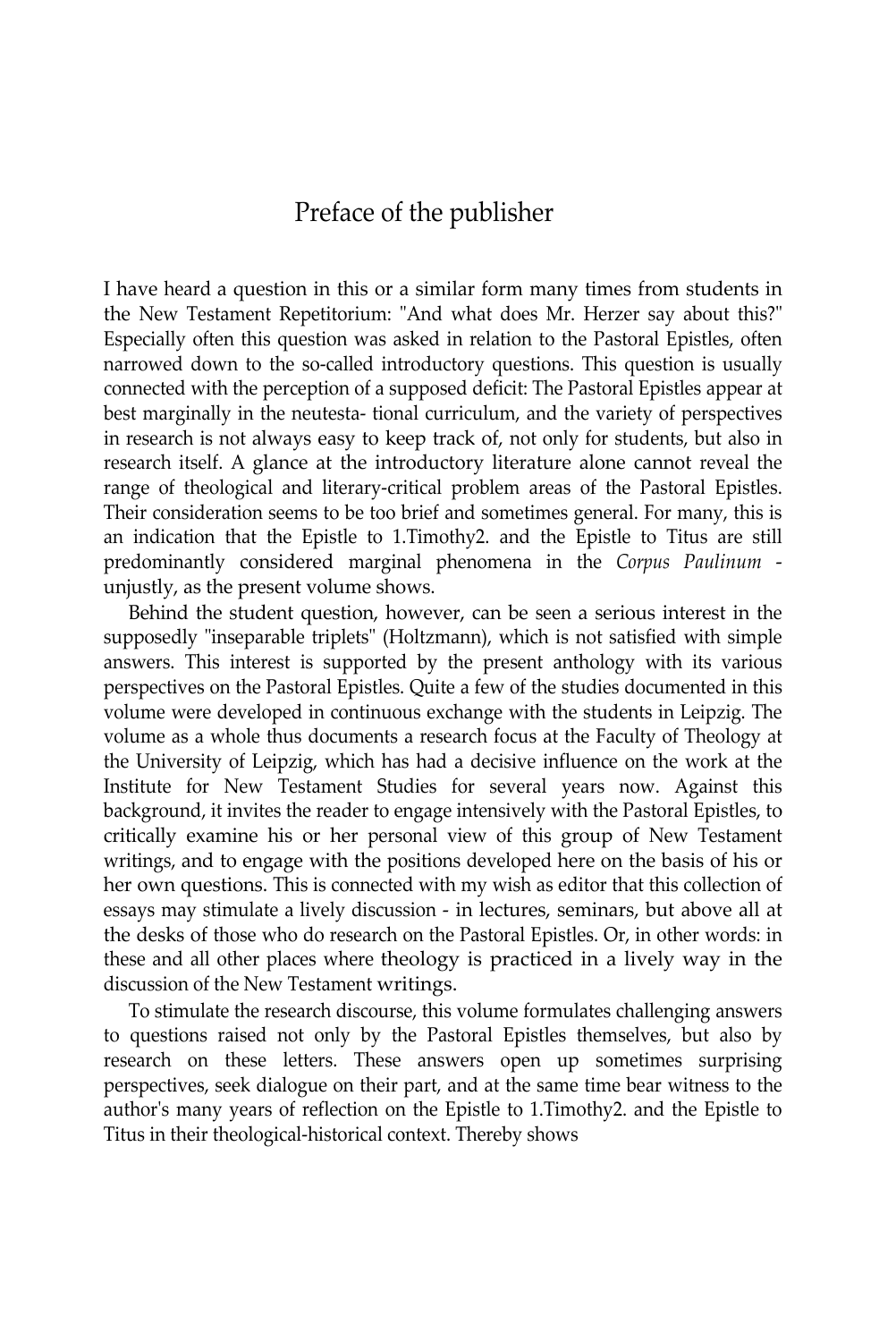#### Preface of the publisher

I have heard a question in this or a similar form many times from students in the New Testament Repetitorium: "And what does Mr. Herzer say about this?" Especially often this question was asked in relation to the Pastoral Epistles, often narrowed down to the so-called introductory questions. This question is usually connected with the perception of a supposed deficit: The Pastoral Epistles appear at best marginally in the neutesta- tional curriculum, and the variety of perspectives in research is not always easy to keep track of, not only for students, but also in research itself. A glance at the introductory literature alone cannot reveal the range of theological and literary-critical problem areas of the Pastoral Epistles. Their consideration seems to be too brief and sometimes general. For many, this is an indication that the Epistle to 1.Timothy2. and the Epistle to Titus are still predominantly considered marginal phenomena in the *Corpus Paulinum*  unjustly, as the present volume shows.

Behind the student question, however, can be seen a serious interest in the supposedly "inseparable triplets" (Holtzmann), which is not satisfied with simple answers. This interest is supported by the present anthology with its various perspectives on the Pastoral Epistles. Quite a few of the studies documented in this volume were developed in continuous exchange with the students in Leipzig. The volume as a whole thus documents a research focus at the Faculty of Theology at the University of Leipzig, which has had a decisive influence on the work at the Institute for New Testament Studies for several years now. Against this background, it invites the reader to engage intensively with the Pastoral Epistles, to critically examine his or her personal view of this group of New Testament writings, and to engage with the positions developed here on the basis of his or her own questions. This is connected with my wish as editor that this collection of essays may stimulate a lively discussion - in lectures, seminars, but above all at the desks of those who do research on the Pastoral Epistles. Or, in other words: in these and all other places where theology is practiced in a lively way in the discussion of the New Testament writings.

To stimulate the research discourse, this volume formulates challenging answers to questions raised not only by the Pastoral Epistles themselves, but also by research on these letters. These answers open up sometimes surprising perspectives, seek dialogue on their part, and at the same time bear witness to the author's many years of reflection on the Epistle to 1.Timothy2. and the Epistle to Titus in their theological-historical context. Thereby shows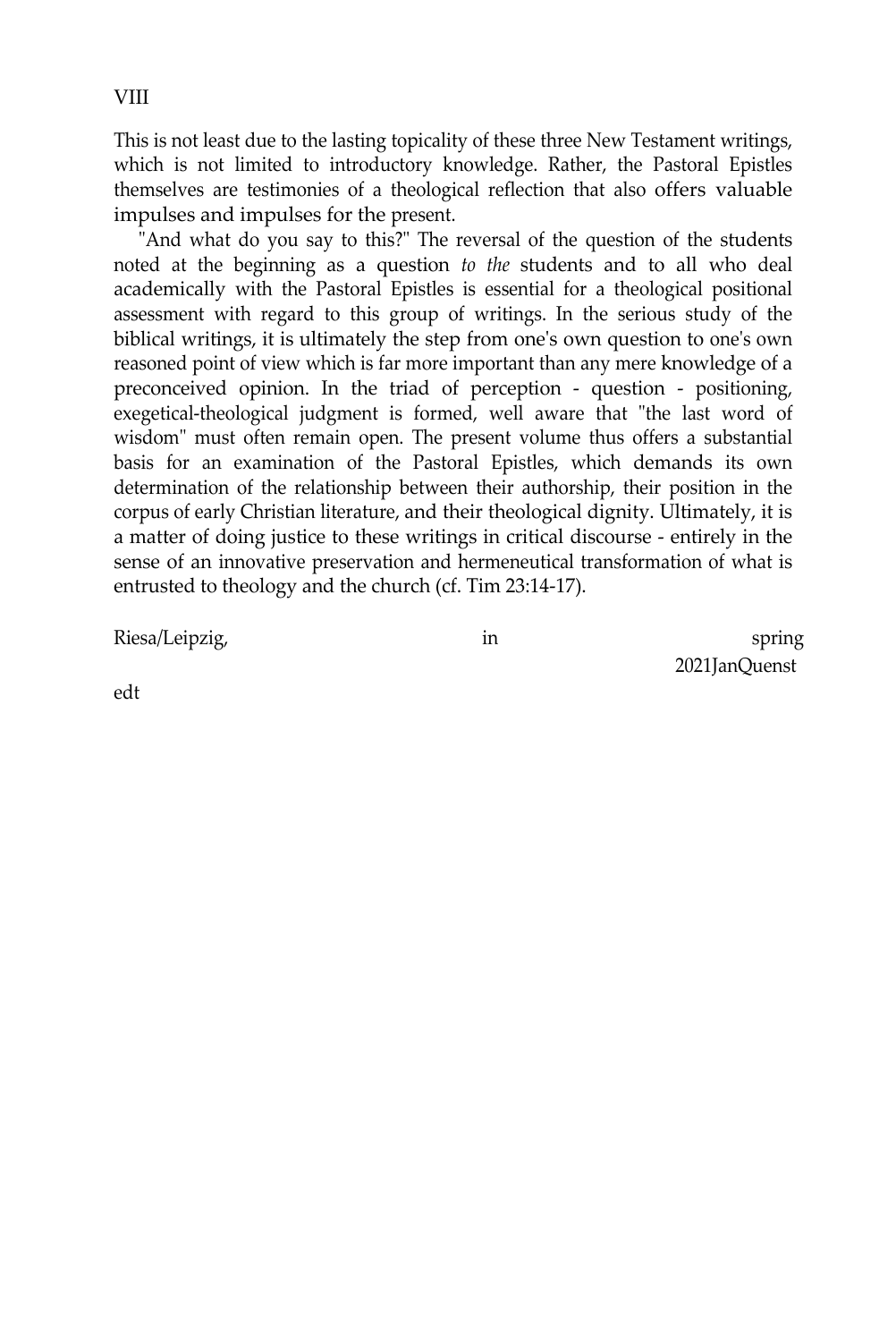This is not least due to the lasting topicality of these three New Testament writings, which is not limited to introductory knowledge. Rather, the Pastoral Epistles themselves are testimonies of a theological reflection that also offers valuable impulses and impulses for the present.

"And what do you say to this?" The reversal of the question of the students noted at the beginning as a question *to the* students and to all who deal academically with the Pastoral Epistles is essential for a theological positional assessment with regard to this group of writings. In the serious study of the biblical writings, it is ultimately the step from one's own question to one's own reasoned point of view which is far more important than any mere knowledge of a preconceived opinion. In the triad of perception - question - positioning, exegetical-theological judgment is formed, well aware that "the last word of wisdom" must often remain open. The present volume thus offers a substantial basis for an examination of the Pastoral Epistles, which demands its own determination of the relationship between their authorship, their position in the corpus of early Christian literature, and their theological dignity. Ultimately, it is a matter of doing justice to these writings in critical discourse - entirely in the sense of an innovative preservation and hermeneutical transformation of what is entrusted to theology and the church (cf. Tim 23:14-17).

Riesa/Leipzig, and the spring in the spring spring spring spring spring spring spring 2021JanQuenst

edt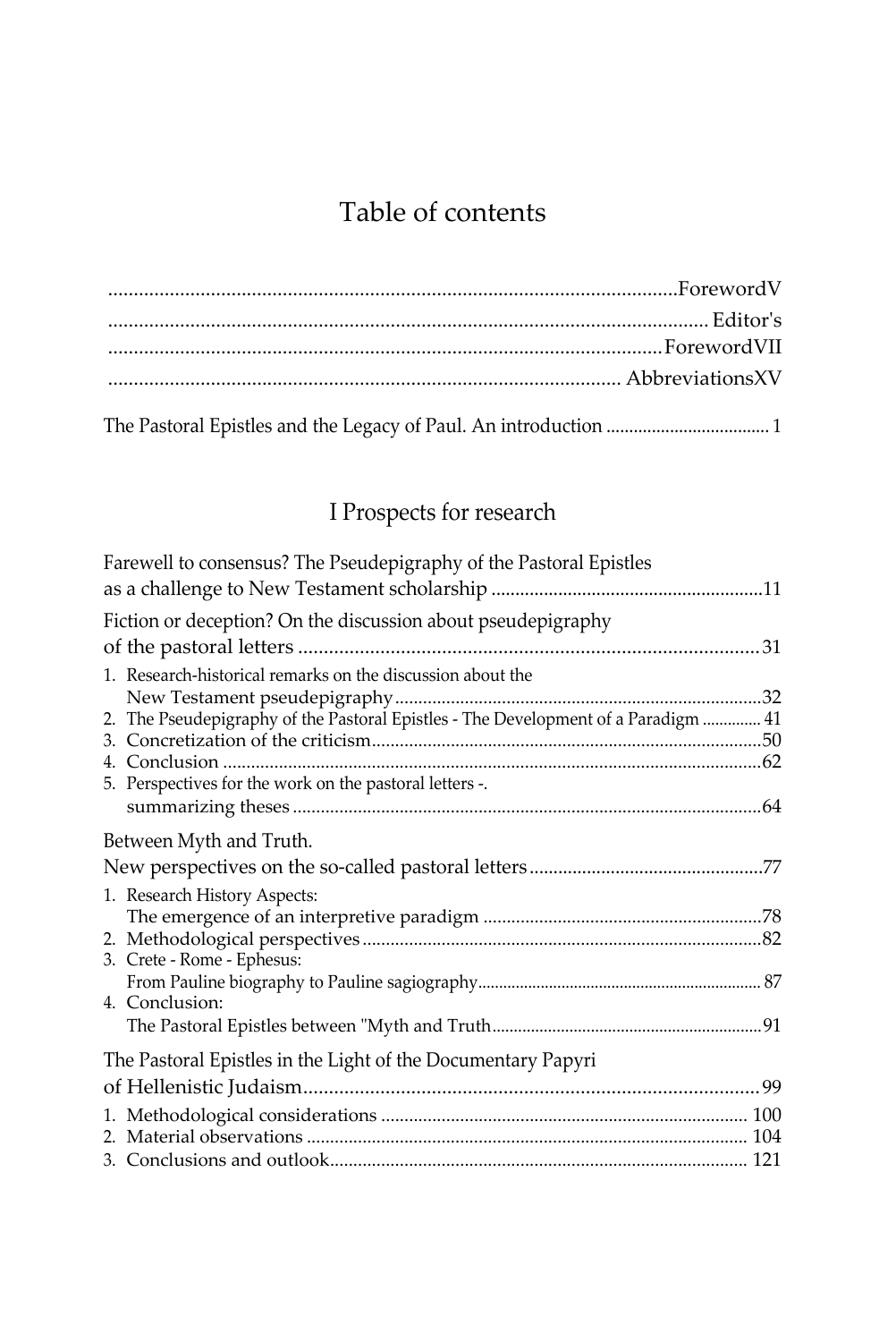## Table of contents

## I Prospects for research

| Farewell to consensus? The Pseudepigraphy of the Pastoral Epistles                                                                                     |  |
|--------------------------------------------------------------------------------------------------------------------------------------------------------|--|
|                                                                                                                                                        |  |
| Fiction or deception? On the discussion about pseudepigraphy                                                                                           |  |
|                                                                                                                                                        |  |
| 1. Research-historical remarks on the discussion about the<br>2. The Pseudepigraphy of the Pastoral Epistles - The Development of a Paradigm  41<br>3. |  |
| 5. Perspectives for the work on the pastoral letters -.                                                                                                |  |
|                                                                                                                                                        |  |
| Between Myth and Truth.                                                                                                                                |  |
|                                                                                                                                                        |  |
| 1. Research History Aspects:                                                                                                                           |  |
|                                                                                                                                                        |  |
| 3. Crete - Rome - Ephesus:                                                                                                                             |  |
|                                                                                                                                                        |  |
| 4. Conclusion:                                                                                                                                         |  |
|                                                                                                                                                        |  |
| The Pastoral Epistles in the Light of the Documentary Papyri                                                                                           |  |
|                                                                                                                                                        |  |
|                                                                                                                                                        |  |
|                                                                                                                                                        |  |
|                                                                                                                                                        |  |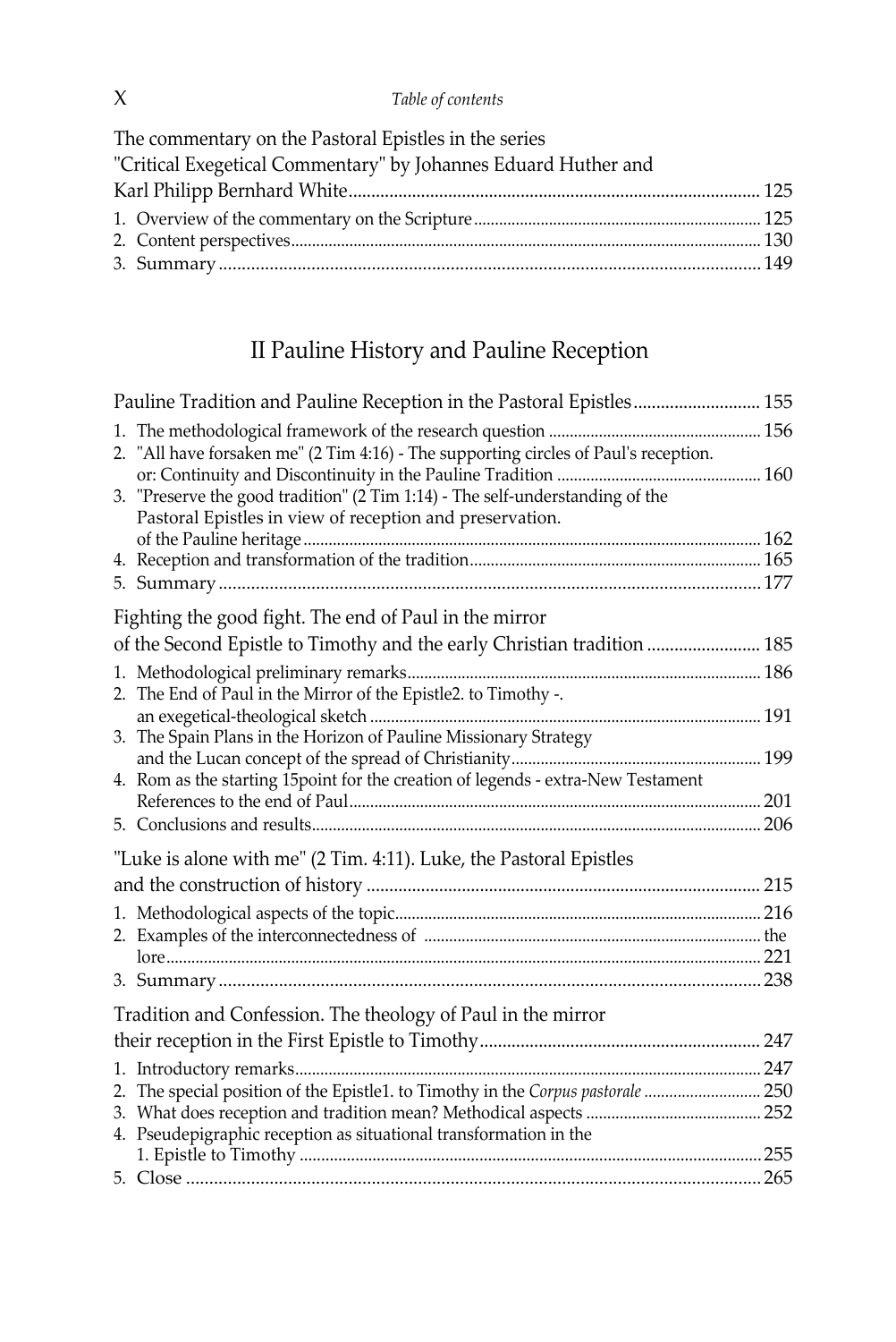The commentary on the Pastoral Epistles in the series "Critical Exegetical Commentary" by Johannes Eduard Huther and Karl Philipp Bernhard White........................................................................................... 125 1. Overview of the commentary on the Scripture ..................................................................... 125 2. Content perspectives................................................................................................................. 130 3. Summary..................................................................................................................... 149

### II Pauline History and Pauline Reception

| Pauline Tradition and Pauline Reception in the Pastoral Epistles 155                                                                      |  |
|-------------------------------------------------------------------------------------------------------------------------------------------|--|
| 2. "All have forsaken me" (2 Tim 4:16) - The supporting circles of Paul's reception.                                                      |  |
| 3. "Preserve the good tradition" (2 Tim 1:14) - The self-understanding of the<br>Pastoral Epistles in view of reception and preservation. |  |
|                                                                                                                                           |  |
|                                                                                                                                           |  |
|                                                                                                                                           |  |
| Fighting the good fight. The end of Paul in the mirror                                                                                    |  |
| of the Second Epistle to Timothy and the early Christian tradition  185                                                                   |  |
|                                                                                                                                           |  |
| 2. The End of Paul in the Mirror of the Epistle2. to Timothy -.                                                                           |  |
|                                                                                                                                           |  |
| 3. The Spain Plans in the Horizon of Pauline Missionary Strategy                                                                          |  |
|                                                                                                                                           |  |
| 4. Rom as the starting 15point for the creation of legends - extra-New Testament                                                          |  |
|                                                                                                                                           |  |
|                                                                                                                                           |  |
| "Luke is alone with me" (2 Tim. 4:11). Luke, the Pastoral Epistles                                                                        |  |
|                                                                                                                                           |  |
|                                                                                                                                           |  |
|                                                                                                                                           |  |
|                                                                                                                                           |  |
|                                                                                                                                           |  |
| Tradition and Confession. The theology of Paul in the mirror                                                                              |  |
|                                                                                                                                           |  |
|                                                                                                                                           |  |
| 2. The special position of the Epistle1. to Timothy in the Corpus pastorale  250                                                          |  |
|                                                                                                                                           |  |
| 4. Pseudepigraphic reception as situational transformation in the                                                                         |  |
|                                                                                                                                           |  |
|                                                                                                                                           |  |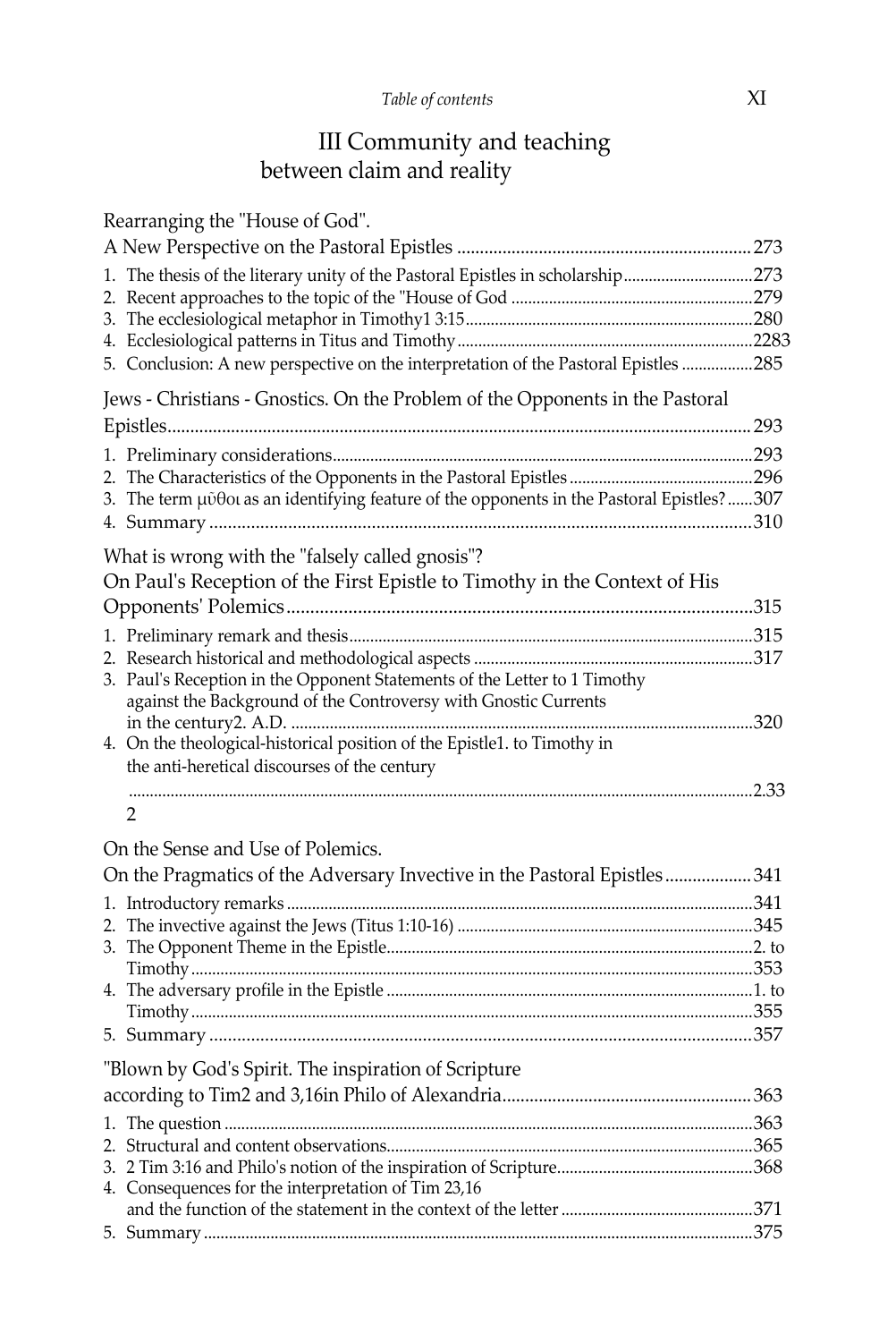#### III Community and teaching between claim and reality

| Rearranging the "House of God".                                                           |  |
|-------------------------------------------------------------------------------------------|--|
|                                                                                           |  |
| 1. The thesis of the literary unity of the Pastoral Epistles in scholarship273            |  |
|                                                                                           |  |
|                                                                                           |  |
| 5. Conclusion: A new perspective on the interpretation of the Pastoral Epistles 285       |  |
| Jews - Christians - Gnostics. On the Problem of the Opponents in the Pastoral             |  |
|                                                                                           |  |
|                                                                                           |  |
| 3. The term μύθοι as an identifying feature of the opponents in the Pastoral Epistles?307 |  |
|                                                                                           |  |
|                                                                                           |  |
| What is wrong with the "falsely called gnosis"?                                           |  |
| On Paul's Reception of the First Epistle to Timothy in the Context of His                 |  |
|                                                                                           |  |
|                                                                                           |  |
|                                                                                           |  |
| 3. Paul's Reception in the Opponent Statements of the Letter to 1 Timothy                 |  |
| against the Background of the Controversy with Gnostic Currents                           |  |
| 4. On the theological-historical position of the Epistle1. to Timothy in                  |  |
| the anti-heretical discourses of the century                                              |  |
|                                                                                           |  |
| 2                                                                                         |  |
| On the Sense and Use of Polemics.                                                         |  |
| On the Pragmatics of the Adversary Invective in the Pastoral Epistles341                  |  |
|                                                                                           |  |
|                                                                                           |  |
|                                                                                           |  |
|                                                                                           |  |
|                                                                                           |  |
|                                                                                           |  |
|                                                                                           |  |
| "Blown by God's Spirit. The inspiration of Scripture                                      |  |
|                                                                                           |  |
|                                                                                           |  |
|                                                                                           |  |
|                                                                                           |  |
| 4. Consequences for the interpretation of Tim 23,16                                       |  |
|                                                                                           |  |
|                                                                                           |  |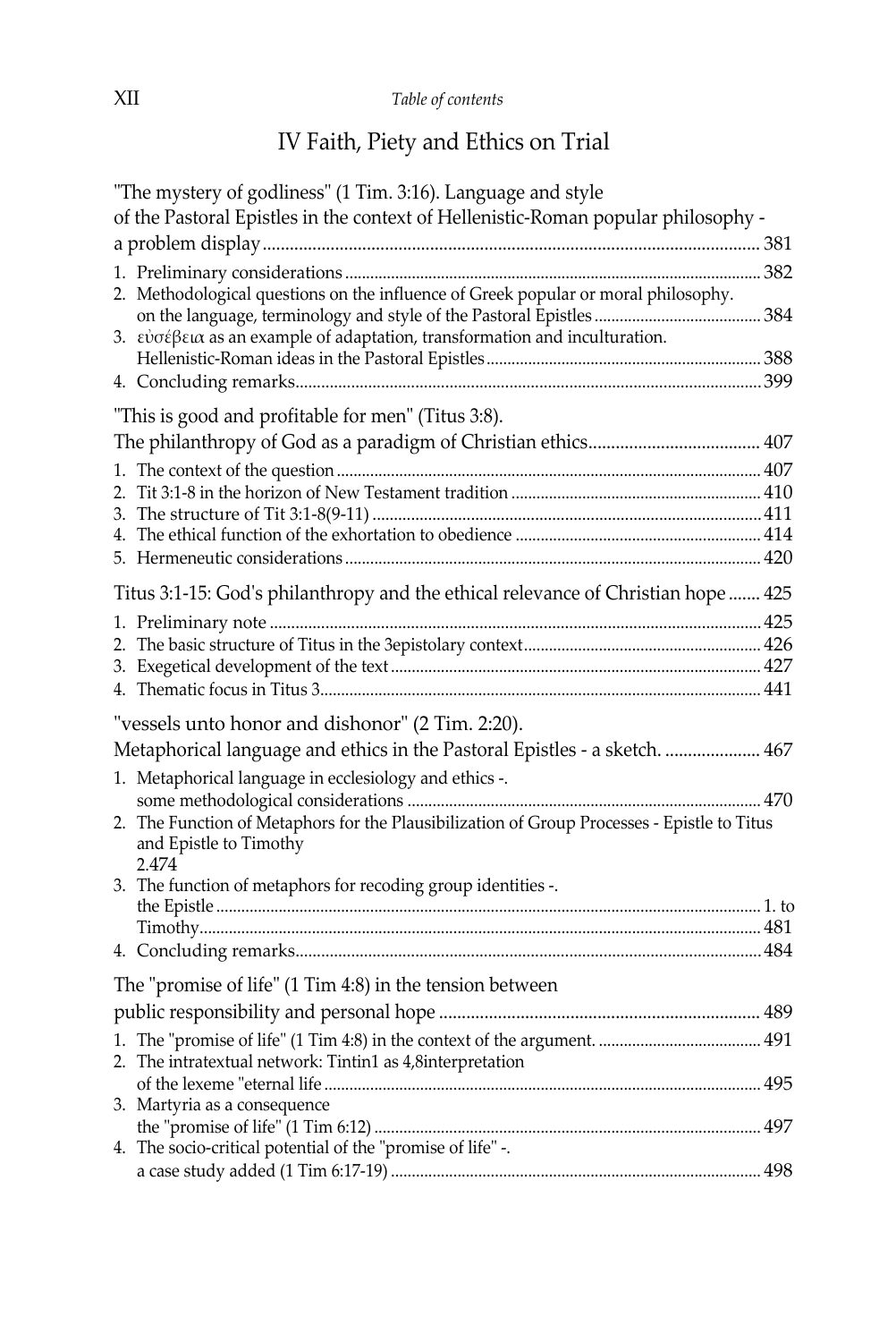## IV Faith, Piety and Ethics on Trial

| "The mystery of godliness" (1 Tim. 3:16). Language and style                                                                    |  |
|---------------------------------------------------------------------------------------------------------------------------------|--|
| of the Pastoral Epistles in the context of Hellenistic-Roman popular philosophy -                                               |  |
|                                                                                                                                 |  |
|                                                                                                                                 |  |
| 2. Methodological questions on the influence of Greek popular or moral philosophy.                                              |  |
| 3. $\varepsilon \nu \sigma \varepsilon \beta \varepsilon \alpha$ as an example of adaptation, transformation and inculturation. |  |
|                                                                                                                                 |  |
|                                                                                                                                 |  |
| "This is good and profitable for men" (Titus 3:8).                                                                              |  |
|                                                                                                                                 |  |
|                                                                                                                                 |  |
|                                                                                                                                 |  |
|                                                                                                                                 |  |
|                                                                                                                                 |  |
|                                                                                                                                 |  |
| Titus 3:1-15: God's philanthropy and the ethical relevance of Christian hope  425                                               |  |
|                                                                                                                                 |  |
|                                                                                                                                 |  |
|                                                                                                                                 |  |
|                                                                                                                                 |  |
| "vessels unto honor and dishonor" (2 Tim. 2:20).                                                                                |  |
| Metaphorical language and ethics in the Pastoral Epistles - a sketch.  467                                                      |  |
| 1. Metaphorical language in ecclesiology and ethics -.                                                                          |  |
|                                                                                                                                 |  |
| 2. The Function of Metaphors for the Plausibilization of Group Processes - Epistle to Titus<br>and Epistle to Timothy<br>2.474  |  |
| 3. The function of metaphors for recoding group identities -.                                                                   |  |
|                                                                                                                                 |  |
|                                                                                                                                 |  |
|                                                                                                                                 |  |
| The "promise of life" (1 Tim 4:8) in the tension between                                                                        |  |
|                                                                                                                                 |  |
|                                                                                                                                 |  |
| 2. The intratextual network: Tintin1 as 4,8interpretation                                                                       |  |
|                                                                                                                                 |  |
| 3. Martyria as a consequence                                                                                                    |  |
| 4. The socio-critical potential of the "promise of life" -.                                                                     |  |
|                                                                                                                                 |  |
|                                                                                                                                 |  |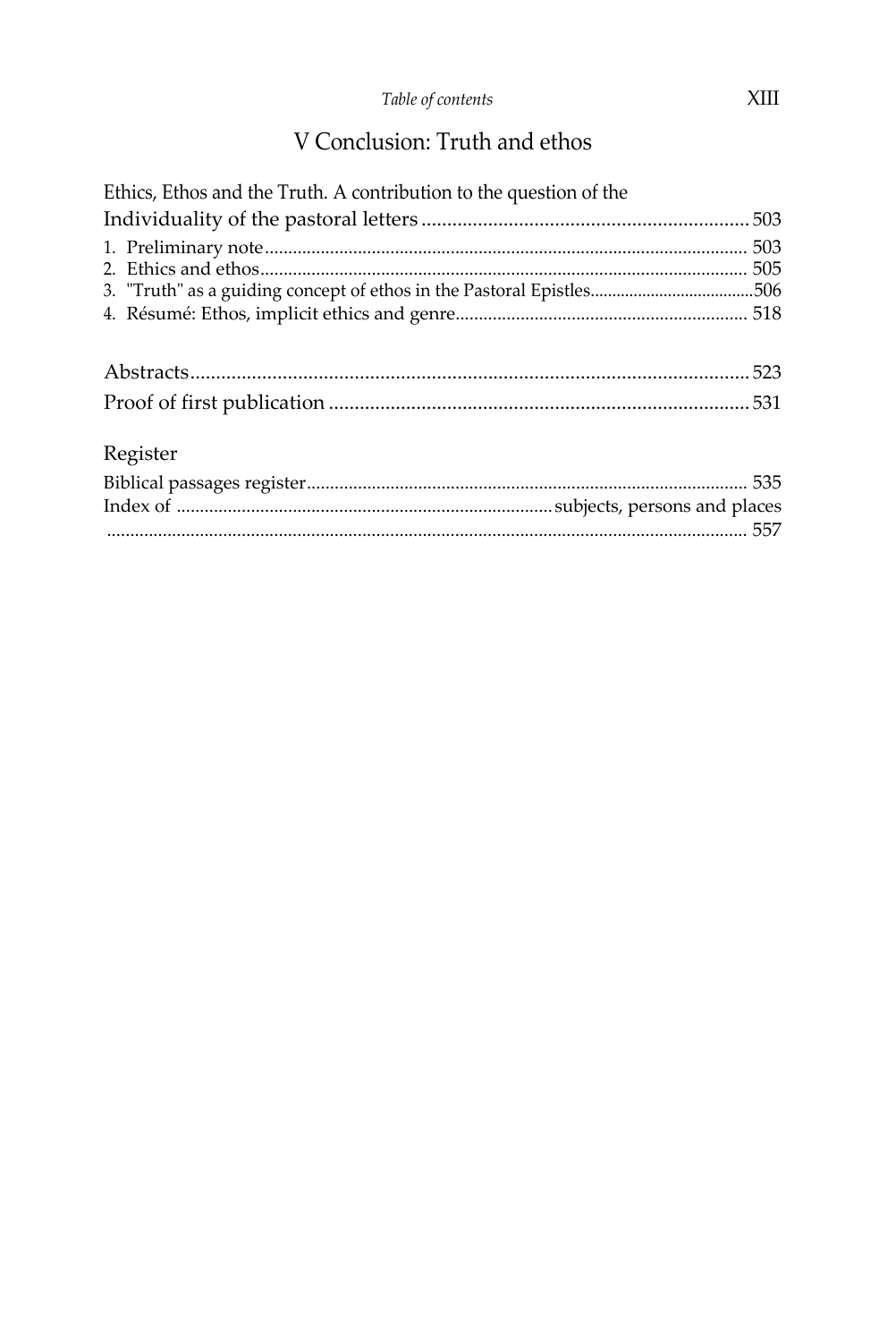## V Conclusion: Truth and ethos

| Ethics, Ethos and the Truth. A contribution to the question of the   |  |
|----------------------------------------------------------------------|--|
|                                                                      |  |
| 3. "Truth" as a guiding concept of ethos in the Pastoral Epistles506 |  |
|                                                                      |  |
| Register                                                             |  |
|                                                                      |  |
|                                                                      |  |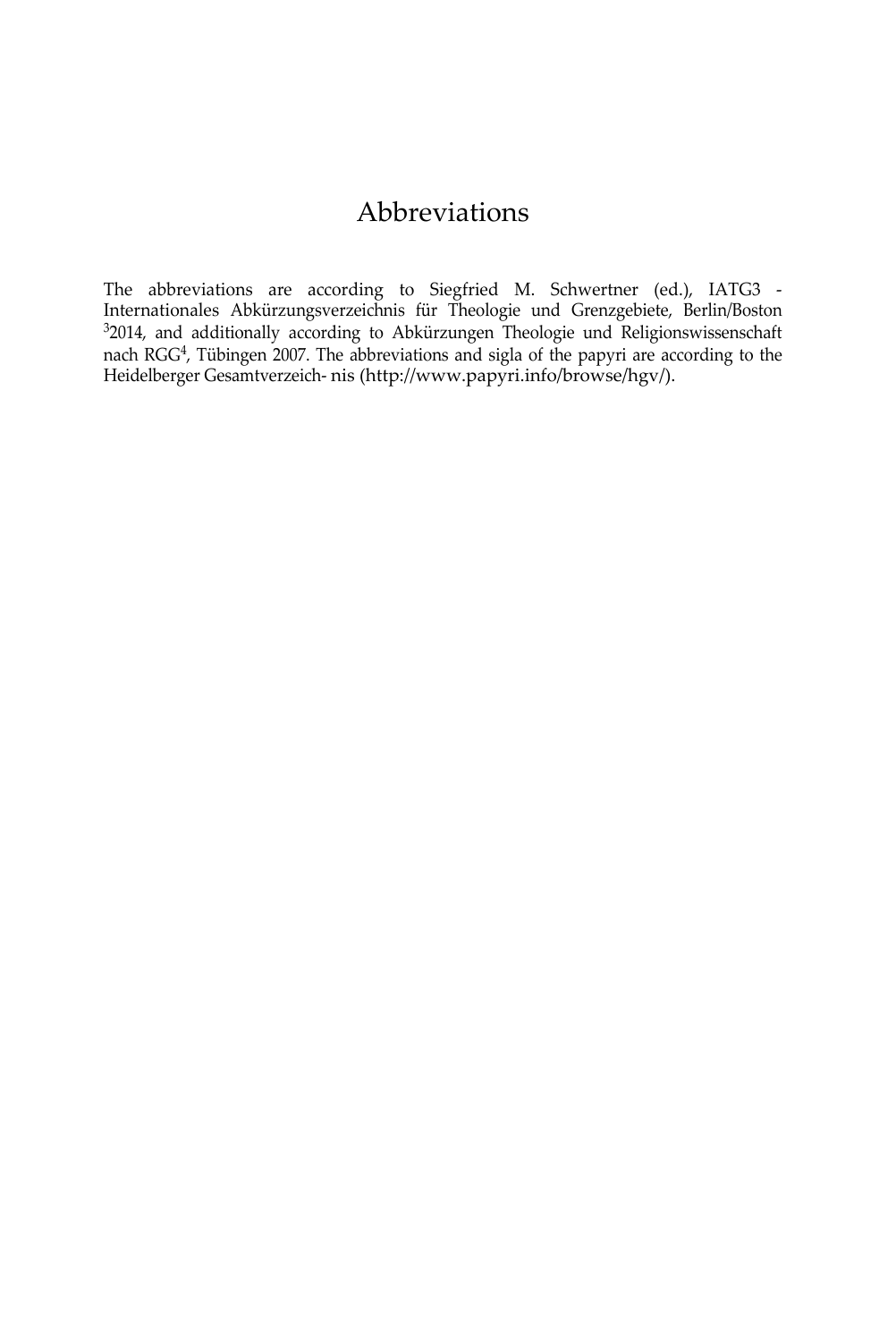## Abbreviations

The abbreviations are according to Siegfried M. Schwertner (ed.), IATG3 - Internationales Abkürzungsverzeichnis für Theologie und Grenzgebiete, Berlin/Boston <sup>3</sup>2014, and additionally according to Abkürzungen Theologie und Religionswissenschaft nach RGG4, Tübingen 2007. The abbreviations and sigla of the papyri are according to the Heidelberger Gesamtverzeich- ni[s \(http://www.papyri.info/browse/hgv/\).](http://www.papyri.info/browse/hgv/))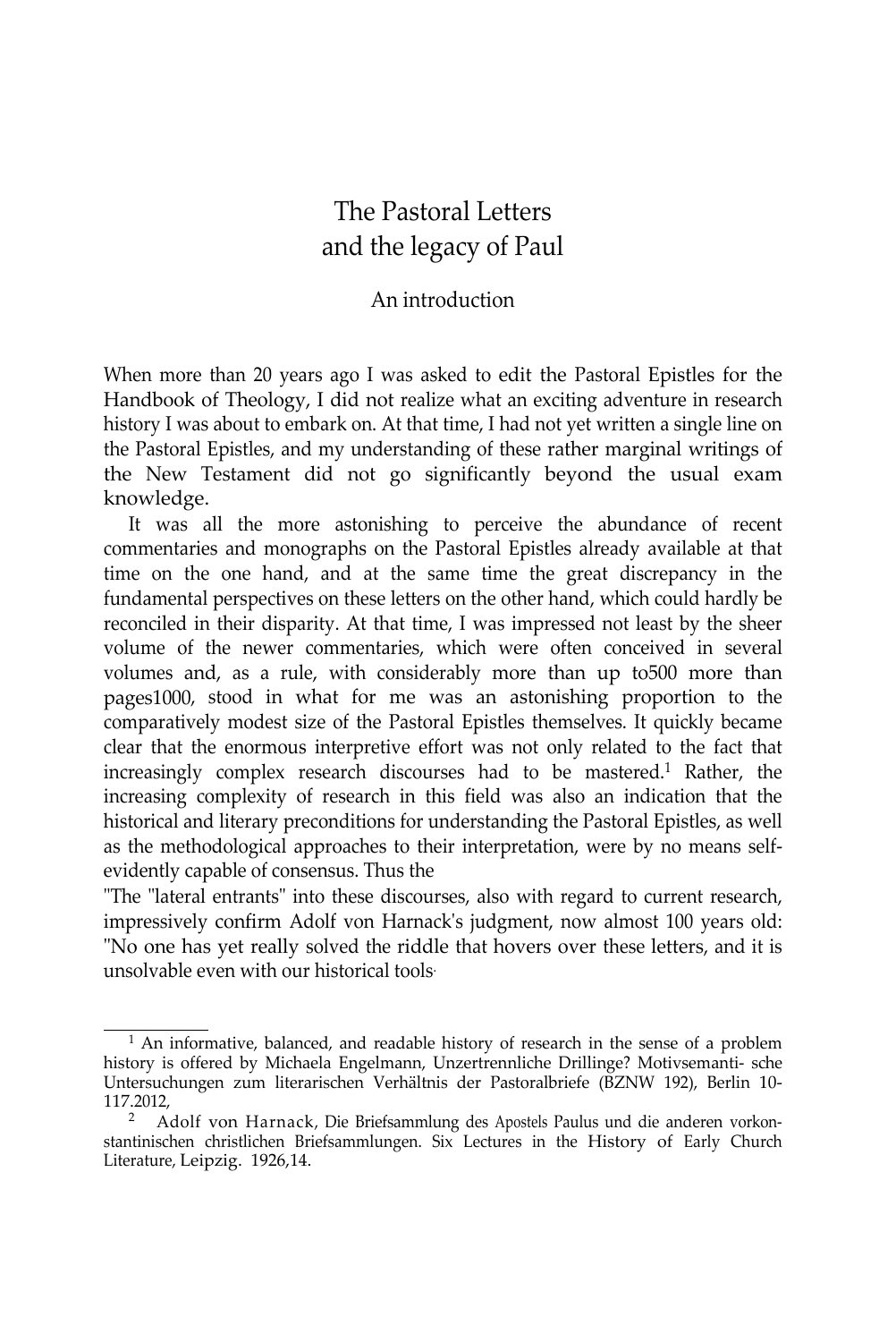## The Pastoral Letters and the legacy of Paul

#### An introduction

When more than 20 years ago I was asked to edit the Pastoral Epistles for the Handbook of Theology, I did not realize what an exciting adventure in research history I was about to embark on. At that time, I had not yet written a single line on the Pastoral Epistles, and my understanding of these rather marginal writings of the New Testament did not go significantly beyond the usual exam knowledge.

It was all the more astonishing to perceive the abundance of recent commentaries and monographs on the Pastoral Epistles already available at that time on the one hand, and at the same time the great discrepancy in the fundamental perspectives on these letters on the other hand, which could hardly be reconciled in their disparity. At that time, I was impressed not least by the sheer volume of the newer commentaries, which were often conceived in several volumes and, as a rule, with considerably more than up to500 more than pages1000, stood in what for me was an astonishing proportion to the comparatively modest size of the Pastoral Epistles themselves. It quickly became clear that the enormous interpretive effort was not only related to the fact that increasingly complex research discourses had to be mastered.<sup>1</sup> Rather, the increasing complexity of research in this field was also an indication that the historical and literary preconditions for understanding the Pastoral Epistles, as well as the methodological approaches to their interpretation, were by no means selfevidently capable of consensus. Thus the

"The "lateral entrants" into these discourses, also with regard to current research, impressively confirm Adolf von Harnack's judgment, now almost 100 years old: "No one has yet really solved the riddle that hovers over these letters, and it is unsolvable even with our historical tools.

<sup>&</sup>lt;sup>1</sup> An informative, balanced, and readable history of research in the sense of a problem history is offered by Michaela Engelmann, Unzertrennliche Drillinge? Motivsemanti- sche Untersuchungen zum literarischen Verhältnis der Pastoralbriefe (BZNW 192), Berlin 10- 117.2012,

<sup>2</sup> Adolf von Harnack, Die Briefsammlung des Apostels Paulus und die anderen vorkonstantinischen christlichen Briefsammlungen. Six Lectures in the History of Early Church Literature, Leipzig. 1926,14.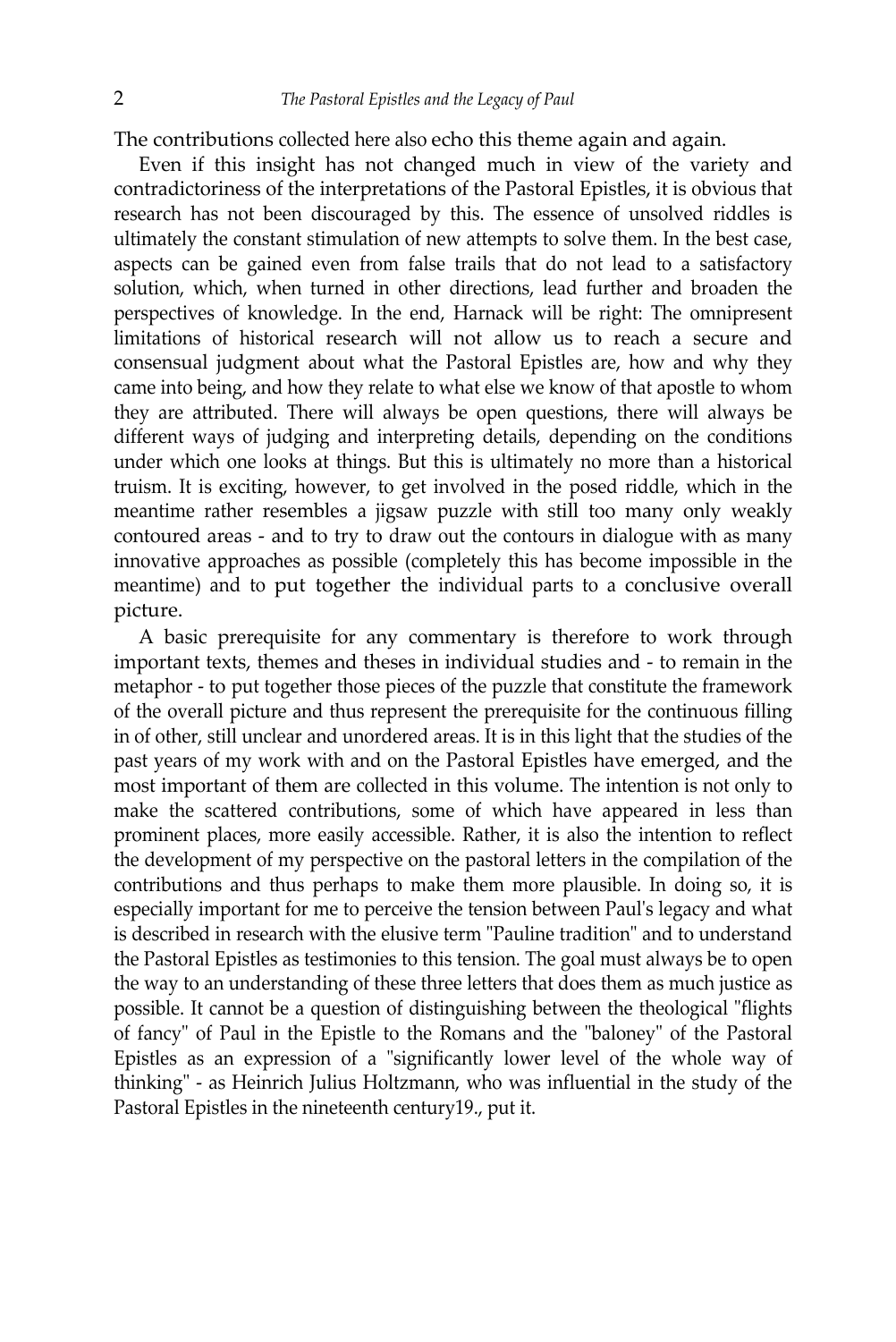The contributions collected here also echo this theme again and again.

Even if this insight has not changed much in view of the variety and contradictoriness of the interpretations of the Pastoral Epistles, it is obvious that research has not been discouraged by this. The essence of unsolved riddles is ultimately the constant stimulation of new attempts to solve them. In the best case, aspects can be gained even from false trails that do not lead to a satisfactory solution, which, when turned in other directions, lead further and broaden the perspectives of knowledge. In the end, Harnack will be right: The omnipresent limitations of historical research will not allow us to reach a secure and consensual judgment about what the Pastoral Epistles are, how and why they came into being, and how they relate to what else we know of that apostle to whom they are attributed. There will always be open questions, there will always be different ways of judging and interpreting details, depending on the conditions under which one looks at things. But this is ultimately no more than a historical truism. It is exciting, however, to get involved in the posed riddle, which in the meantime rather resembles a jigsaw puzzle with still too many only weakly contoured areas - and to try to draw out the contours in dialogue with as many innovative approaches as possible (completely this has become impossible in the meantime) and to put together the individual parts to a conclusive overall picture.

A basic prerequisite for any commentary is therefore to work through important texts, themes and theses in individual studies and - to remain in the metaphor - to put together those pieces of the puzzle that constitute the framework of the overall picture and thus represent the prerequisite for the continuous filling in of other, still unclear and unordered areas. It is in this light that the studies of the past years of my work with and on the Pastoral Epistles have emerged, and the most important of them are collected in this volume. The intention is not only to make the scattered contributions, some of which have appeared in less than prominent places, more easily accessible. Rather, it is also the intention to reflect the development of my perspective on the pastoral letters in the compilation of the contributions and thus perhaps to make them more plausible. In doing so, it is especially important for me to perceive the tension between Paul's legacy and what is described in research with the elusive term "Pauline tradition" and to understand the Pastoral Epistles as testimonies to this tension. The goal must always be to open the way to an understanding of these three letters that does them as much justice as possible. It cannot be a question of distinguishing between the theological "flights of fancy" of Paul in the Epistle to the Romans and the "baloney" of the Pastoral Epistles as an expression of a "significantly lower level of the whole way of thinking" - as Heinrich Julius Holtzmann, who was influential in the study of the Pastoral Epistles in the nineteenth century19., put it.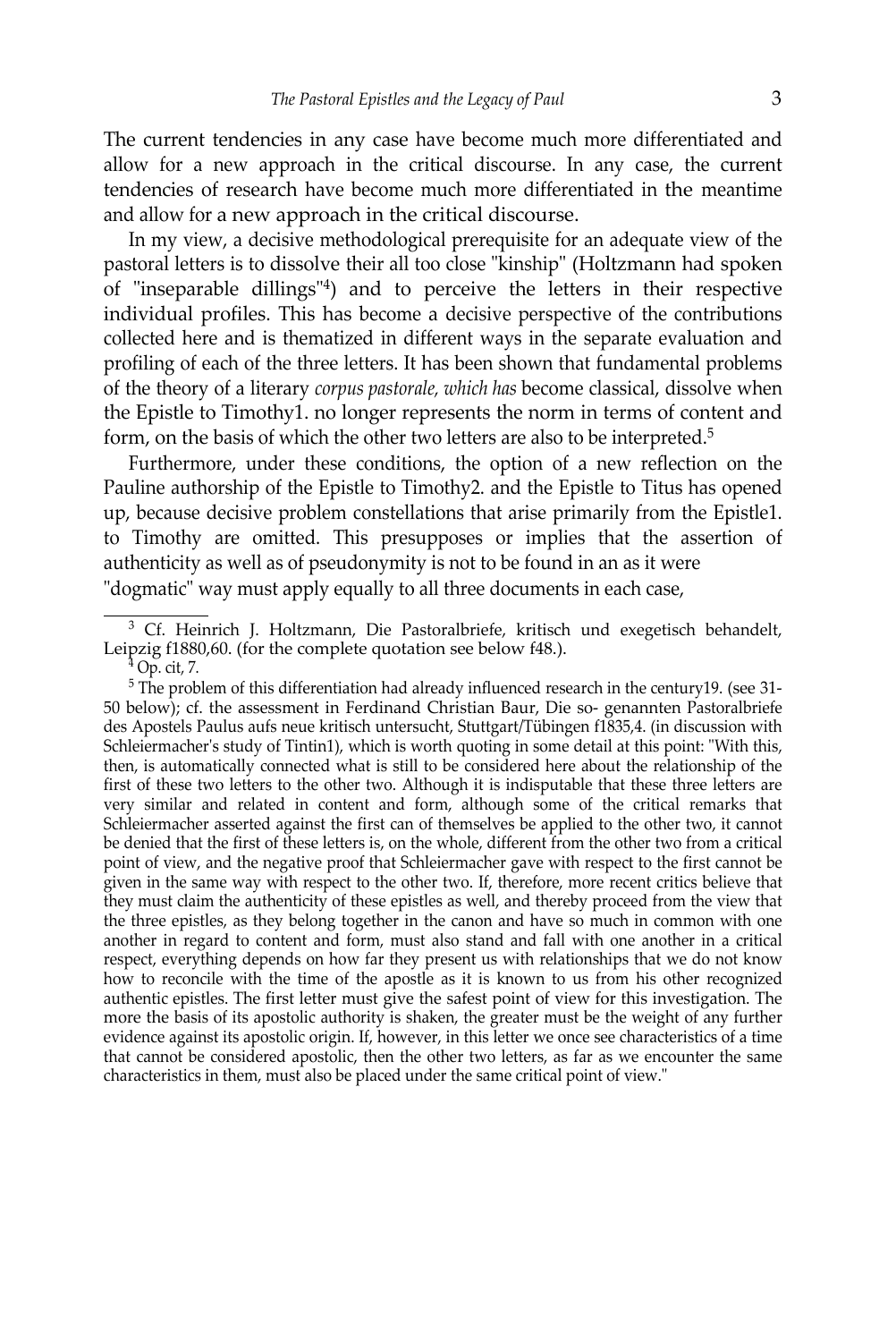The current tendencies in any case have become much more differentiated and allow for a new approach in the critical discourse. In any case, the current tendencies of research have become much more differentiated in the meantime and allow for a new approach in the critical discourse.

In my view, a decisive methodological prerequisite for an adequate view of the pastoral letters is to dissolve their all too close "kinship" (Holtzmann had spoken of "inseparable dillings"4) and to perceive the letters in their respective individual profiles. This has become a decisive perspective of the contributions collected here and is thematized in different ways in the separate evaluation and profiling of each of the three letters. It has been shown that fundamental problems of the theory of a literary *corpus pastorale, which has* become classical, dissolve when the Epistle to Timothy1. no longer represents the norm in terms of content and form, on the basis of which the other two letters are also to be interpreted.<sup>5</sup>

Furthermore, under these conditions, the option of a new reflection on the Pauline authorship of the Epistle to Timothy2. and the Epistle to Titus has opened up, because decisive problem constellations that arise primarily from the Epistle1. to Timothy are omitted. This presupposes or implies that the assertion of authenticity as well as of pseudonymity is not to be found in an as it were "dogmatic" way must apply equally to all three documents in each case,

<sup>3</sup> Cf. Heinrich J. Holtzmann, Die Pastoralbriefe, kritisch und exegetisch behandelt, Leipzig f1880,60. (for the complete quotation see below f48.).

 $4$  Op. cit, 7.

<sup>5</sup> The problem of this differentiation had already influenced research in the century19. (see 31- 50 below); cf. the assessment in Ferdinand Christian Baur, Die so- genannten Pastoralbriefe des Apostels Paulus aufs neue kritisch untersucht, Stuttgart/Tübingen f1835,4. (in discussion with Schleiermacher's study of Tintin1), which is worth quoting in some detail at this point: "With this, then, is automatically connected what is still to be considered here about the relationship of the first of these two letters to the other two. Although it is indisputable that these three letters are very similar and related in content and form, although some of the critical remarks that Schleiermacher asserted against the first can of themselves be applied to the other two, it cannot be denied that the first of these letters is, on the whole, different from the other two from a critical point of view, and the negative proof that Schleiermacher gave with respect to the first cannot be given in the same way with respect to the other two. If, therefore, more recent critics believe that they must claim the authenticity of these epistles as well, and thereby proceed from the view that the three epistles, as they belong together in the canon and have so much in common with one another in regard to content and form, must also stand and fall with one another in a critical respect, everything depends on how far they present us with relationships that we do not know how to reconcile with the time of the apostle as it is known to us from his other recognized authentic epistles. The first letter must give the safest point of view for this investigation. The more the basis of its apostolic authority is shaken, the greater must be the weight of any further evidence against its apostolic origin. If, however, in this letter we once see characteristics of a time that cannot be considered apostolic, then the other two letters, as far as we encounter the same characteristics in them, must also be placed under the same critical point of view."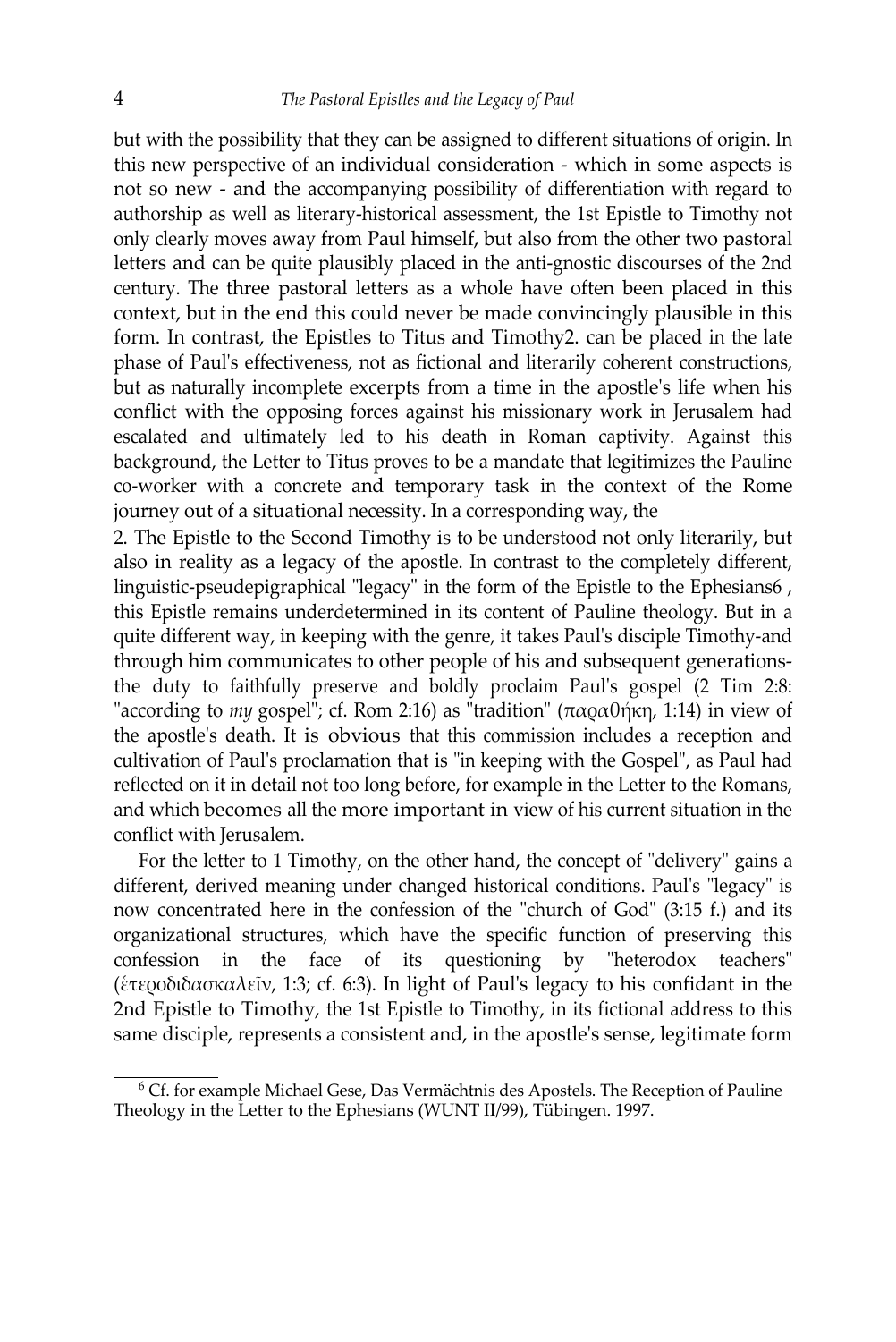but with the possibility that they can be assigned to different situations of origin. In this new perspective of an individual consideration - which in some aspects is not so new - and the accompanying possibility of differentiation with regard to authorship as well as literary-historical assessment, the 1st Epistle to Timothy not only clearly moves away from Paul himself, but also from the other two pastoral letters and can be quite plausibly placed in the anti-gnostic discourses of the 2nd century. The three pastoral letters as a whole have often been placed in this context, but in the end this could never be made convincingly plausible in this form. In contrast, the Epistles to Titus and Timothy2. can be placed in the late phase of Paul's effectiveness, not as fictional and literarily coherent constructions, but as naturally incomplete excerpts from a time in the apostle's life when his conflict with the opposing forces against his missionary work in Jerusalem had escalated and ultimately led to his death in Roman captivity. Against this background, the Letter to Titus proves to be a mandate that legitimizes the Pauline co-worker with a concrete and temporary task in the context of the Rome journey out of a situational necessity. In a corresponding way, the

2. The Epistle to the Second Timothy is to be understood not only literarily, but also in reality as a legacy of the apostle. In contrast to the completely different, linguistic-pseudepigraphical "legacy" in the form of the Epistle to the Ephesians6 , this Epistle remains underdetermined in its content of Pauline theology. But in a quite different way, in keeping with the genre, it takes Paul's disciple Timothy-and through him communicates to other people of his and subsequent generationsthe duty to faithfully preserve and boldly proclaim Paul's gospel (2 Tim 2:8: "according to *my* gospel"; cf. Rom 2:16) as "tradition" (παραθήκη, 1:14) in view of the apostle's death. It is obvious that this commission includes a reception and cultivation of Paul's proclamation that is "in keeping with the Gospel", as Paul had reflected on it in detail not too long before, for example in the Letter to the Romans, and which becomes all the more important in view of his current situation in the conflict with Jerusalem.

For the letter to 1 Timothy, on the other hand, the concept of "delivery" gains a different, derived meaning under changed historical conditions. Paul's "legacy" is now concentrated here in the confession of the "church of God" (3:15 f.) and its organizational structures, which have the specific function of preserving this confession in the face of its questioning by "heterodox teachers" (ἑτεροδιδασκαλεῖν, 1:3; cf. 6:3). In light of Paul's legacy to his confidant in the 2nd Epistle to Timothy, the 1st Epistle to Timothy, in its fictional address to this same disciple, represents a consistent and, in the apostle's sense, legitimate form

<sup>6</sup> Cf. for example Michael Gese, Das Vermächtnis des Apostels. The Reception of Pauline Theology in the Letter to the Ephesians (WUNT II/99), Tübingen. 1997.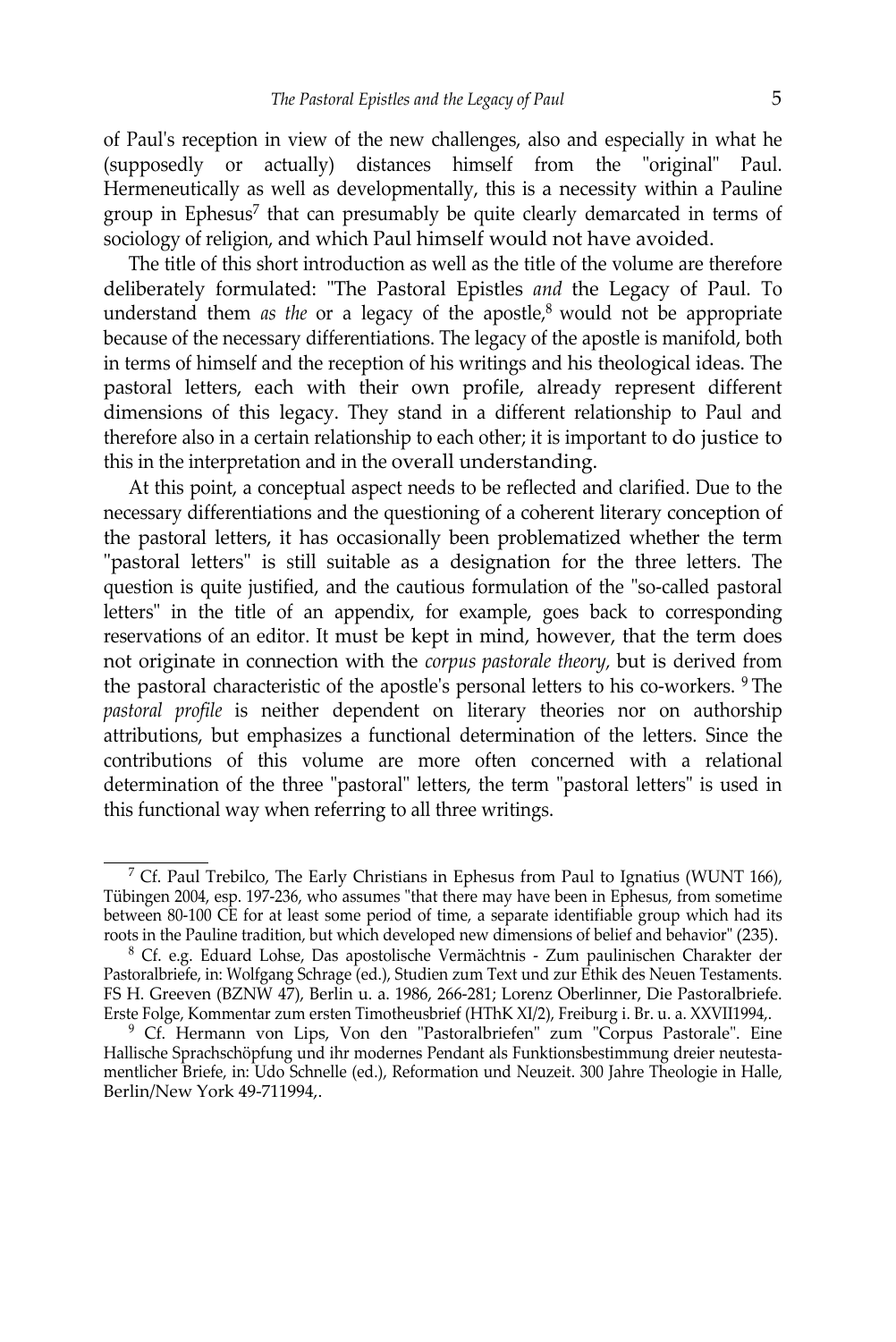of Paul's reception in view of the new challenges, also and especially in what he (supposedly or actually) distances himself from the "original" Paul. Hermeneutically as well as developmentally, this is a necessity within a Pauline group in Ephesus<sup>7</sup> that can presumably be quite clearly demarcated in terms of sociology of religion, and which Paul himself would not have avoided.

The title of this short introduction as well as the title of the volume are therefore deliberately formulated: "The Pastoral Epistles *and* the Legacy of Paul. To understand them *as the* or a legacy of the apostle,<sup>8</sup> would not be appropriate because of the necessary differentiations. The legacy of the apostle is manifold, both in terms of himself and the reception of his writings and his theological ideas. The pastoral letters, each with their own profile, already represent different dimensions of this legacy. They stand in a different relationship to Paul and therefore also in a certain relationship to each other; it is important to do justice to this in the interpretation and in the overall understanding.

At this point, a conceptual aspect needs to be reflected and clarified. Due to the necessary differentiations and the questioning of a coherent literary conception of the pastoral letters, it has occasionally been problematized whether the term "pastoral letters" is still suitable as a designation for the three letters. The question is quite justified, and the cautious formulation of the "so-called pastoral letters" in the title of an appendix, for example, goes back to corresponding reservations of an editor. It must be kept in mind, however, that the term does not originate in connection with the *corpus pastorale theory,* but is derived from the pastoral characteristic of the apostle's personal letters to his co-workers. 9 The *pastoral profile* is neither dependent on literary theories nor on authorship attributions, but emphasizes a functional determination of the letters. Since the contributions of this volume are more often concerned with a relational determination of the three "pastoral" letters, the term "pastoral letters" is used in this functional way when referring to all three writings.

<sup>&</sup>lt;sup>7</sup> Cf. Paul Trebilco, The Early Christians in Ephesus from Paul to Ignatius (WUNT 166), Tübingen 2004, esp. 197-236, who assumes "that there may have been in Ephesus, from sometime between 80-100 CE for at least some period of time, a separate identifiable group which had its roots in the Pauline tradition, but which developed new dimensions of belief and behavior" (235).

<sup>&</sup>lt;sup>8</sup> Cf. e.g. Eduard Lohse, Das apostolische Vermächtnis - Zum paulinischen Charakter der Pastoralbriefe, in: Wolfgang Schrage (ed.), Studien zum Text und zur Ethik des Neuen Testaments. FS H. Greeven (BZNW 47), Berlin u. a. 1986, 266-281; Lorenz Oberlinner, Die Pastoralbriefe. Erste Folge, Kommentar zum ersten Timotheusbrief (HThK XI/2), Freiburg i. Br. u. a. XXVII1994,.

<sup>&</sup>lt;sup>9</sup> Cf. Hermann von Lips, Von den "Pastoralbriefen" zum "Corpus Pastorale". Eine Hallische Sprachschöpfung und ihr modernes Pendant als Funktionsbestimmung dreier neutestamentlicher Briefe, in: Udo Schnelle (ed.), Reformation und Neuzeit. 300 Jahre Theologie in Halle, Berlin/New York 49-711994,.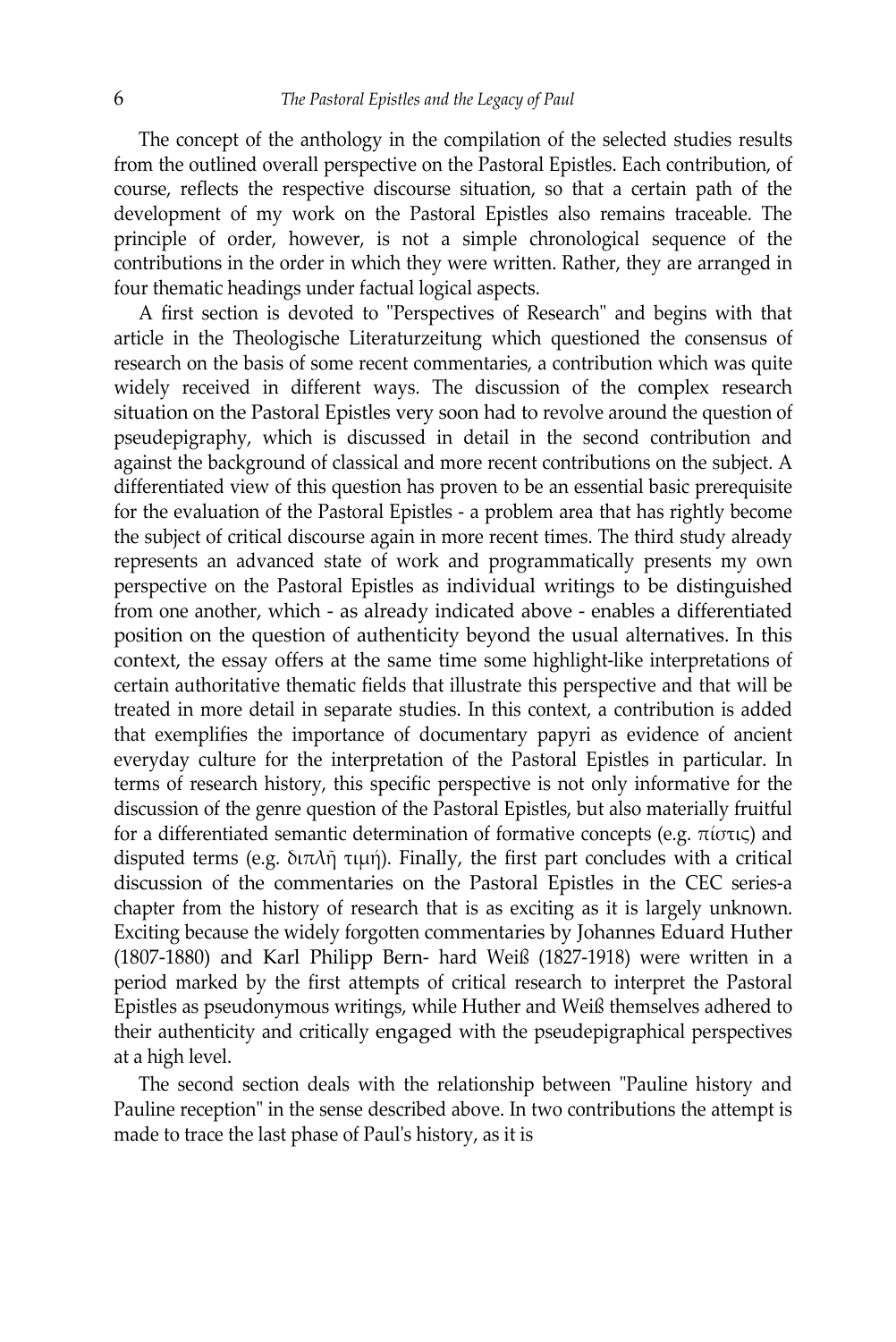The concept of the anthology in the compilation of the selected studies results from the outlined overall perspective on the Pastoral Epistles. Each contribution, of course, reflects the respective discourse situation, so that a certain path of the development of my work on the Pastoral Epistles also remains traceable. The principle of order, however, is not a simple chronological sequence of the contributions in the order in which they were written. Rather, they are arranged in four thematic headings under factual logical aspects.

A first section is devoted to "Perspectives of Research" and begins with that article in the Theologische Literaturzeitung which questioned the consensus of research on the basis of some recent commentaries, a contribution which was quite widely received in different ways. The discussion of the complex research situation on the Pastoral Epistles very soon had to revolve around the question of pseudepigraphy, which is discussed in detail in the second contribution and against the background of classical and more recent contributions on the subject. A differentiated view of this question has proven to be an essential basic prerequisite for the evaluation of the Pastoral Epistles - a problem area that has rightly become the subject of critical discourse again in more recent times. The third study already represents an advanced state of work and programmatically presents my own perspective on the Pastoral Epistles as individual writings to be distinguished from one another, which - as already indicated above - enables a differentiated position on the question of authenticity beyond the usual alternatives. In this context, the essay offers at the same time some highlight-like interpretations of certain authoritative thematic fields that illustrate this perspective and that will be treated in more detail in separate studies. In this context, a contribution is added that exemplifies the importance of documentary papyri as evidence of ancient everyday culture for the interpretation of the Pastoral Epistles in particular. In terms of research history, this specific perspective is not only informative for the discussion of the genre question of the Pastoral Epistles, but also materially fruitful for a differentiated semantic determination of formative concepts (e.g. πίστις) and disputed terms (e.g. διπλῆ τιμή). Finally, the first part concludes with a critical discussion of the commentaries on the Pastoral Epistles in the CEC series-a chapter from the history of research that is as exciting as it is largely unknown. Exciting because the widely forgotten commentaries by Johannes Eduard Huther (1807-1880) and Karl Philipp Bern- hard Weiß (1827-1918) were written in a period marked by the first attempts of critical research to interpret the Pastoral Epistles as pseudonymous writings, while Huther and Weiß themselves adhered to their authenticity and critically engaged with the pseudepigraphical perspectives at a high level.

The second section deals with the relationship between "Pauline history and Pauline reception" in the sense described above. In two contributions the attempt is made to trace the last phase of Paul's history, as it is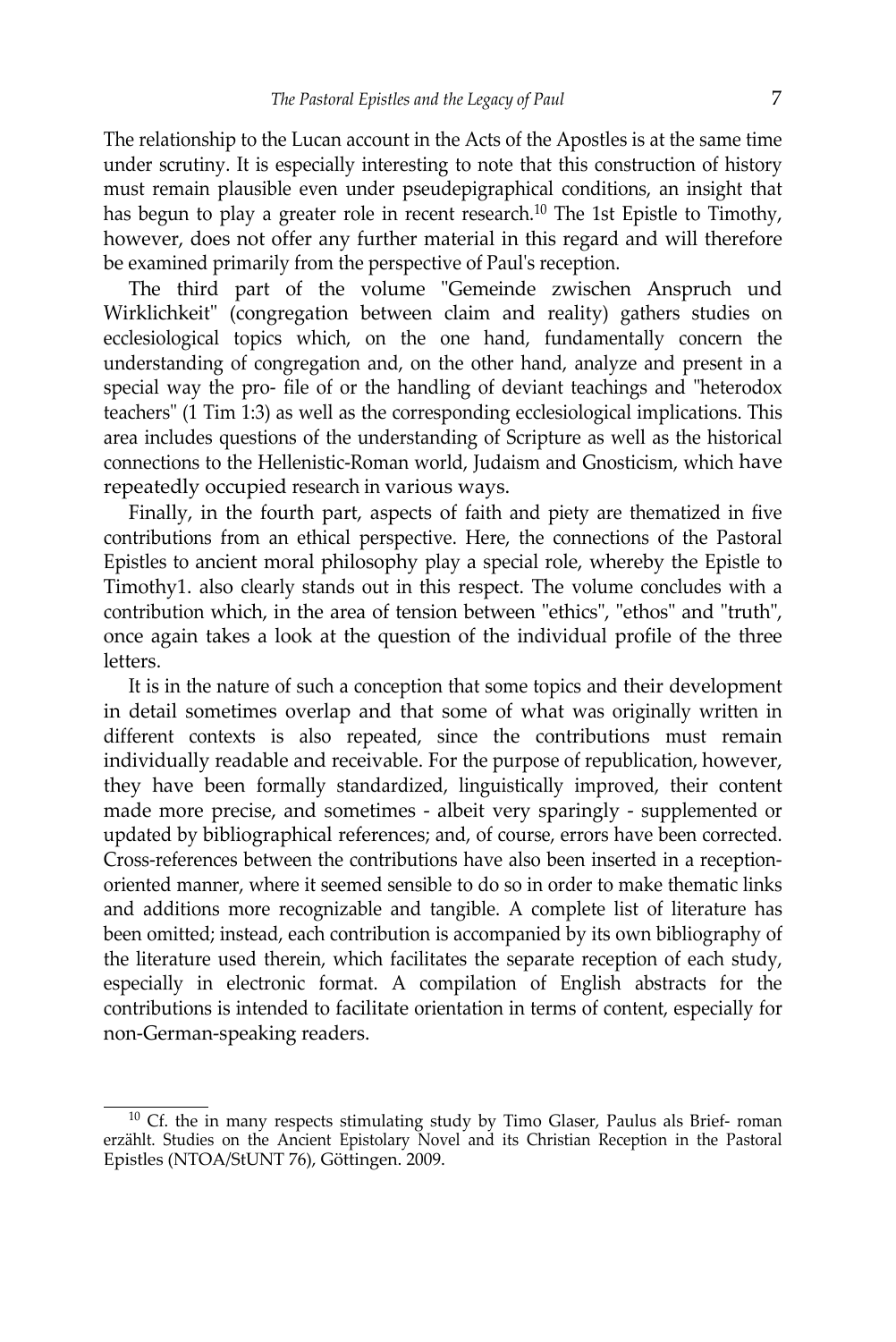The relationship to the Lucan account in the Acts of the Apostles is at the same time under scrutiny. It is especially interesting to note that this construction of history must remain plausible even under pseudepigraphical conditions, an insight that has begun to play a greater role in recent research.<sup>10</sup> The 1st Epistle to Timothy, however, does not offer any further material in this regard and will therefore be examined primarily from the perspective of Paul's reception.

The third part of the volume "Gemeinde zwischen Anspruch und Wirklichkeit" (congregation between claim and reality) gathers studies on ecclesiological topics which, on the one hand, fundamentally concern the understanding of congregation and, on the other hand, analyze and present in a special way the pro- file of or the handling of deviant teachings and "heterodox teachers" (1 Tim 1:3) as well as the corresponding ecclesiological implications. This area includes questions of the understanding of Scripture as well as the historical connections to the Hellenistic-Roman world, Judaism and Gnosticism, which have repeatedly occupied research in various ways.

Finally, in the fourth part, aspects of faith and piety are thematized in five contributions from an ethical perspective. Here, the connections of the Pastoral Epistles to ancient moral philosophy play a special role, whereby the Epistle to Timothy1. also clearly stands out in this respect. The volume concludes with a contribution which, in the area of tension between "ethics", "ethos" and "truth", once again takes a look at the question of the individual profile of the three letters.

It is in the nature of such a conception that some topics and their development in detail sometimes overlap and that some of what was originally written in different contexts is also repeated, since the contributions must remain individually readable and receivable. For the purpose of republication, however, they have been formally standardized, linguistically improved, their content made more precise, and sometimes - albeit very sparingly - supplemented or updated by bibliographical references; and, of course, errors have been corrected. Cross-references between the contributions have also been inserted in a receptionoriented manner, where it seemed sensible to do so in order to make thematic links and additions more recognizable and tangible. A complete list of literature has been omitted; instead, each contribution is accompanied by its own bibliography of the literature used therein, which facilitates the separate reception of each study, especially in electronic format. A compilation of English abstracts for the contributions is intended to facilitate orientation in terms of content, especially for non-German-speaking readers.

<sup>&</sup>lt;sup>10</sup> Cf. the in many respects stimulating study by Timo Glaser, Paulus als Brief- roman erzählt. Studies on the Ancient Epistolary Novel and its Christian Reception in the Pastoral Epistles (NTOA/StUNT 76), Göttingen. 2009.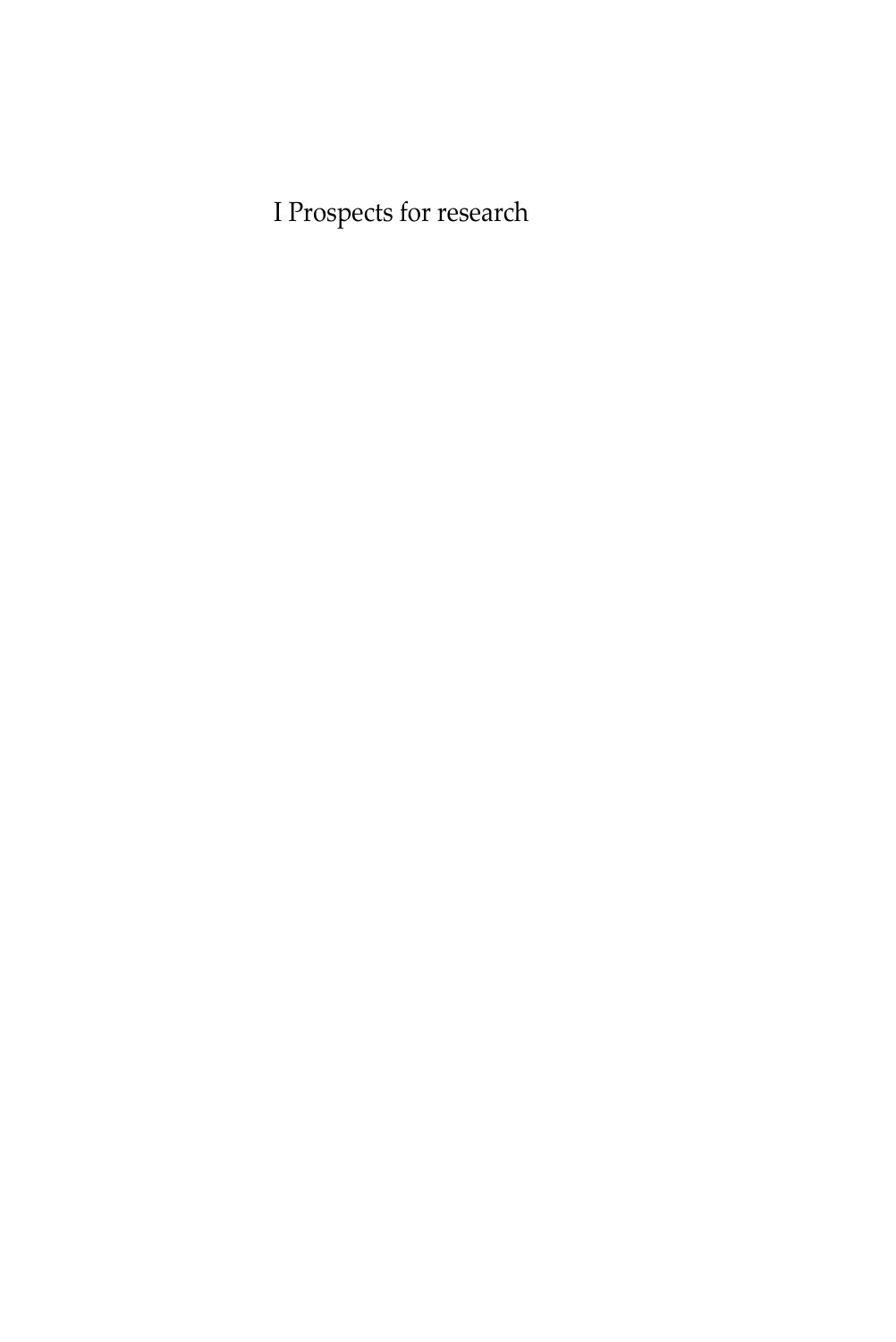I Prospects for research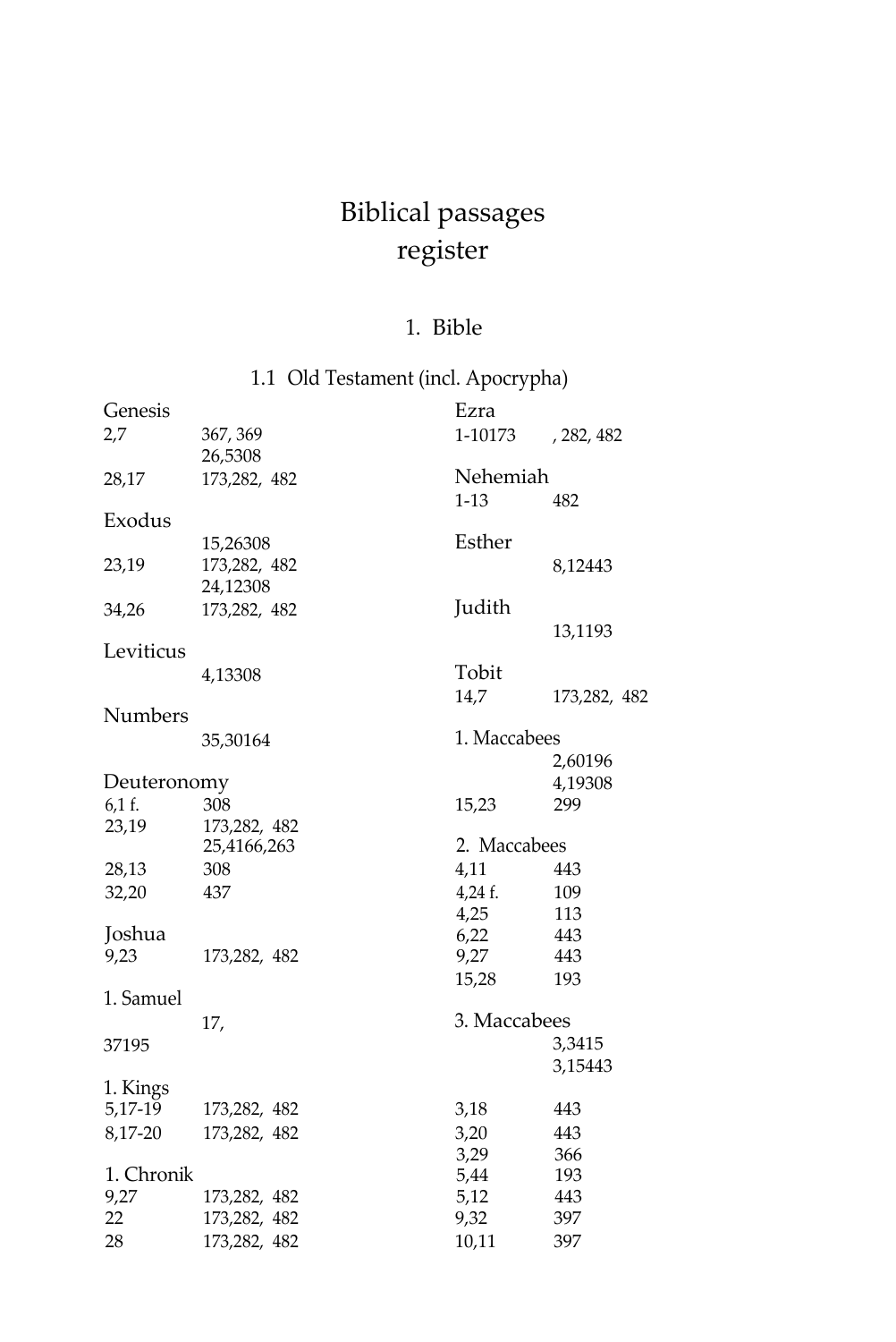## Biblical passages register

#### 1. Bible

<span id="page-27-0"></span>

|             | 1.1 Old Testament (incl. Apocrypha) |              |              |
|-------------|-------------------------------------|--------------|--------------|
| Genesis     |                                     | Ezra         |              |
| 2,7         | 367, 369                            | 1-10173      | , 282, 482   |
|             | 26,5308                             |              |              |
| 28,17       | 173,282, 482                        | Nehemiah     |              |
|             |                                     | $1-13$       | 482          |
| Exodus      |                                     |              |              |
|             | 15,26308                            | Esther       |              |
| 23,19       | 173,282, 482                        |              | 8,12443      |
|             | 24,12308                            |              |              |
| 34,26       | 173,282, 482                        | Judith       |              |
|             |                                     |              | 13,1193      |
| Leviticus   |                                     | Tobit        |              |
|             | 4,13308                             |              |              |
| Numbers     |                                     | 14,7         | 173,282, 482 |
|             | 35,30164                            | 1. Maccabees |              |
|             |                                     |              | 2,60196      |
| Deuteronomy |                                     |              | 4,19308      |
| 6,1 f.      | 308                                 | 15,23        | 299          |
| 23,19       | 173,282, 482                        |              |              |
|             | 25,4166,263                         | 2. Maccabees |              |
| 28,13       | 308                                 | 4,11         | 443          |
| 32,20       | 437                                 | $4,24$ f.    | 109          |
|             |                                     | 4,25         | 113          |
| Joshua      |                                     | 6,22         | 443          |
| 9,23        | 173,282, 482                        | 9,27         | 443          |
|             |                                     | 15,28        | 193          |
| 1. Samuel   |                                     |              |              |
|             | 17,                                 | 3. Maccabees |              |
| 37195       |                                     |              | 3,3415       |
|             |                                     |              | 3,15443      |
| 1. Kings    |                                     |              | 443          |
| 5,17-19     | 173,282, 482                        | 3,18         |              |
| 8,17-20     | 173,282, 482                        | 3,20<br>3,29 | 443<br>366   |
| 1. Chronik  |                                     | 5,44         | 193          |
| 9,27        | 173,282, 482                        | 5,12         | 443          |
| 22          | 173,282, 482                        | 9,32         | 397          |
| 28          | 173,282, 482                        | 10,11        | 397          |
|             |                                     |              |              |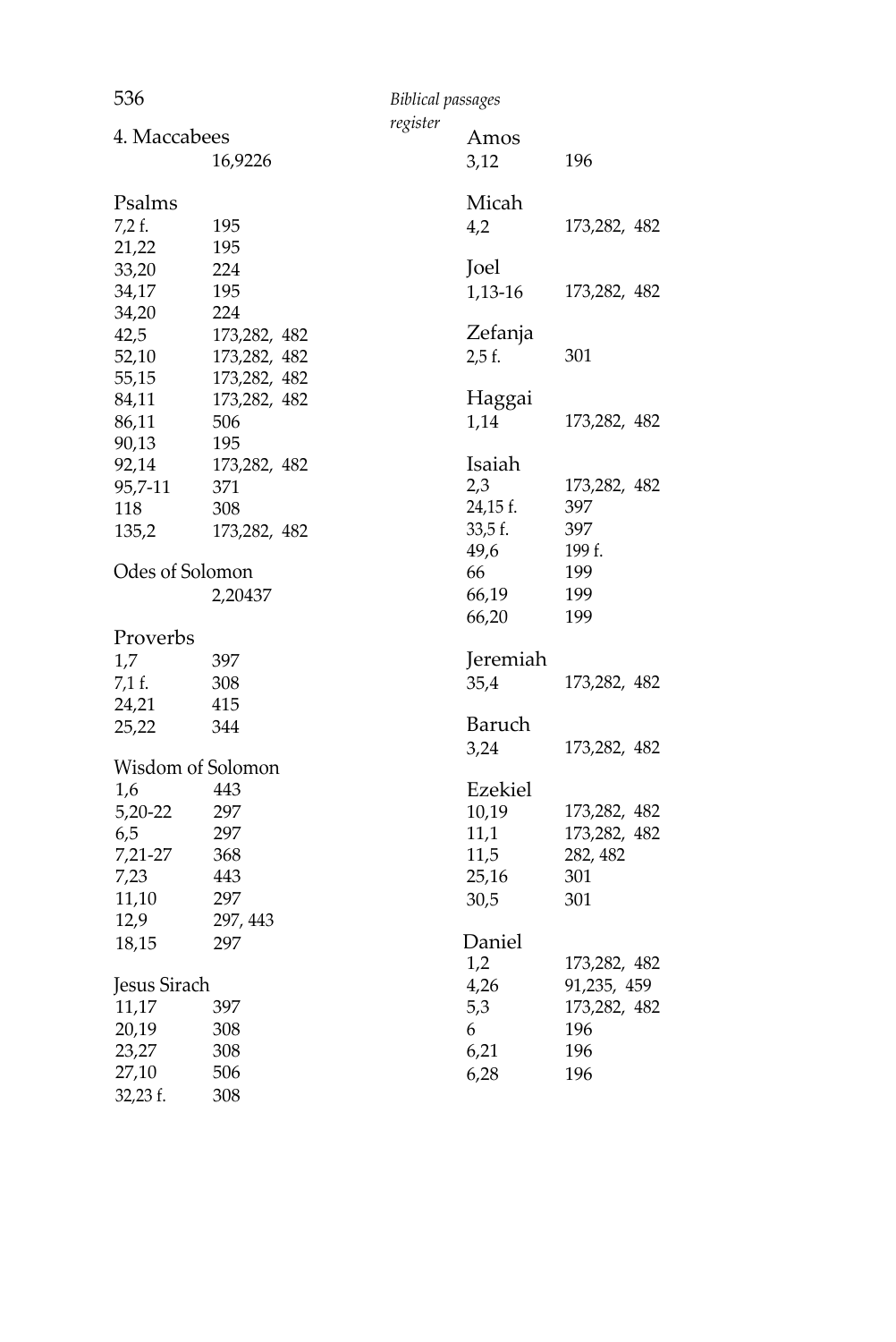| 536             |                   | <b>Biblical passages</b> |          |              |
|-----------------|-------------------|--------------------------|----------|--------------|
| 4. Maccabees    |                   | register                 | Amos     |              |
|                 | 16,9226           |                          | 3,12     | 196          |
| Psalms          |                   |                          | Micah    |              |
| $7,2$ f.        | 195               |                          | 4,2      | 173,282, 482 |
| 21,22           | 195               |                          |          |              |
| 33,20           | 224               |                          | Joel     |              |
| 34,17           | 195               |                          | 1,13-16  | 173,282, 482 |
| 34,20           | 224               |                          |          |              |
| 42,5            | 173,282, 482      |                          | Zefanja  |              |
| 52,10           | 173,282, 482      |                          | 2.5f.    | 301          |
| 55,15           | 173,282, 482      |                          |          |              |
| 84,11           | 173,282, 482      |                          | Haggai   |              |
| 86,11           | 506               |                          | 1,14     | 173,282, 482 |
| 90,13           | 195               |                          |          |              |
| 92,14           | 173,282, 482      |                          | Isaiah   |              |
| 95,7-11         | 371               |                          | 2,3      | 173,282, 482 |
| 118             | 308               |                          | 24,15 f. | 397          |
| 135,2           | 173,282, 482      |                          | 33,5f.   | 397          |
|                 |                   |                          | 49,6     | 199 f.       |
| Odes of Solomon |                   |                          | 66       | 199          |
|                 | 2,20437           |                          | 66,19    | 199          |
|                 |                   |                          | 66,20    | 199          |
| Proverbs        |                   |                          |          |              |
| 1,7             | 397               |                          | Jeremiah |              |
| 7,1 f.          | 308               |                          | 35,4     | 173,282, 482 |
| 24,21           | 415               |                          |          |              |
| 25,22           | 344               |                          | Baruch   |              |
|                 |                   |                          | 3,24     | 173,282, 482 |
|                 | Wisdom of Solomon |                          |          |              |
| 1,6             | 443               |                          | Ezekiel  |              |
| 5,20-22         | 297               |                          | 10,19    | 173,282, 482 |
| 6,5             | 297               |                          | 11,1     | 173,282, 482 |
| 7,21-27         | 368               |                          | 11,5     | 282, 482     |
| 7,23            | 443               |                          | 25,16    | 301          |
| 11,10           | 297               |                          | 30,5     | 301          |
| 12,9            | 297, 443          |                          |          |              |
| 18,15           | 297               |                          | Daniel   |              |
|                 |                   |                          | 1,2      | 173,282, 482 |
| Jesus Sirach    |                   |                          | 4,26     | 91,235, 459  |
| 11,17           | 397               |                          | 5,3      | 173,282, 482 |
| 20,19           | 308               |                          | 6        | 196          |
| 23,27           | 308               |                          | 6,21     | 196          |
| 27,10           | 506               |                          | 6,28     | 196          |
| 32,23 f.        | 308               |                          |          |              |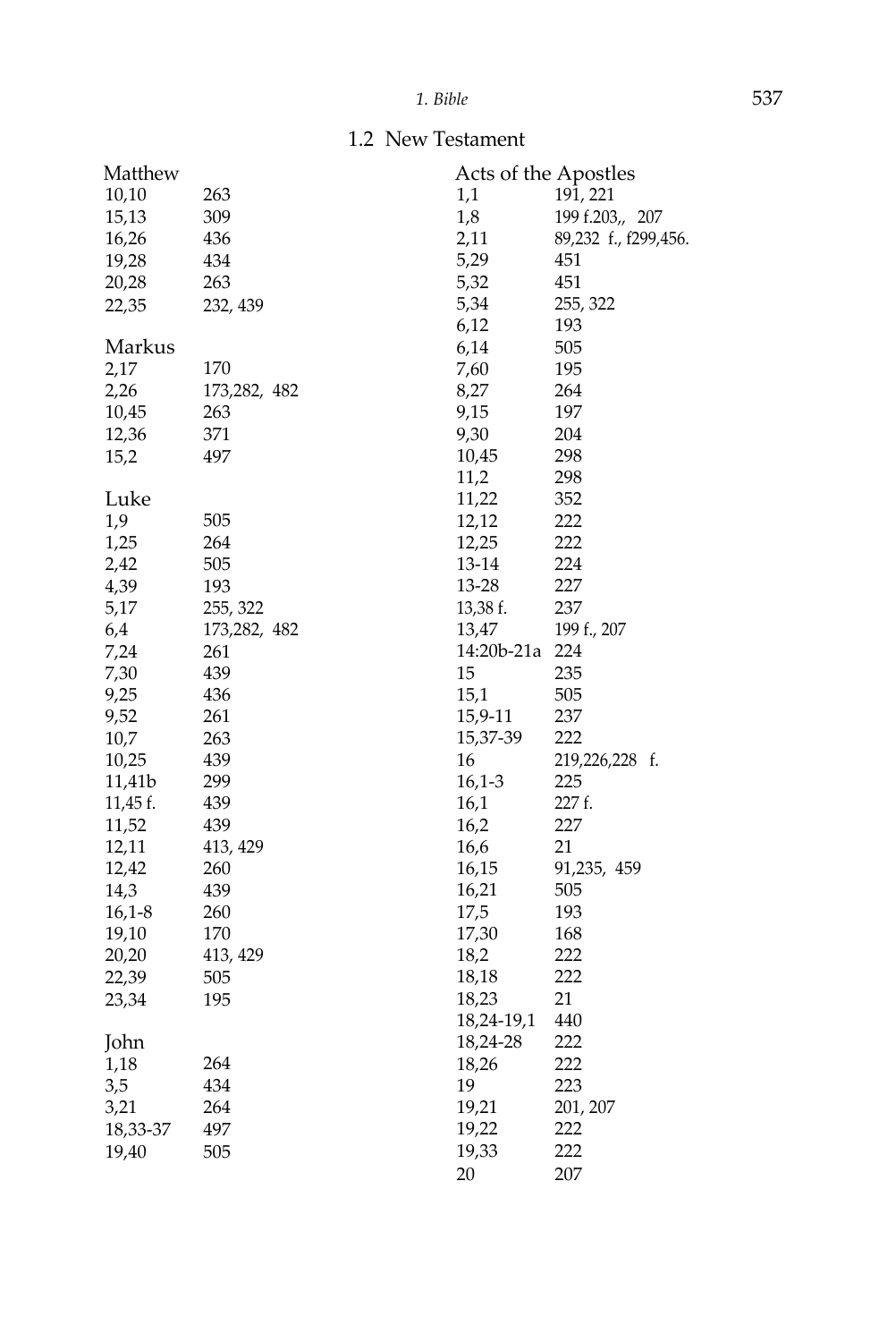1.2 New Testament

| Matthew  |              | Acts of the Apostles |                      |
|----------|--------------|----------------------|----------------------|
| 10,10    | 263          | 1,1                  | 191, 221             |
| 15,13    | 309          | 1,8                  | 199 f.203,, 207      |
| 16,26    | 436          | 2,11                 | 89,232 f., f299,456. |
| 19,28    | 434          | 5,29                 | 451                  |
| 20,28    | 263          | 5,32                 | 451                  |
| 22,35    | 232, 439     | 5,34                 | 255, 322             |
|          |              | 6,12                 | 193                  |
| Markus   |              | 6,14                 | 505                  |
| 2,17     | 170          | 7,60                 | 195                  |
| 2,26     | 173,282, 482 | 8,27                 | 264                  |
| 10,45    | 263          | 9,15                 | 197                  |
| 12,36    | 371          | 9,30                 | 204                  |
| 15,2     | 497          | 10,45                | 298                  |
|          |              | 11,2                 | 298                  |
| Luke     |              | 11,22                | 352                  |
| 1,9      | 505          | 12,12                | 222                  |
| 1,25     | 264          | 12,25                | 222                  |
| 2,42     | 505          | 13-14                | 224                  |
| 4,39     | 193          | 13-28                | 227                  |
| 5,17     | 255, 322     | 13,38 f.             | 237                  |
| 6,4      | 173,282, 482 | 13,47                | 199 f., 207          |
| 7,24     | 261          | 14:20b-21a           | 224                  |
| 7,30     | 439          | 15                   | 235                  |
| 9,25     | 436          | 15,1                 | 505                  |
| 9,52     | 261          | 15,9-11              | 237                  |
| 10,7     | 263          | 15,37-39             | 222                  |
| 10,25    | 439          | 16                   | 219,226,228 f.       |
| 11,41b   | 299          | $16,1-3$             | 225                  |
| 11,45 f. | 439          | 16,1                 | 227 f.               |
| 11,52    | 439          | 16,2                 | 227                  |
| 12,11    | 413, 429     | 16,6                 | 21                   |
| 12,42    | 260          | 16,15                | 91,235, 459          |
| 14,3     | 439          | 16,21                | 505                  |
| $16,1-8$ | 260          | 17,5                 | 193                  |
| 19,10    | 170          | 17,30                | 168                  |
| 20,20    | 413, 429     | 18,2                 | 222                  |
| 22,39    | 505          | 18,18                | 222                  |
| 23,34    | 195          | 18,23                | 21                   |
|          |              | 18,24-19,1           | 440                  |
| John     |              | 18,24-28             | 222                  |
| 1,18     | 264          | 18,26                | 222                  |
| 3,5      | 434          | 19                   | 223                  |
| 3,21     | 264          | 19,21                | 201, 207             |
| 18,33-37 | 497          | 19,22                | 222                  |
| 19,40    | 505          | 19,33                | 222                  |
|          |              | 20                   | 207                  |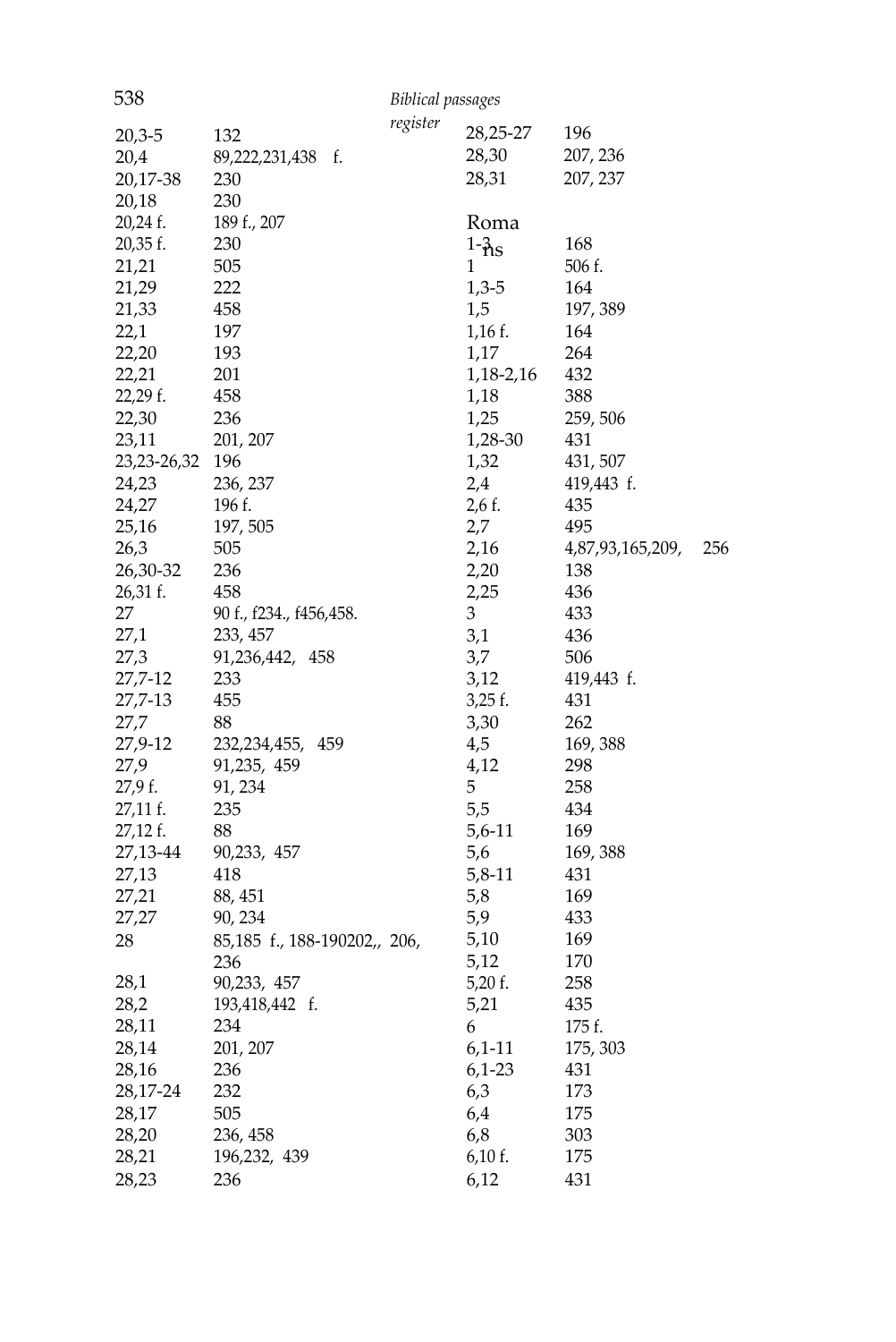| 538         |                              | <b>Biblical passages</b> |               |                  |     |
|-------------|------------------------------|--------------------------|---------------|------------------|-----|
|             |                              | register                 | 28,25-27      | 196              |     |
| $20,3-5$    | 132                          |                          |               |                  |     |
| 20,4        | 89,222,231,438<br>f.         |                          | 28,30         | 207, 236         |     |
| 20,17-38    | 230                          |                          | 28,31         | 207, 237         |     |
| 20,18       | 230                          |                          |               |                  |     |
| 20,24 f.    | 189 f., 207                  |                          | Roma          |                  |     |
| 20,35 f.    | 230                          |                          | $1-\hat{h}$ s | 168              |     |
| 21,21       | 505                          |                          | 1             | 506 f.           |     |
| 21,29       | 222                          |                          | $1,3-5$       | 164              |     |
| 21,33       | 458                          |                          | 1,5           | 197, 389         |     |
| 22,1        | 197                          |                          | $1,16$ f.     | 164              |     |
| 22,20       | 193                          |                          | 1,17          | 264              |     |
| 22,21       | 201                          |                          | 1, 18 - 2, 16 | 432              |     |
| 22,29 f.    | 458                          |                          | 1,18          | 388              |     |
| 22,30       | 236                          |                          | 1,25          | 259, 506         |     |
| 23,11       | 201, 207                     |                          | 1,28-30       | 431              |     |
| 23,23-26,32 | 196                          |                          | 1,32          | 431, 507         |     |
| 24,23       | 236, 237                     |                          | 2,4           | 419,443 f.       |     |
| 24,27       | 196 f.                       |                          | $2,6$ f.      | 435              |     |
| 25,16       | 197, 505                     |                          | 2,7           | 495              |     |
| 26,3        | 505                          |                          | 2,16          | 4,87,93,165,209, | 256 |
| 26,30-32    | 236                          |                          | 2,20          | 138              |     |
| 26,31 f.    | 458                          |                          | 2,25          | 436              |     |
| 27          | 90 f., f234., f456,458.      |                          | 3             | 433              |     |
| 27,1        | 233, 457                     |                          | 3,1           | 436              |     |
| 27,3        | 91,236,442, 458              |                          | 3,7           | 506              |     |
| 27,7-12     | 233                          |                          | 3,12          | 419,443 f.       |     |
| 27,7-13     | 455                          |                          | $3,25$ f.     | 431              |     |
| 27,7        | 88                           |                          | 3,30          | 262              |     |
| 27,9-12     | 232, 234, 455, 459           |                          | 4,5           | 169, 388         |     |
| 27,9        | 91,235, 459                  |                          | 4,12          | 298              |     |
| 27,9 f.     | 91, 234                      |                          | 5             | 258              |     |
| 27,11 f.    | 235                          |                          | 5,5           | 434              |     |
| 27,12 f.    | 88                           |                          | 5,6-11        | 169              |     |
| 27,13-44    | 90,233, 457                  |                          | 5,6           | 169, 388         |     |
| 27,13       | 418                          |                          | 5,8-11        | 431              |     |
| 27,21       | 88, 451                      |                          | 5,8           | 169              |     |
| 27,27       | 90, 234                      |                          | 5,9           | 433              |     |
| 28          | 85,185 f., 188-190202,, 206, |                          | 5,10          | 169              |     |
|             | 236                          |                          | 5,12          | 170              |     |
| 28,1        | 90,233, 457                  |                          | 5,20 f.       | 258              |     |
| 28,2        | 193,418,442 f.               |                          | 5,21          | 435              |     |
| 28,11       | 234                          |                          | 6             | 175 f.           |     |
| 28,14       | 201, 207                     |                          | $6,1-11$      | 175, 303         |     |
| 28,16       | 236                          |                          | $6,1-23$      | 431              |     |
| 28,17-24    | 232                          |                          | 6,3           | 173              |     |
| 28,17       | 505                          |                          | 6,4           | 175              |     |
|             | 236, 458                     |                          |               |                  |     |
| 28,20       |                              |                          | 6,8           | 303              |     |
| 28,21       | 196,232, 439                 |                          | 6,10 f.       | 175              |     |
| 28,23       | 236                          |                          | 6,12          | 431              |     |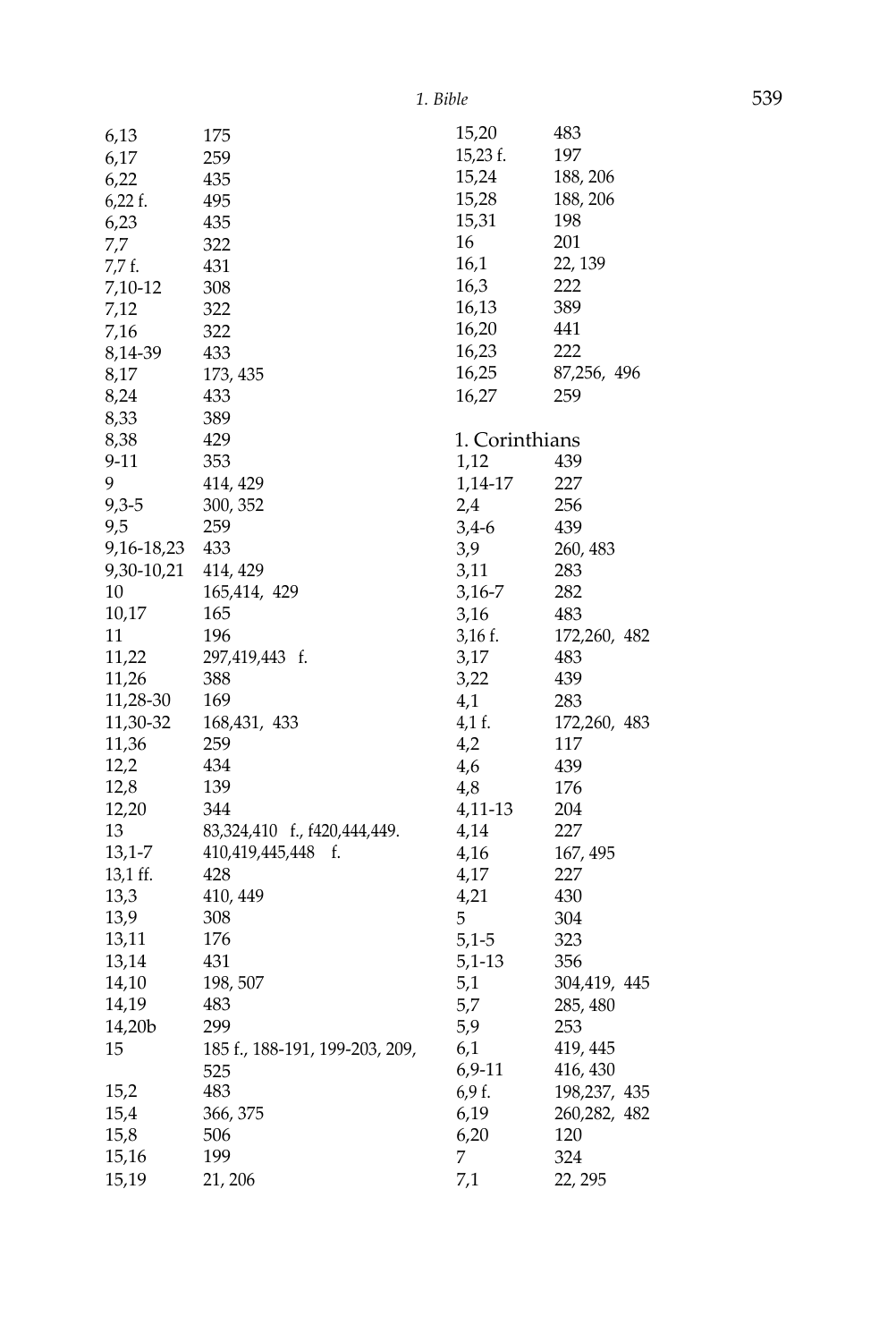| 6,13       | 175                            | 15,20          | 483          |
|------------|--------------------------------|----------------|--------------|
| 6,17       | 259                            | 15,23 f.       | 197          |
| 6,22       | 435                            | 15,24          | 188, 206     |
| $6,22$ f.  | 495                            | 15,28          | 188, 206     |
| 6,23       | 435                            | 15,31          | 198          |
| 7,7        | 322                            | 16             | 201          |
| 7,7 f.     | 431                            | 16,1           | 22, 139      |
| 7,10-12    | 308                            | 16,3           | 222          |
| 7,12       | 322                            | 16,13          | 389          |
| 7,16       | 322                            | 16,20          | 441          |
| 8,14-39    | 433                            | 16,23          | 222          |
| 8,17       | 173, 435                       | 16,25          | 87,256, 496  |
| 8,24       | 433                            | 16,27          | 259          |
| 8,33       | 389                            |                |              |
| 8,38       | 429                            | 1. Corinthians |              |
| $9 - 11$   | 353                            | 1,12           | 439          |
| 9          | 414, 429                       | 1,14-17        | 227          |
| $9,3-5$    | 300, 352                       | 2,4            | 256          |
| 9,5        | 259                            | $3,4-6$        | 439          |
| 9,16-18,23 | 433                            | 3,9            | 260, 483     |
| 9,30-10,21 | 414, 429                       | 3,11           | 283          |
| 10         | 165,414, 429                   | 3,16-7         | 282          |
| 10,17      | 165                            | 3,16           | 483          |
| 11         | 196                            | 3,16 f.        | 172,260, 482 |
| 11,22      | 297,419,443 f.                 | 3,17           | 483          |
| 11,26      | 388                            | 3,22           | 439          |
| 11,28-30   | 169                            | 4,1            | 283          |
| 11,30-32   | 168,431, 433                   | 4,1 f.         | 172,260, 483 |
| 11,36      | 259                            | 4,2            | 117          |
| 12,2       | 434                            | 4,6            | 439          |
| 12,8       | 139                            | 4,8            | 176          |
| 12,20      | 344                            | 4,11-13        | 204          |
| 13         | 83,324,410 f., f420,444,449.   | 4,14           | 227          |
| 13,1-7     | 410,419,445,448<br>f.          | 4,16           | 167, 495     |
| 13,1 ff.   | 428                            | 4,17           | 227          |
| 13,3       | 410, 449                       | 4,21           | 430          |
| 13,9       | 308                            | 5              | 304          |
| 13,11      | 176                            | $5,1-5$        | 323          |
| 13,14      | 431                            | 5,1-13         | 356          |
| 14,10      | 198, 507                       | 5,1            | 304,419, 445 |
| 14,19      | 483                            | 5,7            | 285, 480     |
| 14,20b     | 299                            | 5,9            | 253          |
| 15         | 185 f., 188-191, 199-203, 209, | 6,1            | 419, 445     |
|            | 525                            | $6,9-11$       | 416, 430     |
| 15,2       | 483                            | 6,9f.          | 198,237, 435 |
| 15,4       | 366, 375                       | 6,19           | 260,282, 482 |
| 15,8       | 506                            | 6,20           | 120          |
| 15,16      | 199                            | 7              | 324          |
| 15,19      | 21, 206                        | 7,1            | 22, 295      |
|            |                                |                |              |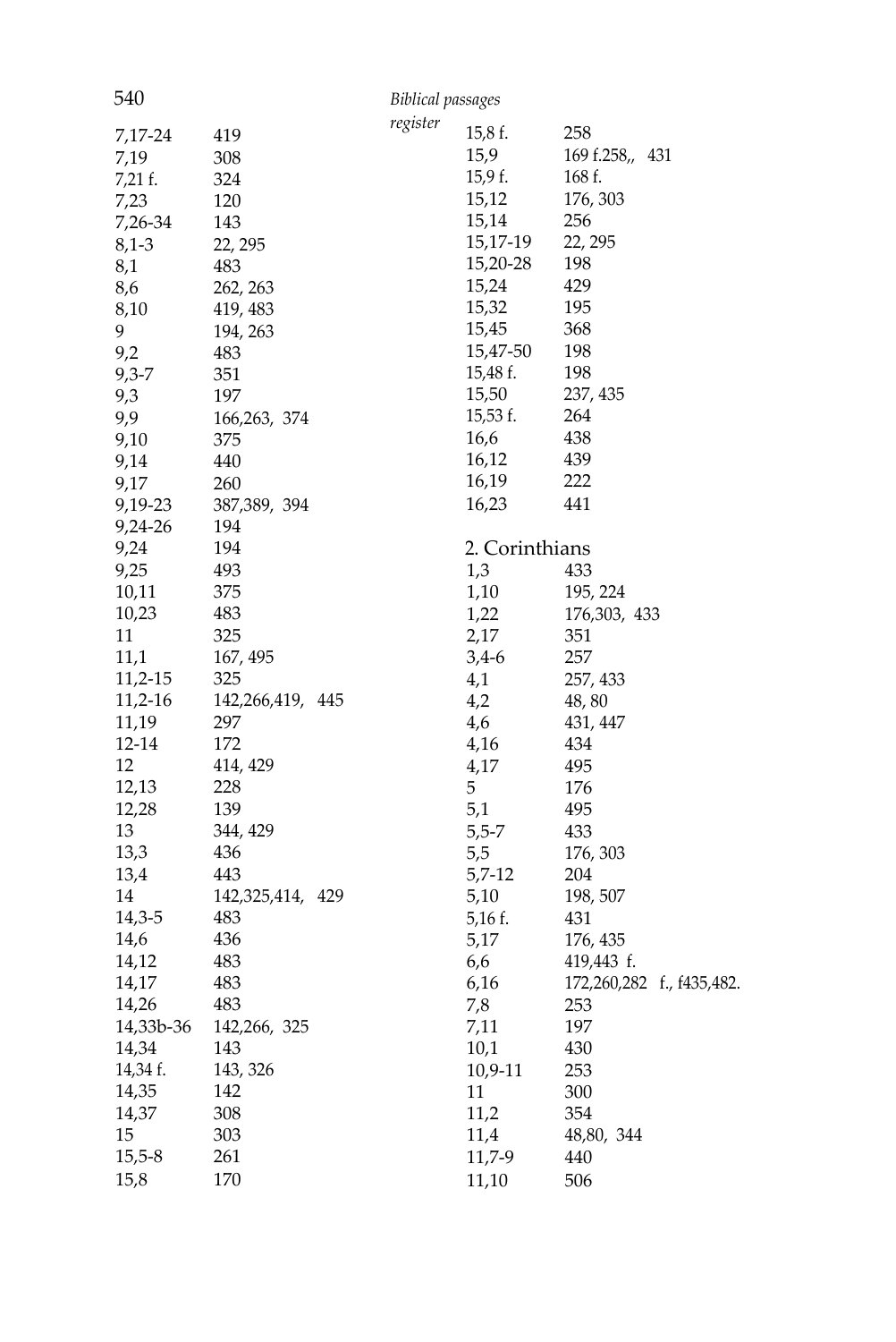| 540       |                  | <b>Biblical passages</b> |                |                           |
|-----------|------------------|--------------------------|----------------|---------------------------|
|           |                  | register                 | 15,8 f.        | 258                       |
| 7,17-24   | 419<br>308       |                          | 15,9           | 169 f.258,, 431           |
| 7,19      |                  |                          | 15,9f.         | 168 f.                    |
| 7,21 f.   | 324              |                          | 15,12          | 176, 303                  |
| 7,23      | 120              |                          | 15,14          | 256                       |
| 7,26-34   | 143              |                          | 15,17-19       | 22, 295                   |
| $8,1-3$   | 22, 295          |                          | 15,20-28       | 198                       |
| 8,1       | 483              |                          | 15,24          | 429                       |
| 8,6       | 262, 263         |                          | 15,32          | 195                       |
| 8,10<br>9 | 419, 483         |                          | 15,45          | 368                       |
|           | 194, 263         |                          | 15,47-50       | 198                       |
| 9,2       | 483              |                          |                | 198                       |
| $9,3 - 7$ | 351              |                          | 15,48 f.       |                           |
| 9,3       | 197              |                          | 15,50          | 237, 435                  |
| 9,9       | 166,263, 374     |                          | 15,53 f.       | 264                       |
| 9,10      | 375              |                          | 16,6           | 438                       |
| 9,14      | 440              |                          | 16,12          | 439                       |
| 9,17      | 260              |                          | 16,19          | 222                       |
| 9,19-23   | 387, 389, 394    |                          | 16,23          | 441                       |
| 9,24-26   | 194              |                          |                |                           |
| 9,24      | 194              |                          | 2. Corinthians |                           |
| 9,25      | 493              |                          | 1,3            | 433                       |
| 10,11     | 375              |                          | 1,10           | 195, 224                  |
| 10,23     | 483              |                          | 1,22           | 176,303, 433              |
| 11        | 325              |                          | 2,17           | 351                       |
| 11,1      | 167, 495         |                          | $3,4-6$        | 257                       |
| 11,2-15   | 325              |                          | 4,1            | 257, 433                  |
| $11,2-16$ | 142,266,419, 445 |                          | 4,2            | 48,80                     |
| 11,19     | 297              |                          | 4,6            | 431, 447                  |
| 12-14     | 172              |                          | 4,16           | 434                       |
| 12        | 414, 429         |                          | 4,17           | 495                       |
| 12,13     | 228              |                          | 5              | 176                       |
| 12,28     | 139              |                          | 5,1            | 495                       |
| 13        | 344, 429         |                          | $5,5-7$        | 433                       |
| 13,3      | 436              |                          | 5,5            | 176, 303                  |
| 13,4      | 443              |                          | 5,7-12         | 204                       |
| 14        | 142,325,414, 429 |                          | 5,10           | 198, 507                  |
| 14,3-5    | 483              |                          | 5,16 f.        | 431                       |
| 14,6      | 436              |                          | 5,17           | 176, 435                  |
| 14,12     | 483              |                          | 6,6            | 419,443 f.                |
| 14,17     | 483              |                          | 6,16           | 172,260,282 f., f435,482. |
| 14,26     | 483              |                          | 7,8            | 253                       |
| 14,33b-36 | 142,266, 325     |                          | 7,11           | 197                       |
| 14,34     | 143              |                          | 10,1           | 430                       |
| 14,34 f.  | 143, 326         |                          | 10,9-11        | 253                       |
| 14,35     | 142              |                          | 11             | 300                       |
| 14,37     | 308              |                          | 11,2           | 354                       |
| 15        | 303              |                          | 11,4           | 48,80, 344                |
| $15,5-8$  | 261              |                          | 11,7-9         | 440                       |
| 15,8      | 170              |                          | 11,10          | 506                       |
|           |                  |                          |                |                           |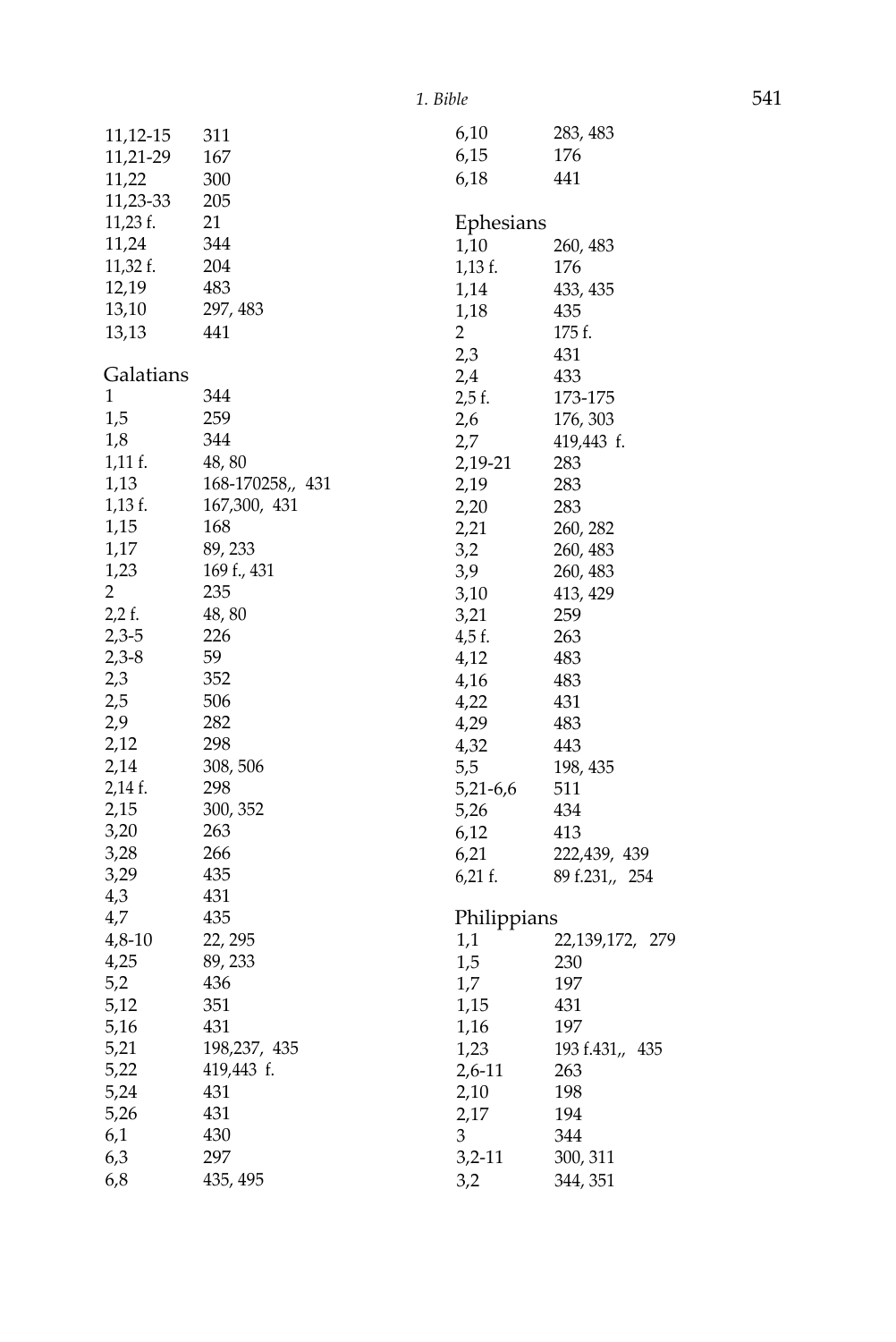| 11,12-15       | 311              | 6,10           | 283, 483        |
|----------------|------------------|----------------|-----------------|
| 11,21-29       | 167              | 6,15           | 176             |
| 11,22          | 300              | 6,18           | 441             |
| 11,23-33       | 205              |                |                 |
| 11,23 f.       | 21               | Ephesians      |                 |
| 11,24          | 344              | 1,10           | 260, 483        |
| 11,32 f.       | 204              | $1,13$ f.      | 176             |
| 12,19          | 483              | 1,14           | 433, 435        |
| 13,10          | 297, 483         | 1,18           | 435             |
| 13,13          | 441              | $\overline{2}$ | 175 f.          |
|                |                  | 2,3            | 431             |
| Galatians      |                  | 2,4            | 433             |
| $\mathbf{1}$   | 344              | 2,5 f.         | 173-175         |
| 1,5            | 259              | 2,6            | 176, 303        |
| 1,8            | 344              | 2,7            | 419,443 f.      |
| $1,11$ f.      | 48,80            | 2,19-21        | 283             |
| 1,13           | 168-170258,, 431 | 2,19           | 283             |
| $1,13$ f.      | 167,300, 431     | 2,20           | 283             |
| 1,15           | 168              | 2,21           | 260, 282        |
| 1,17           | 89, 233          | 3,2            | 260, 483        |
| 1,23           | 169 f., 431      | 3,9            | 260, 483        |
| $\overline{2}$ | 235              | 3,10           | 413, 429        |
| $2,2$ f.       | 48,80            | 3,21           | 259             |
| $2,3-5$        | 226              | 4,5 f.         | 263             |
| $2,3-8$        | 59               | 4,12           | 483             |
| 2,3            | 352              | 4,16           | 483             |
| 2,5            | 506              | 4,22           | 431             |
| 2,9            | 282              | 4,29           | 483             |
| 2,12           | 298              | 4,32           | 443             |
| 2,14           | 308, 506         | 5,5            | 198, 435        |
| 2,14 f.        | 298              | 5,21-6,6       | 511             |
| 2,15           | 300, 352         | 5,26           | 434             |
| 3,20           | 263              | 6,12           | 413             |
| 3,28           | 266              | 6,21           | 222,439, 439    |
| 3,29           | 435              | $6,21$ f.      | 89 f.231,, 254  |
| 4,3            | 431              |                |                 |
| 4,7            | 435              | Philippians    |                 |
| 4,8-10         | 22, 295          | 1,1            | 22,139,172, 279 |
| 4,25           | 89, 233          | 1,5            | 230             |
| 5,2            | 436              | 1,7            | 197             |
| 5,12           | 351              | 1,15           | 431             |
| 5,16           | 431              | 1,16           | 197             |
| 5,21           | 198,237, 435     | 1,23           | 193 f.431,, 435 |
| 5,22           | 419,443 f.       | $2,6-11$       | 263             |
| 5,24           | 431              | 2,10           | 198             |
| 5,26           | 431              | 2,17           | 194             |
| 6,1            | 430              | 3              | 344             |
| 6,3            | 297              | $3,2-11$       | 300, 311        |
| 6,8            | 435, 495         | 3,2            | 344, 351        |
|                |                  |                |                 |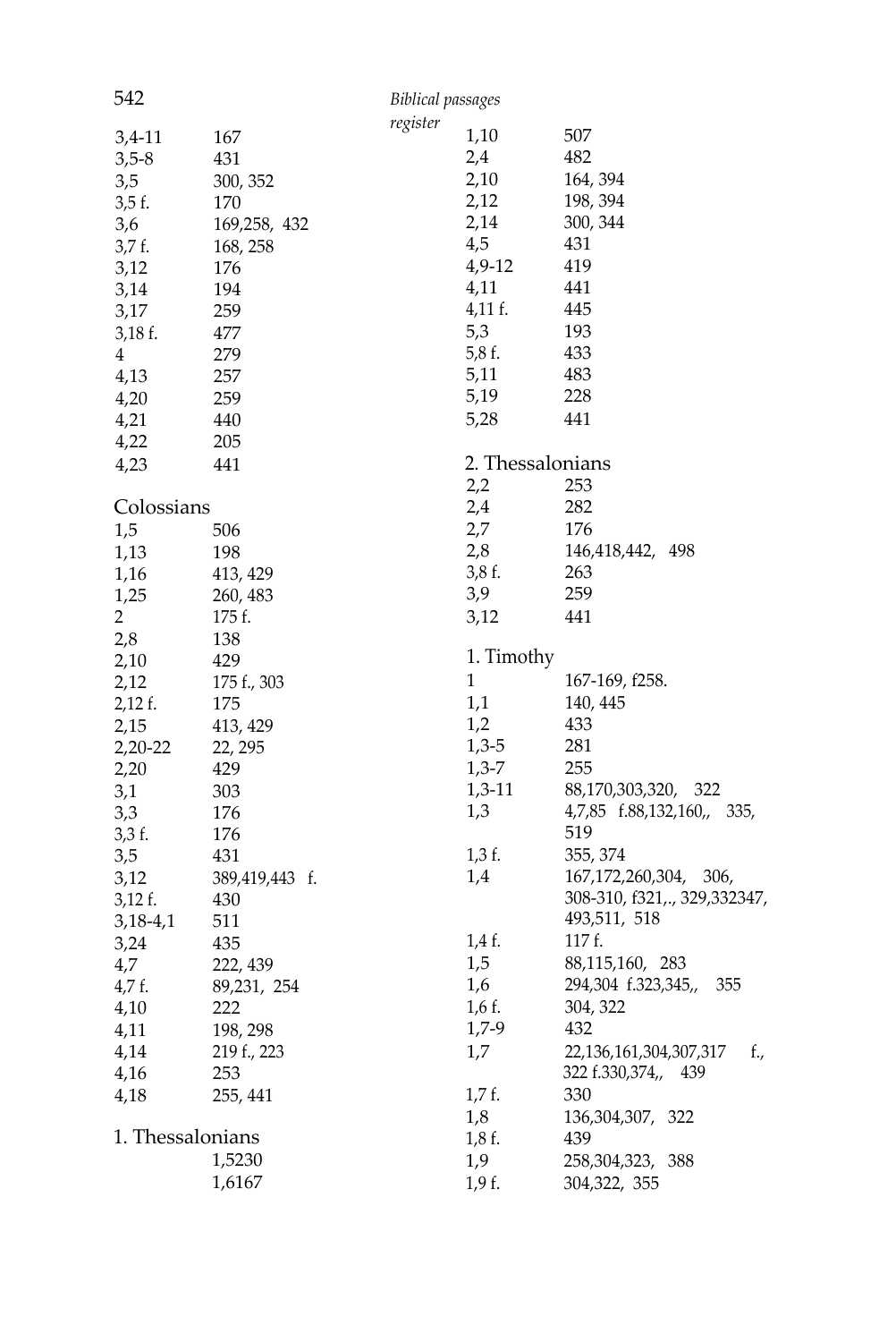| 542              |                    | Biblical passages |                  |                                    |
|------------------|--------------------|-------------------|------------------|------------------------------------|
|                  |                    | register          |                  |                                    |
| $3,4-11$         | 167                |                   | 1,10             | 507                                |
| $3,5-8$          | 431                |                   | 2,4              | 482                                |
| 3,5              | 300, 352           |                   | 2,10             | 164, 394                           |
| 3,5f.            | 170                |                   | 2,12             | 198, 394                           |
| 3,6              | 169,258, 432       |                   | 2,14             | 300, 344                           |
| 3,7 f.           | 168, 258           |                   | 4,5              | 431                                |
| 3,12             | 176                |                   | 4,9-12           | 419                                |
| 3,14             | 194                |                   | 4,11             | 441                                |
| 3,17             | 259                |                   | $4,11$ f.        | 445                                |
| $3,18$ f.        | 477                |                   | 5,3              | 193                                |
| $\overline{4}$   | 279                |                   | 5,8f.            | 433                                |
| 4,13             | 257                |                   | 5,11             | 483                                |
| 4,20             | 259                |                   | 5,19             | 228                                |
| 4,21             | 440                |                   | 5,28             | 441                                |
| 4,22             | 205                |                   |                  |                                    |
| 4,23             | 441                |                   | 2. Thessalonians |                                    |
|                  |                    |                   | 2,2              | 253                                |
| Colossians       |                    |                   | 2,4              | 282                                |
| 1,5              | 506                |                   | 2,7              | 176                                |
| 1,13             | 198                |                   | 2,8              | 146,418,442, 498                   |
|                  |                    |                   | 3,8f.            | 263                                |
| 1,16             | 413, 429           |                   | 3,9              | 259                                |
| 1,25             | 260, 483<br>175 f. |                   |                  |                                    |
| 2                |                    |                   | 3,12             | 441                                |
| 2,8              | 138                |                   | 1. Timothy       |                                    |
| 2,10             | 429                |                   | $\mathbf{1}$     |                                    |
| 2,12             | 175 f., 303        |                   |                  | 167-169, f258.                     |
| $2,12$ f.        | 175                |                   | 1,1              | 140, 445                           |
| 2,15             | 413, 429           |                   | 1,2              | 433                                |
| 2,20-22          | 22, 295            |                   | $1,3-5$          | 281                                |
| 2,20             | 429                |                   | $1,3-7$          | 255                                |
| 3,1              | 303                |                   | $1,3-11$         | 88,170,303,320, 322                |
| 3,3              | 176                |                   | 1,3              | 4,7,85 f.88,132,160,, 335,         |
| 3,3f.            | 176                |                   |                  | 519                                |
| 3,5              | 431                |                   | $1,3$ f.         | 355, 374                           |
| 3,12             | 389,419,443 f.     |                   | 1,4              | 167, 172, 260, 304, 306,           |
| $3,12$ f.        | 430                |                   |                  | 308-310, f321,., 329,332347,       |
| $3,18-4,1$       | 511                |                   |                  | 493,511, 518                       |
| 3,24             | 435                |                   | 1,4 f.           | 117 f.                             |
| 4,7              | 222, 439           |                   | 1,5              | 88,115,160, 283                    |
| 4,7f.            | 89,231, 254        |                   | 1,6              | 294,304 f.323,345,,<br>355         |
| 4,10             | 222                |                   | $1,6$ f.         | 304, 322                           |
| 4,11             | 198, 298           |                   | $1,7-9$          | 432                                |
| 4,14             | 219 f., 223        |                   | 1,7              | 22, 136, 161, 304, 307, 317<br>f., |
| 4,16             | 253                |                   |                  | 322 f.330,374,, 439                |
| 4,18             | 255, 441           |                   | $1,7$ f.         | 330                                |
|                  |                    |                   | 1,8              | 136, 304, 307, 322                 |
| 1. Thessalonians |                    |                   | $1,8$ f.         | 439                                |
|                  | 1,5230             |                   | 1,9              | 258, 304, 323, 388                 |
|                  | 1,6167             |                   | 1,9f.            | 304,322, 355                       |
|                  |                    |                   |                  |                                    |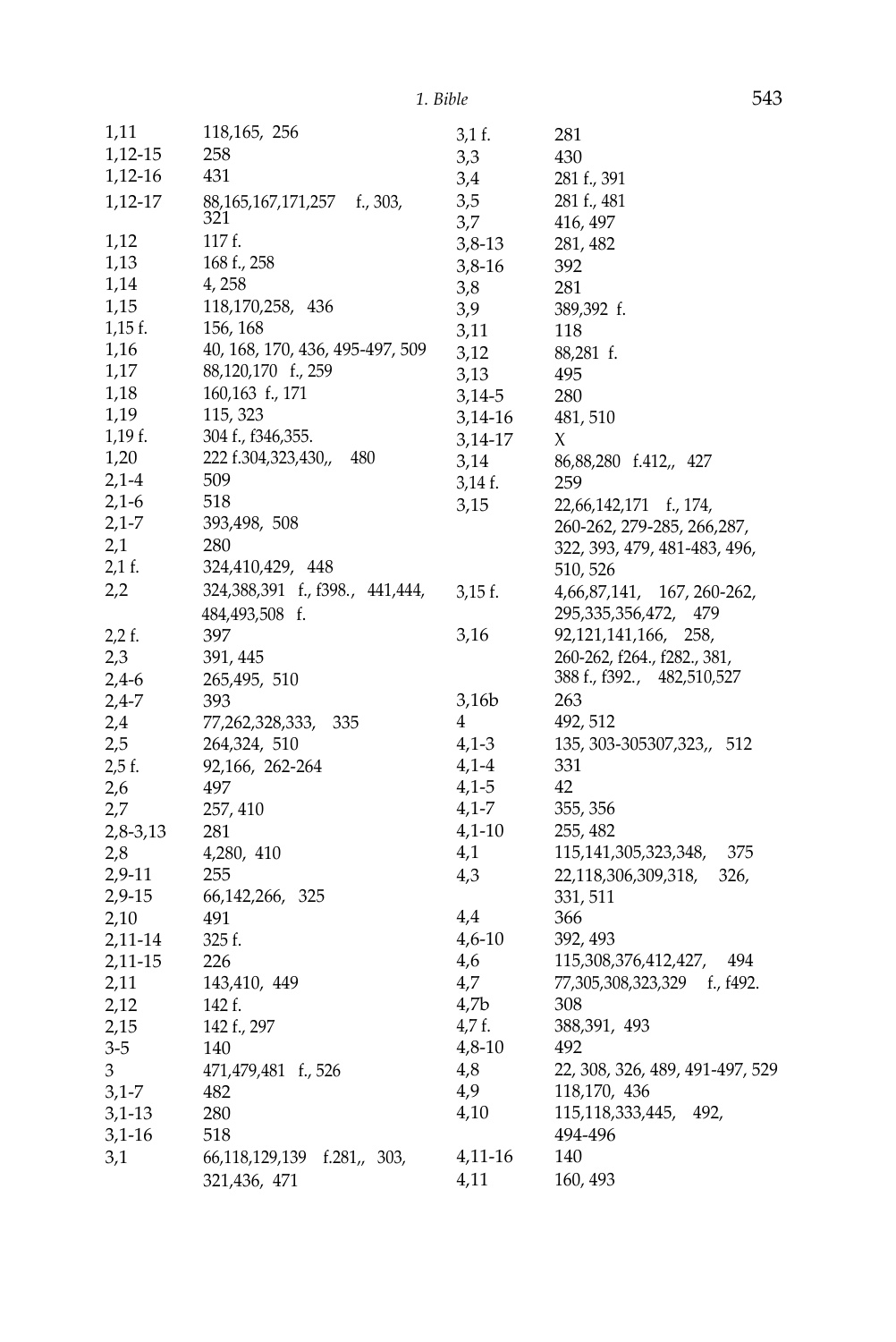| 1,11      | 118,165, 256                    | 3,1 f.    | 281                             |
|-----------|---------------------------------|-----------|---------------------------------|
| 1,12-15   | 258                             | 3,3       | 430                             |
| 1,12-16   | 431                             | 3,4       | 281 f., 391                     |
| 1,12-17   | f., 303,<br>88,165,167,171,257  | 3,5       | 281 f., 481                     |
|           | 321                             | 3,7       | 416, 497                        |
| 1,12      | 117 f.                          | $3,8-13$  | 281, 482                        |
| 1,13      | 168 f., 258                     | $3,8-16$  | 392                             |
| 1,14      | 4, 258                          | 3,8       | 281                             |
| 1,15      | 118,170,258, 436                | 3,9       | 389,392 f.                      |
| $1,15$ f. | 156, 168                        | 3,11      | 118                             |
| 1,16      | 40, 168, 170, 436, 495-497, 509 | 3,12      | 88,281 f.                       |
| 1,17      | 88,120,170 f., 259              | 3,13      | 495                             |
| 1,18      | 160,163 f., 171                 | 3,14-5    | 280                             |
| 1,19      | 115, 323                        | 3,14-16   | 481, 510                        |
| 1,19f.    | 304 f., f346,355.               | 3,14-17   | Х                               |
| 1,20      | 222 f.304,323,430,,<br>480      | 3,14      | 86,88,280 f.412,, 427           |
| $2,1-4$   | 509                             | $3,14$ f. | 259                             |
| $2,1-6$   | 518                             | 3,15      | 22,66,142,171 f., 174,          |
| $2,1-7$   | 393,498, 508                    |           | 260-262, 279-285, 266, 287,     |
| 2,1       | 280                             |           | 322, 393, 479, 481-483, 496,    |
| 2,1 f.    | 324,410,429, 448                |           | 510, 526                        |
| 2,2       | 324,388,391 f., f398., 441,444, | $3,15$ f. | 4,66,87,141,<br>167, 260-262,   |
|           | 484,493,508 f.                  |           | 295,335,356,472,<br>479         |
| $2,2$ f.  | 397                             | 3,16      | 92,121,141,166, 258,            |
| 2,3       | 391, 445                        |           | 260-262, f264., f282., 381,     |
| $2,4-6$   | 265,495, 510                    |           | 388 f., f392., 482,510,527      |
| 2,4-7     | 393                             | 3,16b     | 263                             |
| 2,4       | 77,262,328,333,<br>335          | 4         | 492, 512                        |
| 2,5       | 264,324, 510                    | $4,1-3$   | 135, 303-305307, 323,, 512      |
| 2,5 f.    | 92,166, 262-264                 | $4,1-4$   | 331                             |
| 2,6       | 497                             | $4,1-5$   | 42                              |
| 2,7       | 257, 410                        | $4,1 - 7$ | 355, 356                        |
| 2,8-3,13  | 281                             | $4,1-10$  | 255, 482                        |
| 2,8       | 4,280, 410                      | 4,1       | 115,141,305,323,348,<br>375     |
| 2,9-11    | 255                             | 4,3       | 22,118,306,309,318,<br>326,     |
| 2,9-15    | 66, 142, 266, 325               |           | 331, 511                        |
| 2,10      | 491                             | 4,4       | 366                             |
| 2,11-14   | 325 f.                          | $4,6-10$  | 392, 493                        |
| 2,11-15   | 226                             | 4,6       | 115,308,376,412,427,<br>494     |
| 2,11      | 143,410, 449                    | 4,7       | 77,305,308,323,329 f., f492.    |
| 2,12      | 142 f.                          | 4,7b      | 308                             |
| 2,15      | 142 f., 297                     | 4,7 f.    | 388,391, 493                    |
| 3-5       | 140                             | $4,8-10$  | 492                             |
| 3         | 471,479,481 f., 526             | 4,8       | 22, 308, 326, 489, 491-497, 529 |
| $3,1-7$   | 482                             | 4,9       | 118,170, 436                    |
| $3,1-13$  | 280                             | 4,10      | 115,118,333,445, 492,           |
| 3,1-16    | 518                             |           | 494-496                         |
| 3,1       | 66,118,129,139<br>f.281,, 303,  | 4,11-16   | 140                             |
|           | 321,436, 471                    | 4,11      | 160, 493                        |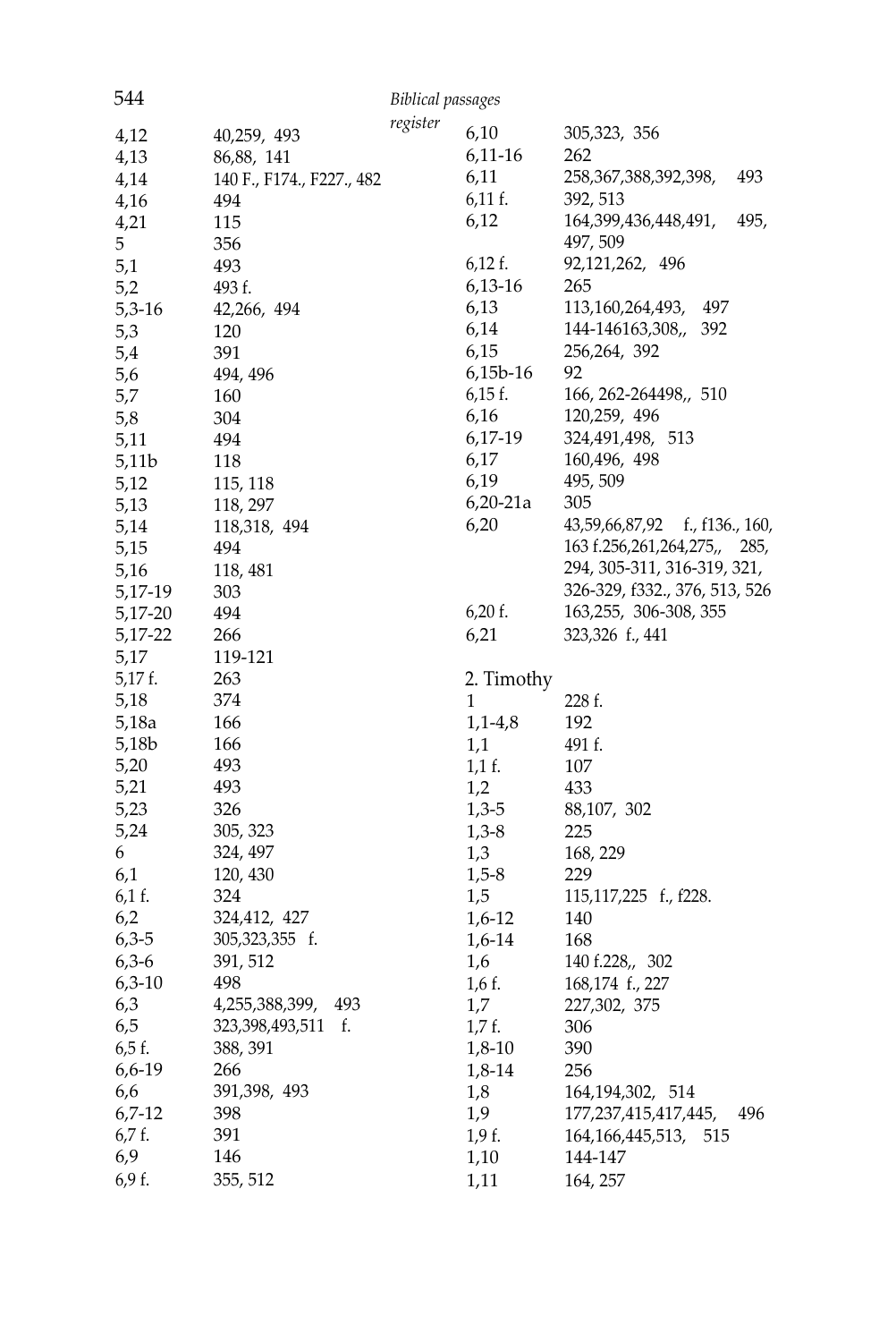| 544             |                           | <b>Biblical passages</b> |            |                                   |
|-----------------|---------------------------|--------------------------|------------|-----------------------------------|
| 4,12            | 40,259, 493               | register                 | 6,10       | 305,323, 356                      |
| 4,13            | 86,88, 141                |                          | 6,11-16    | 262                               |
| 4,14            | 140 F., F174., F227., 482 |                          | 6,11       | 258,367,388,392,398,<br>493       |
| 4,16            | 494                       |                          | $6,11$ f.  | 392, 513                          |
| 4,21            | 115                       |                          | 6,12       | 164,399,436,448,491,<br>495,      |
| 5               | 356                       |                          |            | 497, 509                          |
|                 | 493                       |                          | $6,12$ f.  | 92,121,262, 496                   |
| 5,1<br>5,2      | 493 f.                    |                          | 6,13-16    | 265                               |
|                 |                           |                          | 6,13       | 113, 160, 264, 493,<br>497        |
| $5,3-16$<br>5,3 | 42,266, 494<br>120        |                          | 6,14       | 144-146163,308,,<br>392           |
|                 |                           |                          | 6,15       | 256,264, 392                      |
| 5,4             | 391                       |                          | $6,15b-16$ | 92                                |
| 5,6             | 494, 496                  |                          |            |                                   |
| 5,7             | 160                       |                          | $6,15$ f.  | 166, 262-264498,, 510             |
| 5,8             | 304                       |                          | 6,16       | 120,259, 496                      |
| 5,11            | 494                       |                          | 6,17-19    | 324,491,498, 513                  |
| 5,11b           | 118                       |                          | 6,17       | 160,496, 498                      |
| 5,12            | 115, 118                  |                          | 6,19       | 495, 509                          |
| 5,13            | 118, 297                  |                          | $6,20-21a$ | 305                               |
| 5,14            | 118,318, 494              |                          | 6,20       | 43,59,66,87,92<br>f., f136., 160, |
| 5,15            | 494                       |                          |            | 163 f.256,261,264,275,,<br>285,   |
| 5,16            | 118, 481                  |                          |            | 294, 305-311, 316-319, 321,       |
| 5,17-19         | 303                       |                          |            | 326-329, f332., 376, 513, 526     |
| 5,17-20         | 494                       |                          | $6,20$ f.  | 163,255, 306-308, 355             |
| 5,17-22         | 266                       |                          | 6,21       | 323,326 f., 441                   |
| 5,17            | 119-121                   |                          |            |                                   |
| 5,17 f.         | 263                       |                          | 2. Timothy |                                   |
| 5,18            | 374                       |                          | 1          | 228 f.                            |
| 5,18a           | 166                       |                          | $1,1-4,8$  | 192                               |
| 5,18b           | 166                       |                          | 1,1        | 491 f.                            |
| 5,20            | 493                       |                          | $1,1$ f.   | 107                               |
| 5,21            | 493                       |                          | 1,2        | 433                               |
| 5,23            | 326                       |                          | $1,3-5$    | 88,107, 302                       |
| 5,24            | 305, 323                  |                          | $1,3-8$    | 225                               |
| 6               | 324, 497                  |                          | 1,3        | 168, 229                          |
| 6,1             | 120, 430                  |                          | $1,5-8$    | 229                               |
| 6,1 f.          | 324                       |                          | 1,5        | 115,117,225 f., f228.             |
| 6,2             | 324,412, 427              |                          | $1,6-12$   | 140                               |
| $6,3-5$         | 305,323,355 f.            |                          | 1,6-14     | 168                               |
| $6,3-6$         | 391, 512                  |                          | 1,6        | 140 f.228,, 302                   |
| $6,3-10$        | 498                       |                          | 1,6 f.     | 168,174 f., 227                   |
| 6,3             | 4,255,388,399,<br>493     |                          | 1,7        | 227,302, 375                      |
| 6,5             | 323,398,493,511<br>f.     |                          | 1,7f.      | 306                               |
| $6,5$ f.        | 388, 391                  |                          | $1,8-10$   | 390                               |
| 6,6-19          | 266                       |                          | 1,8-14     | 256                               |
| 6,6             | 391,398, 493              |                          | 1,8        | 164, 194, 302, 514                |
| $6,7-12$        | 398                       |                          | 1,9        | 177,237,415,417,445,<br>496       |
| 6,7 f.          | 391                       |                          | 1,9 f.     | 164, 166, 445, 513, 515           |
| 6,9             | 146                       |                          | 1,10       | 144-147                           |
| 6,9 f.          | 355, 512                  |                          | 1,11       | 164, 257                          |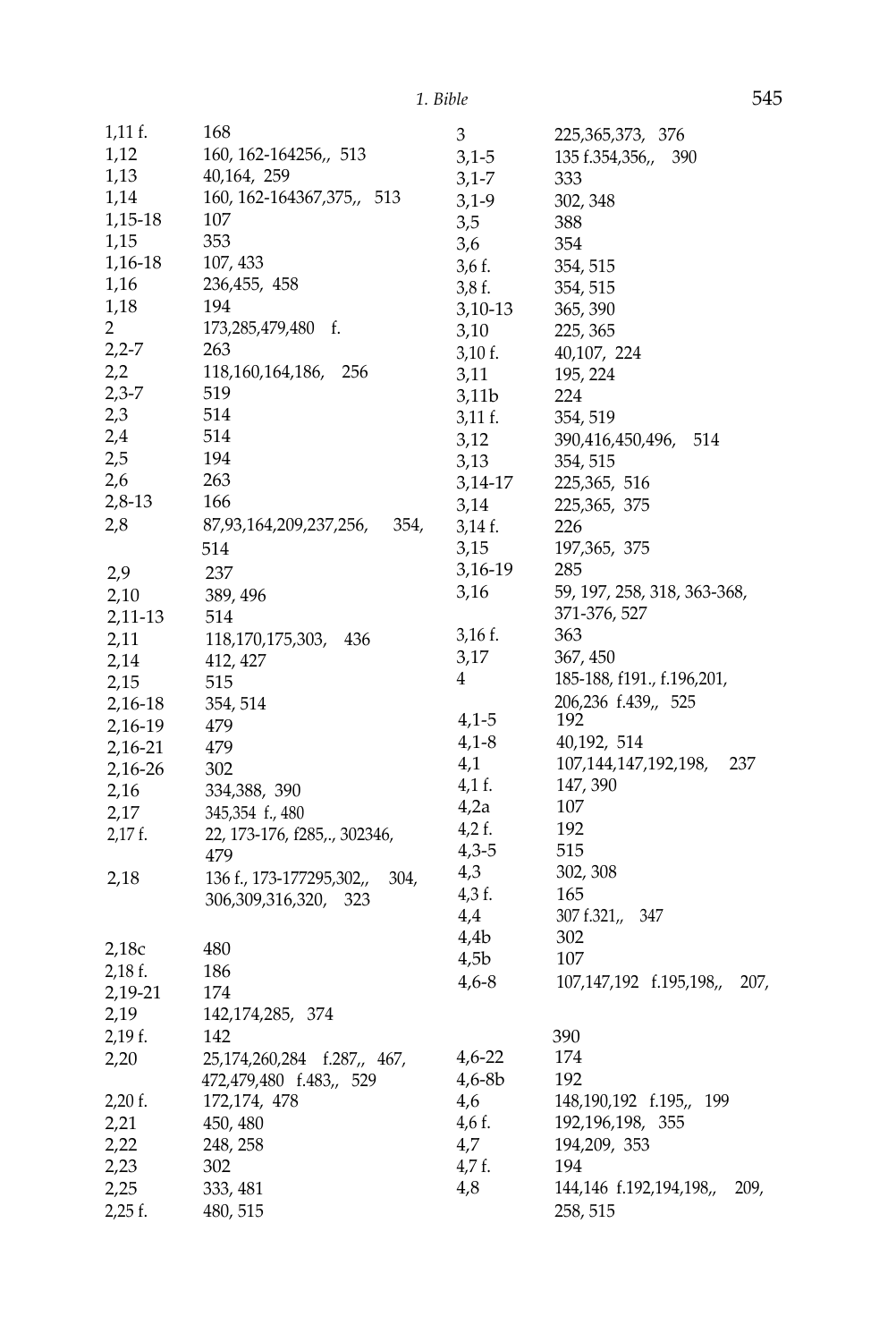| 1,11 f.        | 168                              | $\,3$            | 225, 365, 373, 376              |
|----------------|----------------------------------|------------------|---------------------------------|
| 1,12           | 160, 162-164256,, 513            | $3,1-5$          | 135 f.354,356,,<br>390          |
| 1,13           | 40,164, 259                      | $3,1 - 7$        | 333                             |
| 1,14           | 160, 162-164367, 375,<br>513     | $3,1-9$          | 302, 348                        |
| 1,15-18        | 107                              | 3,5              | 388                             |
| 1,15           | 353                              | 3,6              | 354                             |
| 1,16-18        | 107, 433                         | 3,6 f.           | 354, 515                        |
| 1,16           | 236,455, 458                     | 3,8f.            | 354, 515                        |
| 1,18           | 194                              | $3,10-13$        | 365, 390                        |
| $\overline{2}$ | 173,285,479,480<br>f.            | 3,10             | 225, 365                        |
| $2,2-7$        | 263                              | $3,10$ f.        | 40,107, 224                     |
| 2,2            | 118,160,164,186,<br>256          | 3,11             | 195, 224                        |
| $2,3-7$        | 519                              | 3,11b            | 224                             |
| 2,3            | 514                              | 3,11 f.          | 354, 519                        |
| 2,4            | 514                              | 3,12             | 390,416,450,496,<br>514         |
| 2,5            | 194                              | 3,13             | 354, 515                        |
| 2,6            | 263                              | 3,14-17          | 225, 365, 516                   |
| 2,8-13         | 166                              | 3,14             | 225, 365, 375                   |
| 2,8            | 87,93,164,209,237,256,<br>354,   | 3,14 f.          | 226                             |
|                | 514                              | 3,15             | 197, 365, 375                   |
|                | 237                              | 3,16-19          | 285                             |
| 2,9            |                                  | 3,16             | 59, 197, 258, 318, 363-368,     |
| 2,10           | 389, 496                         |                  | 371-376, 527                    |
| 2,11-13        | 514                              | $3,16$ f.        | 363                             |
| 2,11           | 118,170,175,303,<br>436          | 3,17             | 367, 450                        |
| 2,14           | 412, 427                         | 4                | 185-188, f191., f.196,201,      |
| 2,15           | 515                              |                  | 206,236 f.439,, 525             |
| 2,16-18        | 354, 514                         | 4,1-5            | 192                             |
| 2,16-19        | 479                              | $4,1-8$          | 40,192, 514                     |
| 2,16-21        | 479                              | 4,1              | 107,144,147,192,198,<br>237     |
| 2,16-26        | 302                              | 4,1 f.           | 147, 390                        |
| 2,16           | 334,388, 390                     | 4,2a             | 107                             |
| 2,17           | 345,354 f., 480                  | $4,2$ f.         | 192                             |
| $2,17$ f.      | 22, 173-176, f285,., 302346,     | $4,3-5$          | 515                             |
|                | 479                              | 4,3              | 302, 308                        |
| 2,18           | 136 f., 173-177295,302,,<br>304, | 4,3 f.           | 165                             |
|                | 306,309,316,320, 323             | 4,4              | 307 f.321,<br>347               |
|                |                                  | 4.4 <sub>b</sub> | 302                             |
| 2,18c          | 480                              | 4,5b             | 107                             |
| $2,18$ f.      | 186                              |                  |                                 |
| 2,19-21        | 174                              | $4,6 - 8$        | 107,147,192 f.195,198,,<br>207, |
| 2,19           | 142, 174, 285, 374               |                  |                                 |
| 2,19 f.        | 142                              |                  | 390                             |
| 2,20           | 25,174,260,284 f.287,, 467,      | $4,6-22$         | 174                             |
|                | 472,479,480 f.483,, 529          | $4,6 - 8b$       | 192                             |
| $2,20$ f.      | 172, 174, 478                    | 4,6              | 148, 190, 192 f. 195,, 199      |
| 2,21           | 450, 480                         | 4,6 f.           | 192, 196, 198, 355              |
| 2,22           | 248, 258                         | 4,7              | 194,209, 353                    |
| 2,23           | 302                              | 4,7 f.           | 194                             |
| 2,25           | 333, 481                         | 4,8              | 144,146 f.192,194,198,,<br>209, |
| $2,25$ f.      | 480, 515                         |                  | 258, 515                        |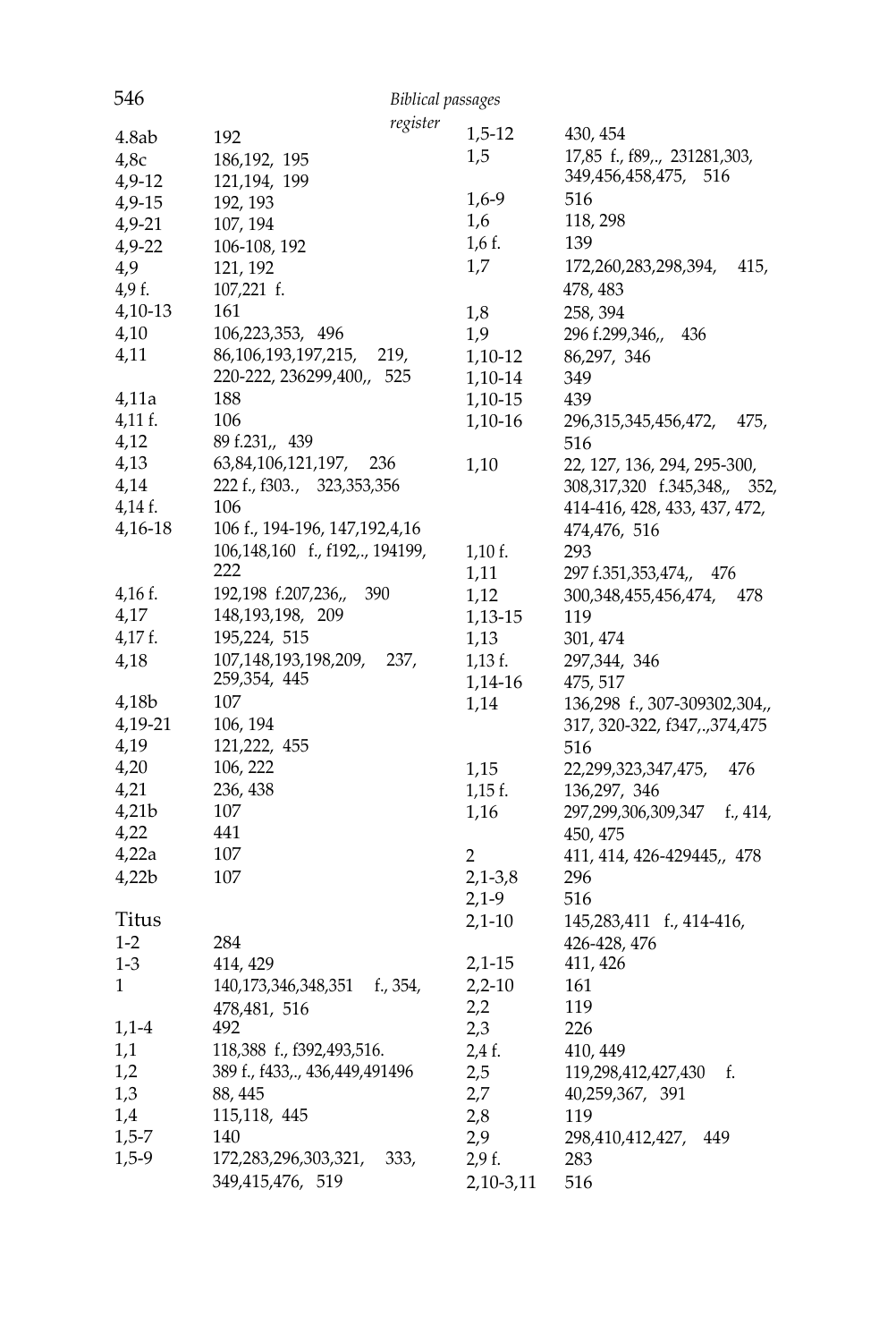| 546       | <b>Biblical passages</b>         |                  |                                    |
|-----------|----------------------------------|------------------|------------------------------------|
|           | register                         |                  |                                    |
| 4.8ab     | 192                              | $1,5-12$         | 430, 454                           |
| 4,8c      | 186, 192, 195                    | 1,5              | 17,85 f., f89,., 231281,303,       |
| $4,9-12$  | 121, 194, 199                    |                  | 349,456,458,475, 516               |
| $4,9-15$  | 192, 193                         | $1,6-9$          | 516                                |
| $4,9-21$  | 107, 194                         | 1,6              | 118, 298                           |
| $4,9-22$  | 106-108, 192                     | $1,6$ f.         | 139                                |
| 4,9       | 121, 192                         | 1,7              | 172,260,283,298,394,<br>415,       |
| 4,9 f.    | 107,221 f.                       |                  | 478, 483                           |
| $4,10-13$ | 161                              | 1,8              | 258, 394                           |
| 4,10      | 106,223,353, 496                 | 1,9              | 296 f.299,346,,<br>436             |
| 4,11      | 86,106,193,197,215,<br>219,      | $1,10-12$        | 86,297, 346                        |
|           | 220-222, 236299,400,, 525        | 1,10-14          | 349                                |
| 4,11a     | 188                              | 1,10-15          | 439                                |
| $4,11$ f. | 106                              | 1,10-16          | 296,315,345,456,472,<br>475,       |
| 4,12      | 89 f.231,, 439                   |                  | 516                                |
| 4,13      | 63,84,106,121,197,<br>236        | 1,10             | 22, 127, 136, 294, 295-300,        |
| 4,14      | 222 f., f303., 323,353,356       |                  | 308,317,320 f.345,348,, 352,       |
| 4,14 f.   | 106                              |                  | 414-416, 428, 433, 437, 472,       |
| $4,16-18$ | 106 f., 194-196, 147, 192, 4, 16 |                  | 474,476, 516                       |
|           | 106,148,160 f., f192,., 194199,  | $1,10$ f.        | 293                                |
|           | 222                              | 1,11             | 297 f.351,353,474,, 476            |
| $4,16$ f. | 192,198 f.207,236,,<br>390       | 1,12             | 300,348,455,456,474,<br>478        |
| 4,17      | 148, 193, 198, 209               | 1,13-15          | 119                                |
| $4,17$ f. | 195,224, 515                     | 1,13             | 301, 474                           |
| 4,18      | 107,148,193,198,209,<br>237,     | $1,13$ f.        | 297,344, 346                       |
|           | 259,354, 445                     | 1,14-16          | 475, 517                           |
| 4,18b     | 107                              | 1,14             | 136,298 f., 307-309302,304,,       |
| 4,19-21   | 106, 194                         |                  | 317, 320-322, f347, ., 374, 475    |
| 4,19      | 121,222, 455                     |                  | 516                                |
| 4,20      | 106, 222                         | 1,15             | 22,299,323,347,475,<br>476         |
| 4,21      | 236, 438                         | $1,15$ f.        | 136,297, 346                       |
| 4,21b     | 107                              | 1,16             | 297,299,306,309,347<br>f., $414$ , |
| 4,22      | 441                              |                  | 450, 475                           |
| 4,22a     | 107                              | $\boldsymbol{2}$ | 411, 414, 426-429445,, 478         |
| 4,22b     | 107                              | $2,1-3,8$        | 296                                |
|           |                                  | $2,1-9$          | 516                                |
| Titus     |                                  | $2,1-10$         | 145,283,411 f., 414-416,           |
| $1 - 2$   | 284                              |                  | 426-428, 476                       |
|           |                                  |                  |                                    |
| $1 - 3$   | 414, 429<br>f., 354,             | $2,1-15$         | 411, 426                           |
| 1         | 140,173,346,348,351              | $2,2-10$         | 161                                |
|           | 478,481, 516                     | 2,2              | 119                                |
| $1,1-4$   | 492                              | 2,3              | 226                                |
| 1,1       | 118,388 f., f392,493,516.        | 2,4 f.           | 410, 449                           |
| 1,2       | 389 f., f433,., 436,449,491496   | 2,5              | 119,298,412,427,430<br>f.          |
| 1,3       | 88, 445                          | 2,7              | 40,259,367, 391                    |
| 1,4       | 115,118, 445                     | 2,8              | 119                                |
| $1,5-7$   | 140                              | 2,9              | 298,410,412,427,<br>449            |
| $1,5-9$   | 172,283,296,303,321,<br>333,     | 2,9f.            | 283                                |
|           | 349,415,476, 519                 | 2,10-3,11        | 516                                |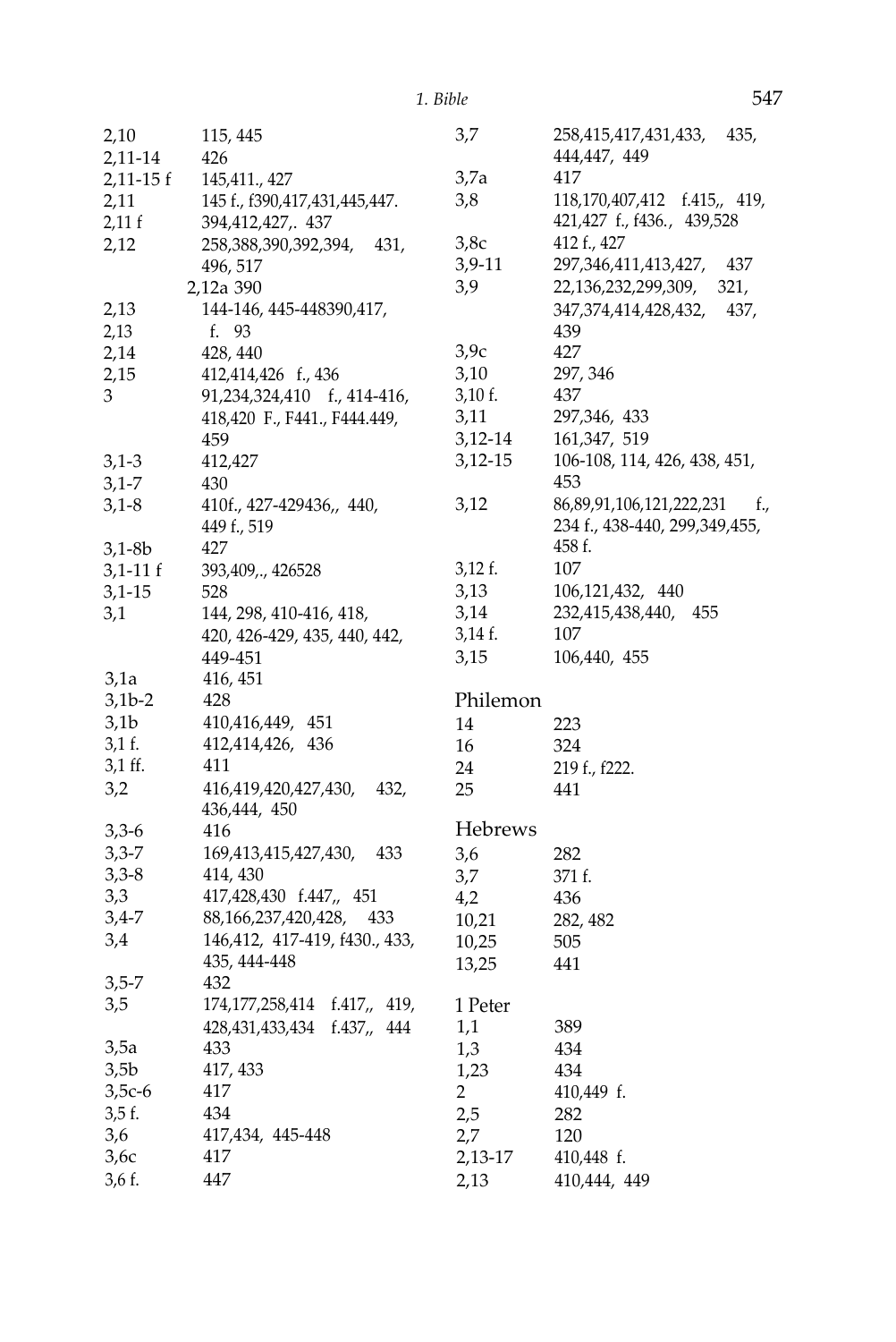| 2,10             | 115, 445                            | 3,7       | 258,415,417,431,433,<br>435,    |
|------------------|-------------------------------------|-----------|---------------------------------|
| 2,11-14          | 426                                 |           | 444,447, 449                    |
| $2,11-15$ f      | 145,411., 427                       | 3,7a      | 417                             |
| 2,11             | 145 f., f390,417,431,445,447.       | 3,8       | 118,170,407,412 f.415,, 419,    |
| 2,11 f           | 394,412,427,. 437                   |           | 421,427 f., f436., 439,528      |
| 2,12             | 258,388,390,392,394,<br>431.        | 3,8c      | 412 f., 427                     |
|                  | 496, 517                            | 3,9-11    | 297,346,411,413,427,<br>437     |
|                  | 2,12a 390                           | 3,9       | 22,136,232,299,309,<br>321,     |
| 2,13             | 144-146, 445-448390,417,            |           | 347,374,414,428,432,<br>437,    |
| 2,13             | f. 93                               |           | 439                             |
| 2,14             | 428, 440                            | 3,9c      | 427                             |
| 2,15             | 412,414,426 f., 436                 | 3,10      | 297, 346                        |
| 3                | 91,234,324,410 f., 414-416,         | $3,10$ f. | 437                             |
|                  | 418,420 F., F441., F444.449,        | 3,11      | 297,346, 433                    |
|                  | 459                                 | 3,12-14   | 161,347, 519                    |
| $3,1-3$          | 412,427                             | 3,12-15   | 106-108, 114, 426, 438, 451,    |
| 3,1-7            | 430                                 |           | 453                             |
| $3,1-8$          | 410f., 427-429436,, 440,            | 3,12      | 86,89,91,106,121,222,231<br>f., |
|                  | 449 f., 519                         |           | 234 f., 438-440, 299,349,455,   |
| 3,1-8b           | 427                                 |           | 458 f.                          |
| 3,1-11 f         | 393,409,., 426528                   | 3,12 f.   | 107                             |
| $3,1-15$         | 528                                 | 3,13      | 106,121,432, 440                |
| 3,1              | 144, 298, 410-416, 418,             | 3,14      | 232,415,438,440,<br>455         |
|                  | 420, 426-429, 435, 440, 442,        | 3,14 f.   | 107                             |
|                  |                                     | 3,15      | 106,440, 455                    |
|                  | 449-451                             |           |                                 |
| 3,1a<br>$3,1b-2$ | 416, 451<br>428                     | Philemon  |                                 |
| 3,1b             | 410,416,449, 451                    |           |                                 |
| 3,1 f.           | 412,414,426, 436                    | 14        | 223                             |
|                  | 411                                 | 16        | 324                             |
| 3,1 ff.          |                                     | 24        | 219 f., f222.                   |
| 3,2              | 416,419,420,427,430,<br>432,        | 25        | 441                             |
| $3,3-6$          | 436,444, 450<br>416                 | Hebrews   |                                 |
|                  | 433                                 |           |                                 |
| 3,3-7            | 169,413,415,427,430,                | 3,6       | 282                             |
| $3,3-8$          | 414, 430<br>417,428,430 f.447,, 451 | 3,7       | 371 f.                          |
| 3,3              |                                     | 4,2       | 436                             |
| 3,4-7            | 88,166,237,420,428,<br>433          | 10,21     | 282, 482                        |
| 3,4              | 146,412, 417-419, f430., 433,       | 10,25     | 505                             |
|                  | 435, 444-448                        | 13,25     | 441                             |
| 3,5-7            | 432                                 |           |                                 |
| 3,5              | 174, 177, 258, 414 f. 417,, 419,    | 1 Peter   |                                 |
|                  | 428,431,433,434 f.437,, 444         | 1,1       | 389                             |
| 3,5a             | 433                                 | 1,3       | 434                             |
| 3,5b             | 417, 433                            | 1,23      | 434                             |
| $3,5c-6$         | 417                                 | 2         | 410,449 f.                      |
| 3,5 f.           | 434                                 | 2,5       | 282                             |
| 3,6              | 417,434, 445-448                    | 2,7       | 120                             |
| 3,6с             | 417                                 | 2,13-17   | 410,448 f.                      |
| 3,6 f.           | 447                                 | 2,13      | 410,444, 449                    |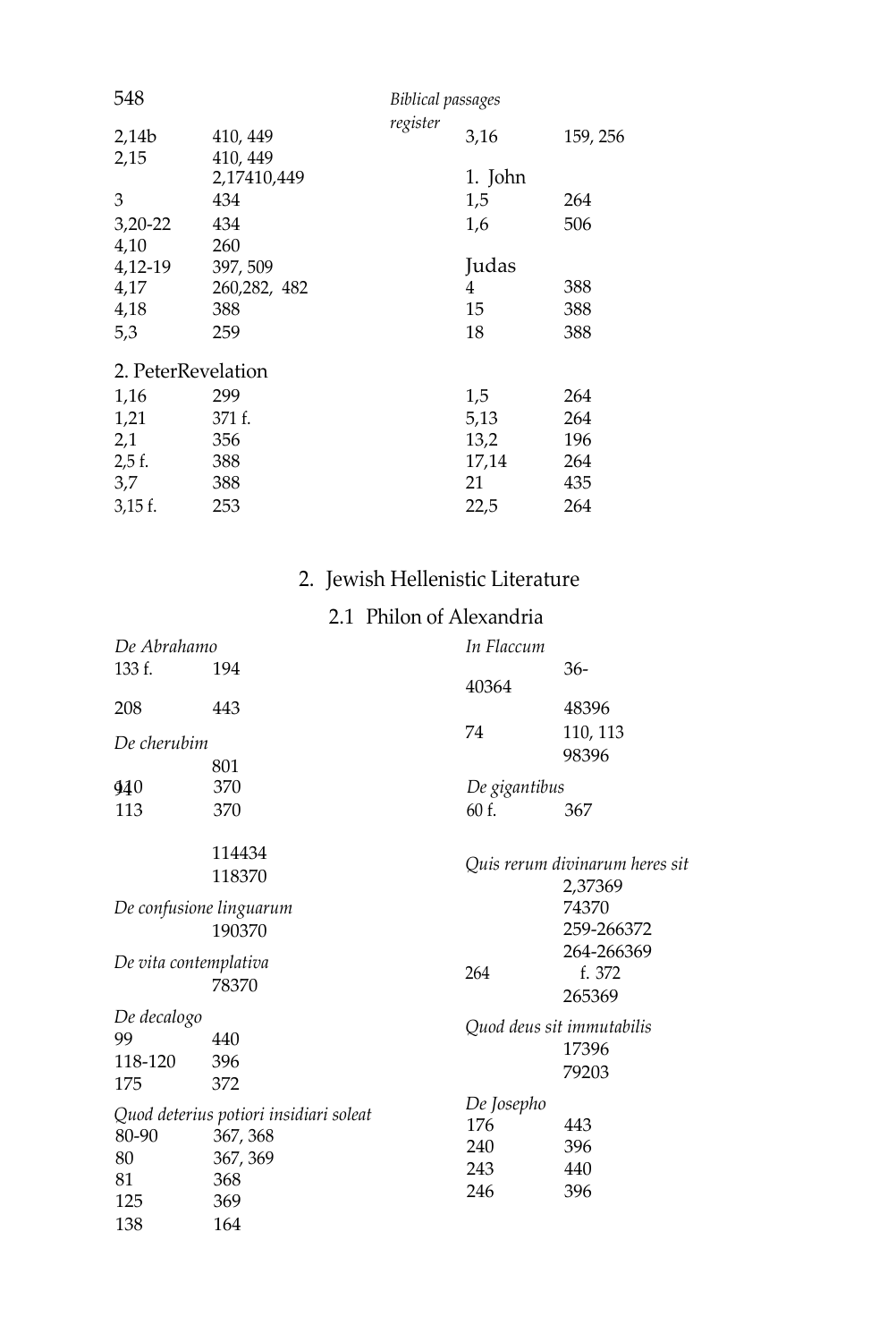| 548                |                      | <b>Biblical passages</b> |         |          |
|--------------------|----------------------|--------------------------|---------|----------|
| 2,14b<br>2,15      | 410, 449<br>410, 449 | register                 | 3,16    | 159, 256 |
|                    | 2,17410,449          |                          | 1. John |          |
| 3                  | 434                  |                          | 1,5     | 264      |
| $3,20-22$          | 434                  |                          | 1,6     | 506      |
| 4,10               | 260                  |                          |         |          |
| 4,12-19            | 397, 509             |                          | Judas   |          |
| 4,17               | 260, 282, 482        |                          | 4       | 388      |
| 4,18               | 388                  |                          | 15      | 388      |
| 5,3                | 259                  |                          | 18      | 388      |
| 2. PeterRevelation |                      |                          |         |          |
| 1,16               | 299                  |                          | 1,5     | 264      |
| 1,21               | 371 f.               |                          | 5,13    | 264      |
| 2,1                | 356                  |                          | 13,2    | 196      |
| $2,5$ f.           | 388                  |                          | 17,14   | 264      |
| 3,7                | 388                  |                          | 21      | 435      |
| $3,15$ f.          | 253                  |                          | 22,5    | 264      |

#### 2. Jewish Hellenistic Literature

#### 2.1 Philon of Alexandria

| De Abrahamo                         |                                                                                     | In Flaccum                             |                                             |
|-------------------------------------|-------------------------------------------------------------------------------------|----------------------------------------|---------------------------------------------|
| 133 f.                              | 194                                                                                 |                                        | $36-$                                       |
| 208                                 | 443                                                                                 | 40364                                  | 48396                                       |
| De cherubim                         |                                                                                     | 74                                     | 110, 113<br>98396                           |
|                                     | 801<br>370                                                                          |                                        |                                             |
| 940                                 |                                                                                     | De gigantibus                          |                                             |
| 113                                 | 370                                                                                 | 60 f.                                  | 367                                         |
|                                     | 114434<br>118370                                                                    |                                        | Quis rerum divinarum heres sit<br>2,37369   |
|                                     | De confusione linguarum<br>190370                                                   |                                        | 74370<br>259-266372                         |
| De vita contemplativa               | 78370                                                                               | 264                                    | 264-266369<br>f. 372<br>265369              |
| De decalogo<br>99<br>118-120<br>175 | 440<br>396<br>372                                                                   |                                        | Quod deus sit immutabilis<br>17396<br>79203 |
| 80-90<br>80<br>81<br>125<br>138     | Quod deterius potiori insidiari soleat<br>367, 368<br>367, 369<br>368<br>369<br>164 | De Josepho<br>176<br>240<br>243<br>246 | 443<br>396<br>440<br>396                    |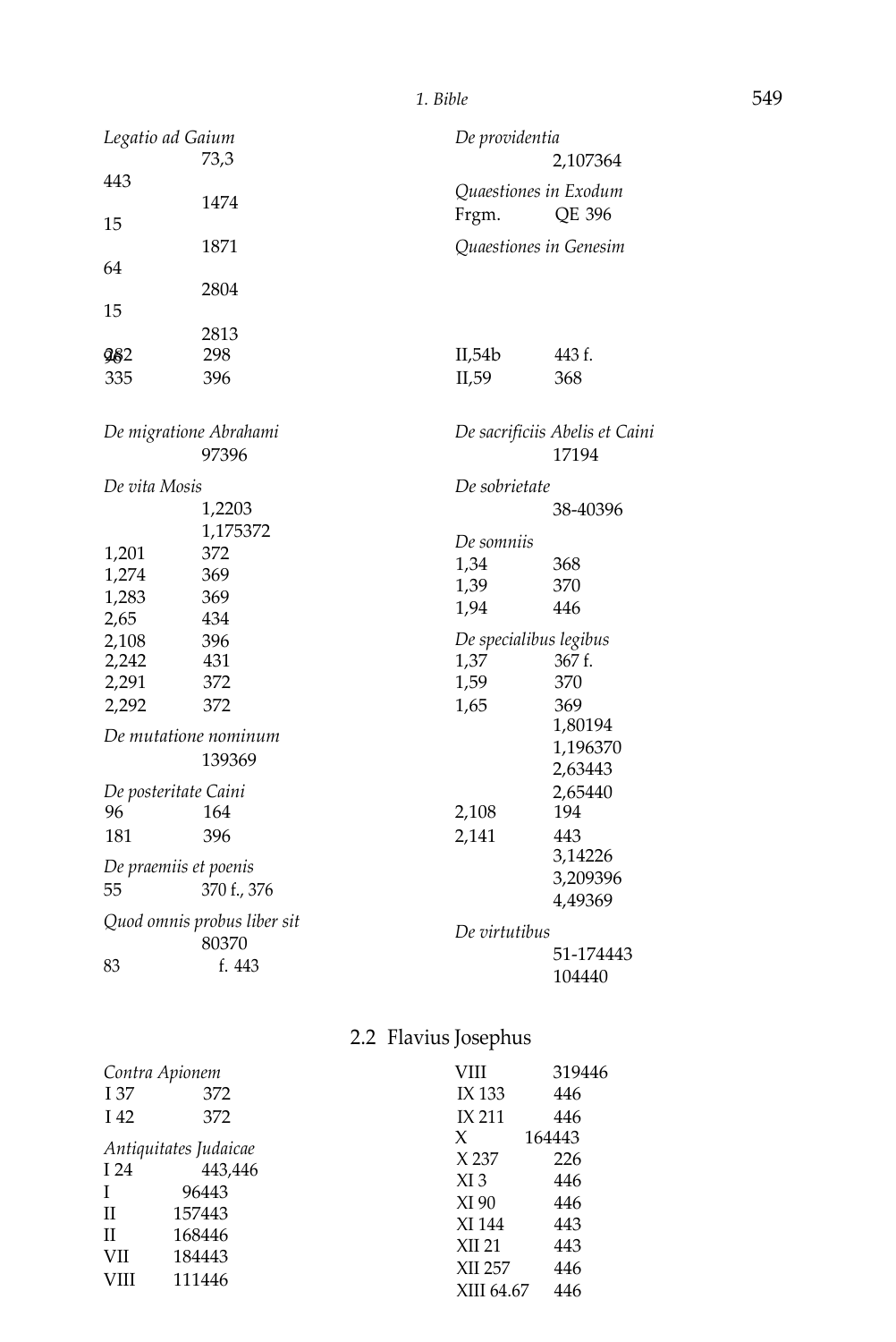| Legatio ad Gaium            | De providentia         |                                |  |
|-----------------------------|------------------------|--------------------------------|--|
| 73,3                        |                        | 2,107364                       |  |
| 443                         | Quaestiones in Exodum  |                                |  |
| 1474<br>15                  | Frgm.                  | QE 396                         |  |
| 1871                        | Quaestiones in Genesim |                                |  |
| 64                          |                        |                                |  |
| 2804                        |                        |                                |  |
| 15                          |                        |                                |  |
| 2813                        |                        |                                |  |
| 298<br>982                  | II,54b                 | 443 f.                         |  |
| 396<br>335                  | II,59                  | 368                            |  |
| De migratione Abrahami      |                        | De sacrificiis Abelis et Caini |  |
| 97396                       |                        | 17194                          |  |
| De vita Mosis               | De sobrietate          |                                |  |
| 1,2203                      |                        | 38-40396                       |  |
| 1,175372                    |                        |                                |  |
| 372<br>1,201                | De somniis             |                                |  |
| 1,274<br>369                | 1,34                   | 368                            |  |
| 1,283<br>369                | 1,39                   | 370                            |  |
| 2,65<br>434                 | 1,94                   | 446                            |  |
| 2,108<br>396                | De specialibus legibus |                                |  |
| 431<br>2,242                | 1,37                   | 367 f.                         |  |
| 2,291<br>372                | 1,59                   | 370                            |  |
| 2,292<br>372                | 1,65                   | 369                            |  |
| De mutatione nominum        |                        | 1,80194                        |  |
|                             |                        | 1,196370                       |  |
| 139369                      |                        | 2,63443                        |  |
| De posteritate Caini        |                        | 2,65440                        |  |
| 96<br>164                   | 2,108                  | 194                            |  |
| 396<br>181                  | 2,141                  | 443                            |  |
| De praemiis et poenis       |                        | 3,14226                        |  |
| 55<br>370 f., 376           |                        | 3,209396                       |  |
|                             |                        | 4,49369                        |  |
| Quod omnis probus liber sit | De virtutibus          |                                |  |
| 80370                       |                        | 51-174443                      |  |
| f. 443<br>83                |                        | 104440                         |  |

#### 2.2 Flavius Josephus

| Contra Apionem                     |                                                                                   | VIII                                                                              | 319446                                                  |
|------------------------------------|-----------------------------------------------------------------------------------|-----------------------------------------------------------------------------------|---------------------------------------------------------|
| I 37                               | 372                                                                               | IX 133                                                                            | 446                                                     |
| I 42                               | 372                                                                               | <b>IX 211</b>                                                                     | 446                                                     |
| I 24<br>T<br>Н<br>Н<br>VII<br>VIII | Antiquitates Judaicae<br>443,446<br>96443<br>157443<br>168446<br>184443<br>111446 | X<br>X 237<br>$XI_3$<br>XI 90<br>XI 144<br><b>XII 21</b><br>XII 257<br>XIII 64.67 | 164443<br>226<br>446<br>446<br>443<br>443<br>446<br>446 |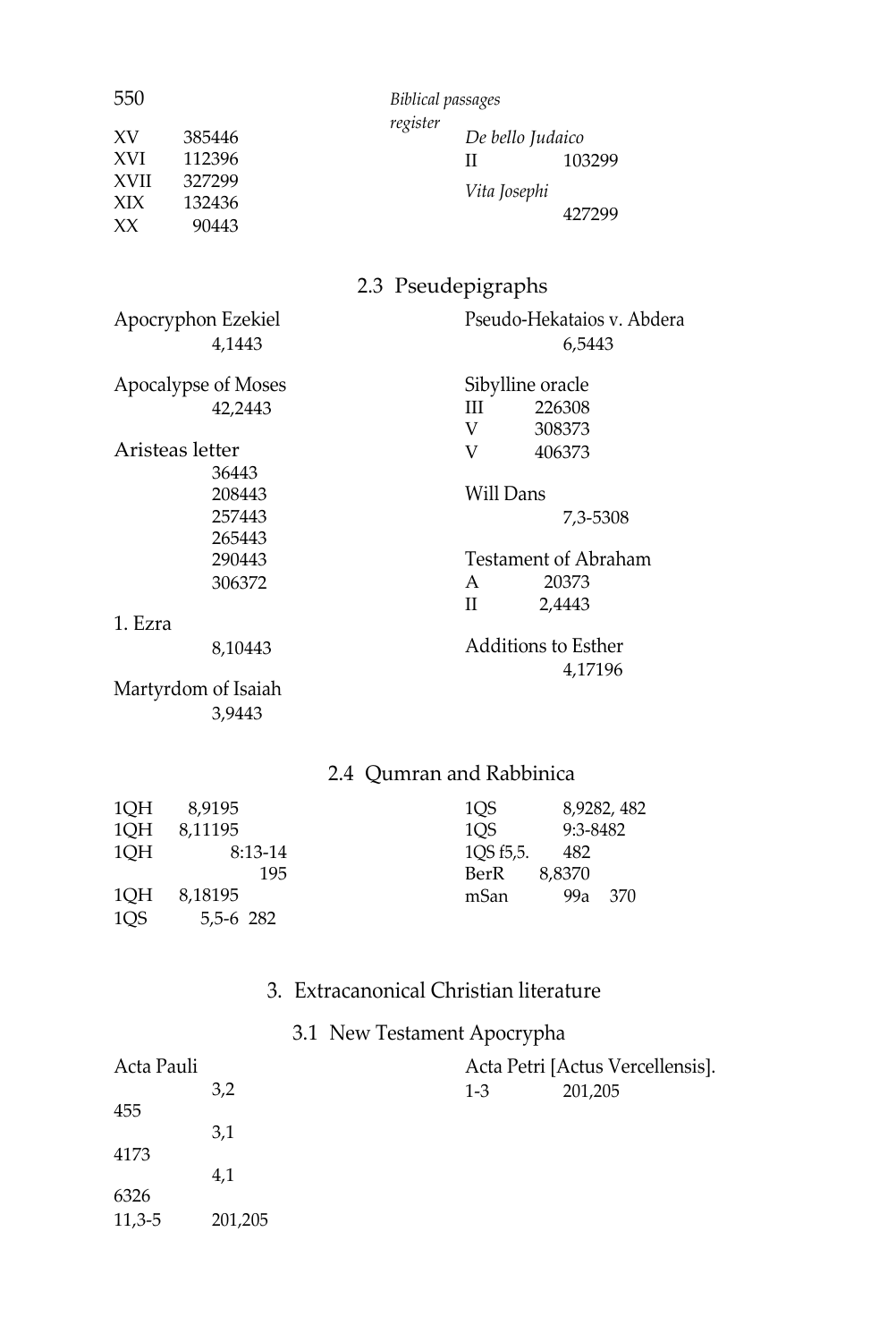| 550                                          |                                               | <b>Biblical passages</b> |                      |                                                |
|----------------------------------------------|-----------------------------------------------|--------------------------|----------------------|------------------------------------------------|
| XV<br><b>XVI</b><br><b>XVII</b><br>XIX<br>XX | 385446<br>112396<br>327299<br>132436<br>90443 | register                 | H<br>Vita Josephi    | De bello Judaico<br>103299<br>427299           |
|                                              |                                               | 2.3 Pseudepigraphs       |                      |                                                |
|                                              | Apocryphon Ezekiel<br>4,1443                  |                          |                      | Pseudo-Hekataios v. Abdera<br>6,5443           |
|                                              | Apocalypse of Moses<br>42,2443                |                          | Ш                    | Sibylline oracle<br>226308                     |
|                                              | Aristeas letter<br>36443                      |                          | V<br>V               | 308373<br>406373                               |
|                                              | 208443<br>257443<br>265443                    |                          | Will Dans            | 7,3-5308                                       |
|                                              | 290443<br>306372                              |                          | A<br>П               | <b>Testament of Abraham</b><br>20373<br>2,4443 |
| 1. Ezra                                      |                                               |                          |                      |                                                |
|                                              | 8,10443                                       |                          |                      | <b>Additions to Esther</b><br>4,17196          |
|                                              | Martyrdom of Isaiah<br>3,9443                 |                          |                      |                                                |
|                                              |                                               | 2.4 Qumran and Rabbinica |                      |                                                |
| $\sim$ $\sim$ $\sim$ $\sim$                  |                                               |                          | $\sim$ $\sim$ $\sim$ | 0.000                                          |

| 1OH | 8.9195    | 1OS       |          | 8,9282, 482 |
|-----|-----------|-----------|----------|-------------|
| 1OH | 8.11195   | 1OS       | 9:3-8482 |             |
| 1OH | 8:13-14   | 10S f5.5. | 482      |             |
|     | 195       | BerR      | 8.8370   |             |
| 1OH | 8.18195   | mSan      | 99a      | 370         |
| 1OS | 5,5-6 282 |           |          |             |

### 3. Extracanonical Christian literature

## 3.1 New Testament Apocrypha

| Acta Pauli |         | Acta Petri [Actus Vercellensis]. |         |  |
|------------|---------|----------------------------------|---------|--|
|            | 3,2     | $1 - 3$                          | 201,205 |  |
| 455        |         |                                  |         |  |
|            | 3,1     |                                  |         |  |
| 4173       |         |                                  |         |  |
|            | 4,1     |                                  |         |  |
| 6326       |         |                                  |         |  |
| $11,3-5$   | 201,205 |                                  |         |  |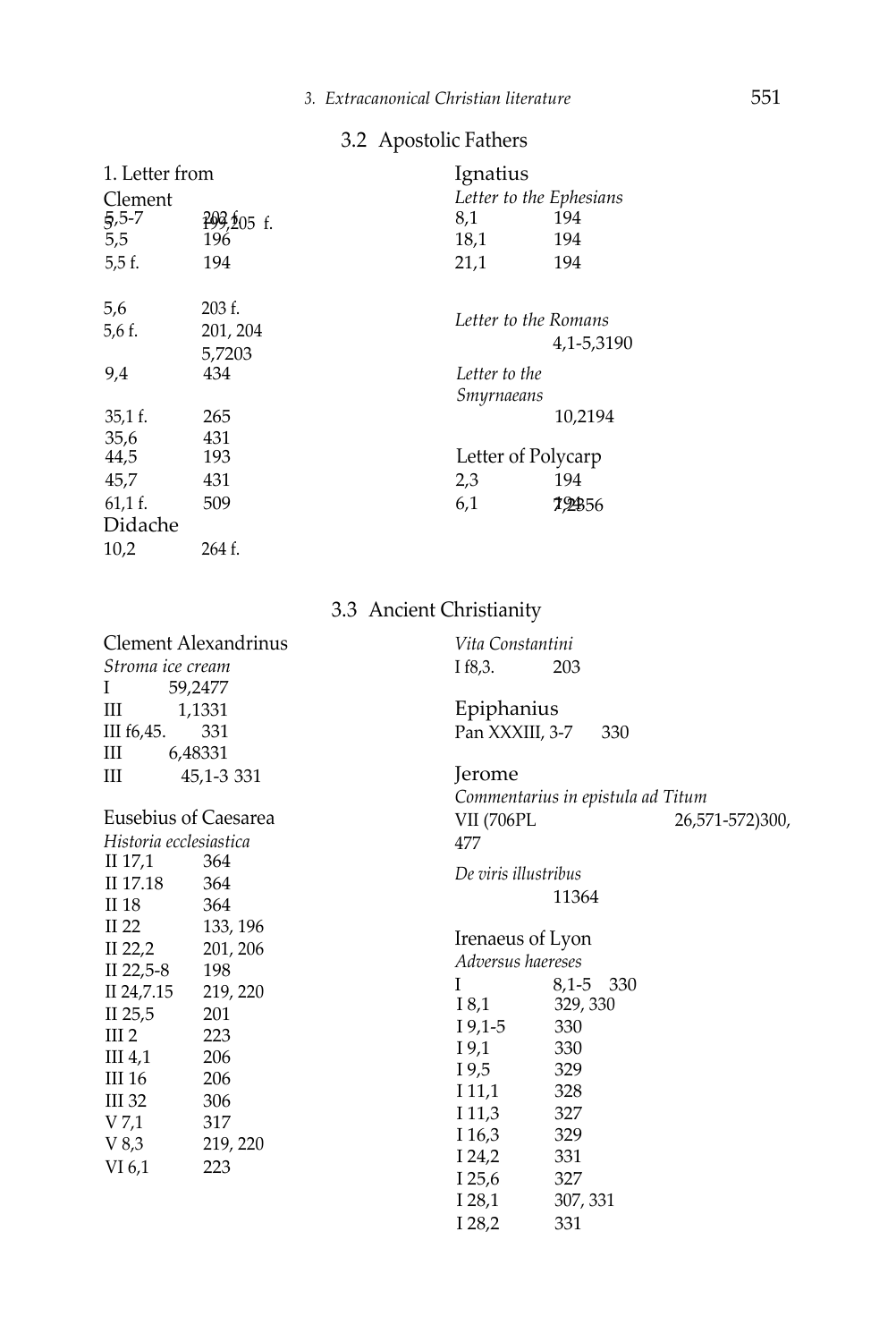#### 3.2 Apostolic Fathers

| 1. Letter from |              | Ignatius                |            |
|----------------|--------------|-------------------------|------------|
| Clement        |              | Letter to the Ephesians |            |
| $5,5-7$        | $209,205$ f. | 8,1                     | 194        |
| 5,5            | 196          | 18,1                    | 194        |
| 5.5f.          | 194          | 21,1                    | 194        |
| 5,6            | 203 f.       | Letter to the Romans    |            |
| 5,6 f.         | 201, 204     |                         |            |
|                | 5,7203       |                         | 4,1-5,3190 |
| 9,4            | 434          | Letter to the           |            |
|                |              | Smyrnaeans              |            |
| $35,1$ f.      | 265          |                         | 10,2194    |
| 35,6           | 431          |                         |            |
| 44,5           | 193          | Letter of Polycarp      |            |
| 45,7           | 431          | 2,3                     | 194        |
| $61,1$ f.      | 509          | 6,1                     | 79456      |
| Didache        |              |                         |            |
| 10,2           | 264 f.       |                         |            |

#### 3.3 Ancient Christianity

| <b>Clement Alexandrinus</b> |            | Vita Constantini                  |           |                 |
|-----------------------------|------------|-----------------------------------|-----------|-----------------|
| Stroma ice cream            |            | I f8,3.                           | 203       |                 |
| L                           | 59,2477    |                                   |           |                 |
| Ш<br>1,1331                 |            | Epiphanius                        |           |                 |
| III f6,45.                  | 331        | Pan XXXIII, 3-7                   | 330       |                 |
| Ш<br>6,48331                |            |                                   |           |                 |
| Ш                           | 45,1-3 331 | Jerome                            |           |                 |
|                             |            | Commentarius in epistula ad Titum |           |                 |
| Eusebius of Caesarea        |            | VII (706PL                        |           | 26,571-572)300, |
| Historia ecclesiastica      |            | 477                               |           |                 |
| II 17,1                     | 364        |                                   |           |                 |
| II 17.18                    | 364        | De viris illustribus              |           |                 |
| II 18                       | 364        |                                   | 11364     |                 |
| II 22                       | 133, 196   |                                   |           |                 |
| II 22,2                     | 201, 206   | Irenaeus of Lyon                  |           |                 |
| II 22,5-8                   | 198        | Adversus haereses                 |           |                 |
| II 24,7.15                  | 219, 220   | I                                 | 8,1-5 330 |                 |
| II $25,5$                   | 201        | I 8,1                             | 329, 330  |                 |
| III <sub>2</sub>            | 223        | $I\,9.1-5$                        | 330       |                 |
| III <sub>4,1</sub>          | 206        | I 9,1                             | 330       |                 |
| III 16                      | 206        | 19,5                              | 329       |                 |
| III 32                      | 306        | 111,1                             | 328       |                 |
| V 7,1                       | 317        | 11,3                              | 327       |                 |
| V8,3                        | 219, 220   | I 16,3                            | 329       |                 |
| VI 6,1                      | 223        | $I$ 24,2                          | 331       |                 |
|                             |            | I 25,6                            | 327       |                 |
|                             |            | I 28,1                            | 307, 331  |                 |
|                             |            | I $28,2$                          | 331       |                 |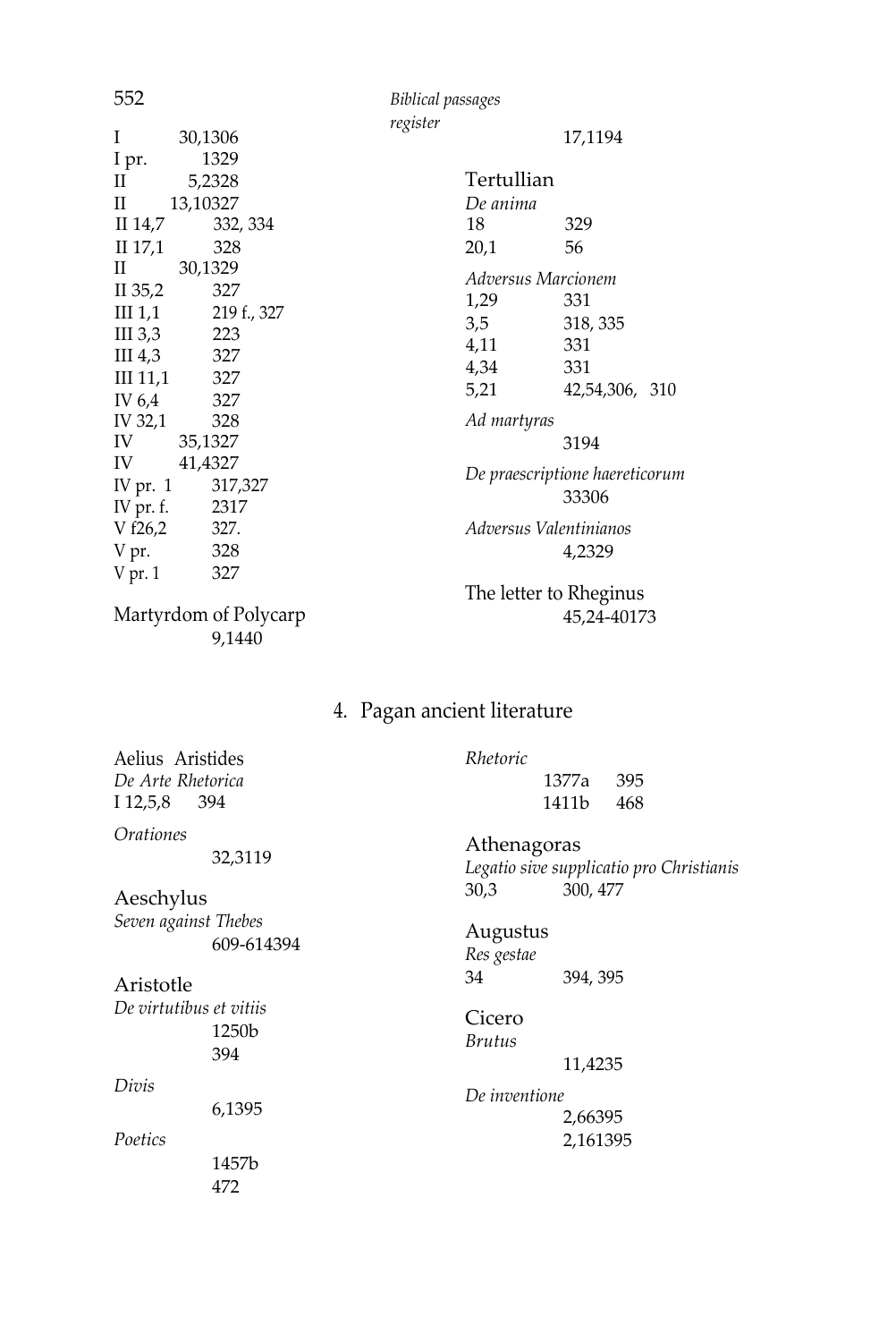552 *Biblical passages register* I 30,1306 I pr. 1329<br>II 5.2328 5,2328 II 14,7 13,10327<br>II 14,7 332 17,1194 **Tertullian** *De anima* II 30,1329 II 35,2 327 III 1,1 219 f., 327<br>III 3.3 223 III 3,3 223<br>III 4.3 327 III  $4,3$ III 11,1 327 IV 6,4 327<br>IV 32.1 328 IV 32,1<br>IV IV 35,1327<br>IV 41,4327 41,4327 IV pr. 1 317,327 IV pr. f. 2317<br>V f26,2 327.  $V \overline{t}26,2$  327.<br> $V \overline{p}r$ . 328 V pr. V pr. 1 327 *Adversus Marcionem*  $1.29$ 3,5 318, 335<br>4,11 331 4,11 331<br>4,34 331 4,34 5,21 42,54,306, 310 *Ad martyras* 3194 *De praescriptione haereticorum* 33306 *Adversus Valentinianos* 4,2329 The letter to Rheginus 45,24-40173 332, 334 18 329  $II$  17,1 328 20,1 56

Martyrdom of Polycarp 9,1440

4. Pagan ancient literature

Aelius Aristides *De Arte Rhetorica*  I 12,5,8 394

*Orationes*

32,3119

Aeschylus *Seven against Thebes* 609-614394

Aristotle

*De virtutibus et vitiis* 1250b 394

*Divis*

6,1395

*Poetics* 

1457b 472

#### *Rhetoric*

 1377a 395 1411b 468

Athenagoras

*Legatio sive supplicatio pro Christianis* 30,3 300, 477

#### Augustus

*Res gestae* 34 394, 395

Cicero *Brutus* 11,4235

*De inventione* 2,66395 2,161395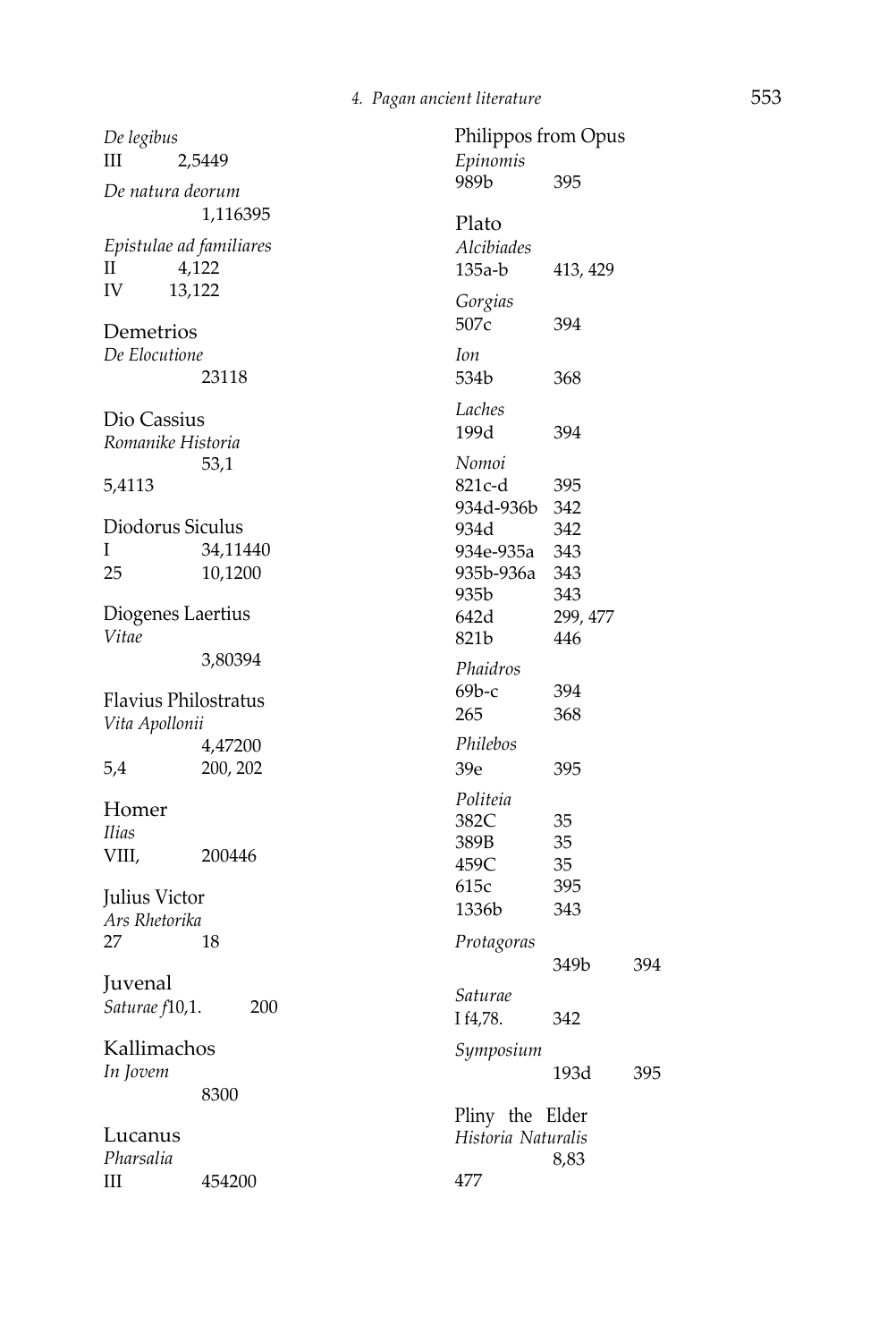395

b 413, 429

394

349b 394

193d 395

8,83

*De legibus* III 2,5449 *De natura deorum* 1,116395 *Epistulae ad familiares* II 4,122 IV 13,122 Demetrios *De Elocutione* 23118 Dio Cassius *Romanike Historia*  53,1 5,4113 Diodorus Siculus I 34,11440 25 10,1200 Diogenes Laertius *Vitae* 3,80394 Flavius Philostratus *Vita Apollonii* 4,47200 5,4 200, 202 Homer *Ilias* VIII, 200446 Julius Victor *Ars Rhetorika*  27 18 Juvenal *Saturae f*10,1. 200 Kallimachos *In Jovem* 8300 Lucanus *Pharsalia* III 454200 Philippos from Opus *Epinomis* 989b Plato *Alcibiades* 135a - *Gorgias* 507c 394 *Ion* 534b 368 *Laches*  199d 394 *Nomoi* 821c-d 395 934d -936b 342 934d 342 934e -935a 343 935b -936a 343 935b 343 642d 299, 477 821b 446 *Phaidros* 69b - 265 368 *Philebos* 39e 395 *Politeia* 382C 35<br>389B 35 389B 459C 35 615c 395 1336b 343 *Protagoras Saturae* I f4,78. 342 *Symposium* Pliny the Elder *Historia Naturalis*  477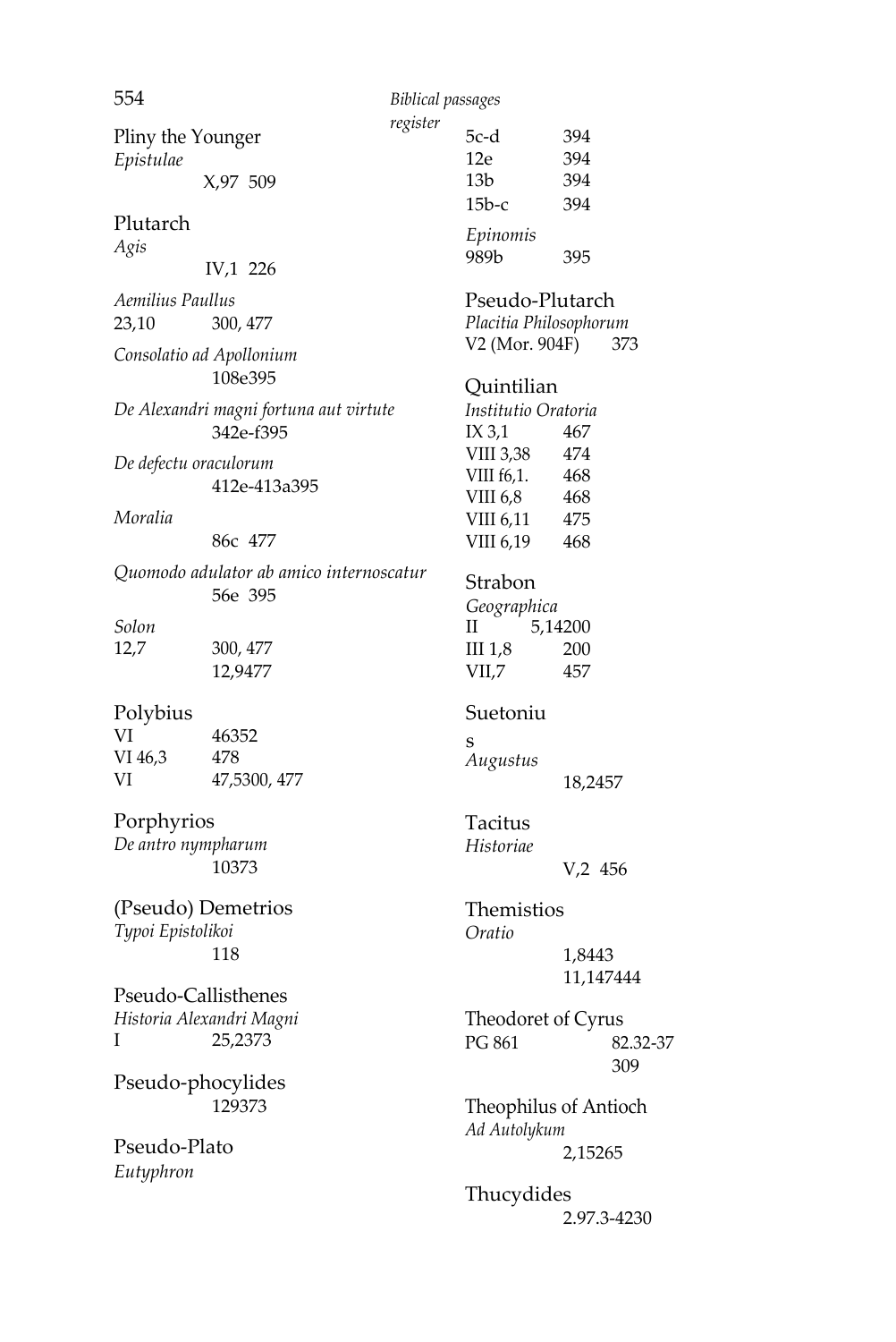554 *Biblical passages* 

*register* Pliny the Younger *Epistulae*  X,97 509

#### Plutarch

*Agis*

IV,1 226

*Aemilius Paullus* 23,10 300, 477

*Consolatio ad Apollonium* 108e 395

*De Alexandri magni fortuna aut virtute* 342e-f395

*De defectu oraculorum* 412e-413a395

#### *Moralia*

86c 477

*Quomodo adulator ab amico internoscatur* 56e 395

*Solon* 12,7 300, 477

12,9477

#### Polybius

| VI      | 46352        |
|---------|--------------|
| VI 46,3 | 478          |
| VI      | 47,5300, 477 |

Porphyrios *De antro nympharum* 10373

(Pseudo) Demetrios *Typoi Epistolikoi* 118

Pseudo-Callisthenes *Historia Alexandri Magni*  I 25,2373

Pseudo-phocylides 129373

Pseudo-Plato *Eutyphron* 

| noonzeo  |     |
|----------|-----|
| 5c-d     | 394 |
| 12e      | 394 |
| 13b      | 394 |
| 15Ь-с    | 394 |
| Epinomis |     |

989b 395

#### Pseudo-Plutarch

*Placitia Philosophorum*  V2 (Mor. 904F) 373

#### **Ouintilian**

*Institutio Oratoria* IX 3,1 467<br>VIII 3.38 474 VIII 3,38 VIII f6,1. 468 VIII 6,8 468 VIII 6,11 475 VIII 6,19 468

Strabon

*Geographica* II 5,14200 III 1,8 200 VII,7 457

#### Suetoniu

s *Augustus* 18,2457

Tacitus *Historiae* V,2 456

Themistios *Oratio* 1,8443 11,147444

Theodoret of Cyrus PG 861 82.32-37 309

Theophilus of Antioch *Ad Autolykum* 2,15265

Thucydides 2.97.3-4230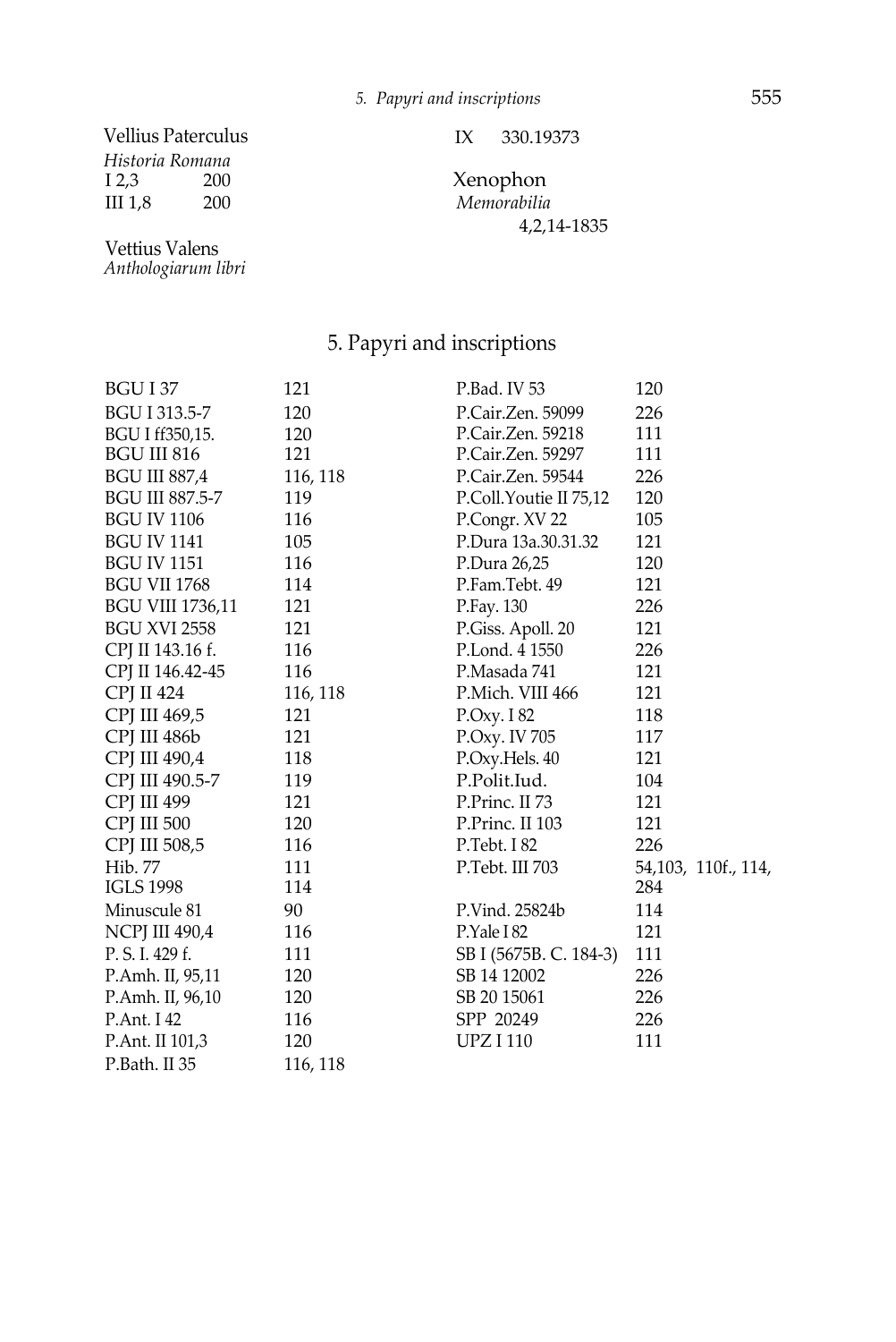## Vellius Paterculus

*Historia Romana* III 1,8 200 *Memorabilia*

*Anthologiarum libri* Vettius Valens

IX 330.19373

Xenophon<br>Memorabilia 4,2,14-1835

#### 5. Papyri and inscriptions

| BGU I 37                | 121      | P.Bad. IV 53           | 120                 |
|-------------------------|----------|------------------------|---------------------|
| BGU I 313.5-7           | 120      | P.Cair.Zen. 59099      | 226                 |
| BGU I ff350,15.         | 120      | P.Cair.Zen. 59218      | 111                 |
| <b>BGU III 816</b>      | 121      | P.Cair.Zen. 59297      | 111                 |
| <b>BGU III 887,4</b>    | 116, 118 | P.Cair.Zen. 59544      | 226                 |
| BGU III 887.5-7         | 119      | P.Coll.Youtie II 75,12 | 120                 |
| <b>BGU IV 1106</b>      | 116      | P.Congr. XV 22         | 105                 |
| <b>BGU IV 1141</b>      | 105      | P.Dura 13a.30.31.32    | 121                 |
| <b>BGU IV 1151</b>      | 116      | P.Dura 26,25           | 120                 |
| <b>BGU VII 1768</b>     | 114      | P.Fam.Tebt. 49         | 121                 |
| <b>BGU VIII 1736,11</b> | 121      | P.Fay. 130             | 226                 |
| <b>BGU XVI 2558</b>     | 121      | P.Giss. Apoll. 20      | 121                 |
| CPJ II 143.16 f.        | 116      | P.Lond. 4 1550         | 226                 |
| CPJ II 146.42-45        | 116      | P.Masada 741           | 121                 |
| <b>CPI II 424</b>       | 116, 118 | P.Mich. VIII 466       | 121                 |
| CPJ III 469,5           | 121      | P.Oxy. I 82            | 118                 |
| CPI III 486b            | 121      | P.Oxy. IV 705          | 117                 |
| CPI III 490,4           | 118      | P.Oxy.Hels. 40         | 121                 |
| CPJ III 490.5-7         | 119      | P.Polit.Iud.           | 104                 |
| CPJ III 499             | 121      | P.Princ. II 73         | 121                 |
| <b>CPI III 500</b>      | 120      | P.Princ. II 103        | 121                 |
| CPI III 508,5           | 116      | P.Tebt. I 82           | 226                 |
| Hib. 77                 | 111      | P.Tebt. III 703        | 54,103, 110f., 114, |
| <b>IGLS 1998</b>        | 114      |                        | 284                 |
| Minuscule 81            | 90       | P.Vind. 25824b         | 114                 |
| <b>NCPJ III 490,4</b>   | 116      | P.Yale I 82            | 121                 |
| P. S. I. 429 f.         | 111      | SB I (5675B. C. 184-3) | 111                 |
| P.Amh. II, 95,11        | 120      | SB 14 12002            | 226                 |
| P.Amh. II, 96,10        | 120      | SB 20 15061            | 226                 |
| P.Ant. I 42             | 116      | SPP 20249              | 226                 |
| P.Ant. II 101,3         | 120      | <b>UPZI110</b>         | 111                 |
| P.Bath. II 35           | 116, 118 |                        |                     |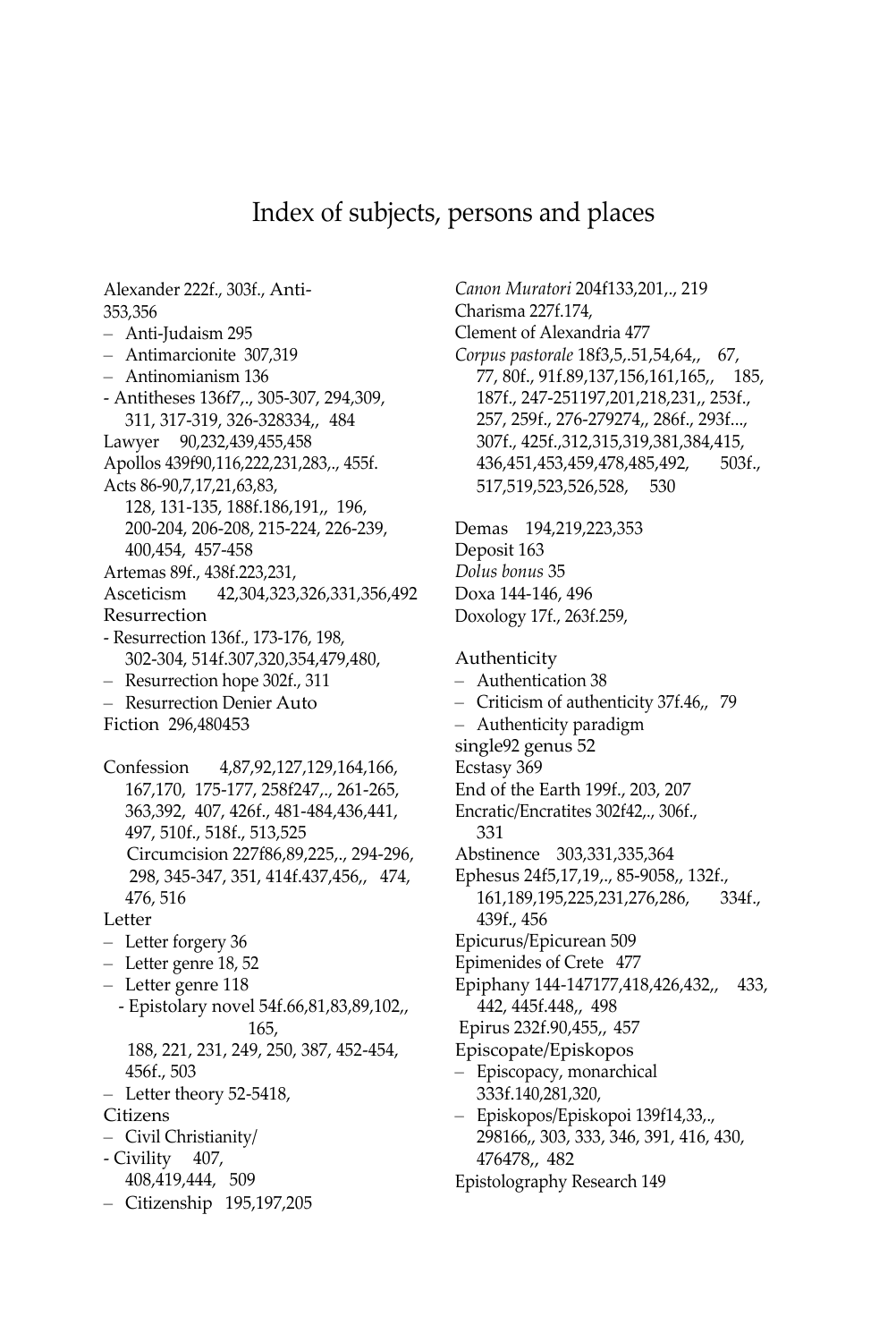#### Index of subjects, persons and places

<span id="page-49-0"></span>Alexander 222f., 303f., Anti-353,356 – Anti-Judaism 295 – Antimarcionite 307,319 – Antinomianism 136 - Antitheses 136f7,., 305-307, 294,309, 311, 317-319, 326-328334,, 484 Lawyer 90,232,439,455,458 Apollos 439f90,116,222,231,283,., 455f. Acts 86-90,7,17,21,63,83, 128, 131-135, 188f.186,191,, 196, 200-204, 206-208, 215-224, 226-239, 400,454, 457-458 Artemas 89f., 438f.223,231, Asceticism 42,304,323,326,331,356,492 Resurrection - Resurrection 136f., 173-176, 198, 302-304, 514f.307,320,354,479,480, – Resurrection hope 302f., 311 – Resurrection Denier Auto Fiction 296,480453 Confession 4,87,92,127,129,164,166, 167,170, 175-177, 258f247,., 261-265, 363,392, 407, 426f., 481-484,436,441, 497, 510f., 518f., 513,525 Circumcision 227f86,89,225,., 294-296, 298, 345-347, 351, 414f.437,456,, 474, 476, 516 Letter – Letter forgery 36 – Letter genre 18, 52 – Letter genre 118 - Epistolary novel 54f.66,81,83,89,102,, 165, 188, 221, 231, 249, 250, 387, 452-454, 456f., 503 – Letter theory 52-5418, Citizens – Civil Christianity/ - Civility 407, 408,419,444, 509 – Citizenship 195,197,205

*Canon Muratori* 204f133,201,., 219 Charisma 227f.174, Clement of Alexandria 477 *Corpus pastorale* 18f3,5,.51,54,64,, 67, 77, 80f., 91f.89,137,156,161,165,, 185, 187f., 247-251197,201,218,231,, 253f., 257, 259f., 276-279274,, 286f., 293f..., 307f., 425f.,312,315,319,381,384,415, 436,451,453,459,478,485,492, 503f., 517,519,523,526,528, 530 Demas 194,219,223,353 Deposit 163 *Dolus bonus* 35 Doxa 144-146, 496 Doxology 17f., 263f.259, Authenticity – Authentication 38 – Criticism of authenticity 37f.46,, 79 – Authenticity paradigm single92 genus 52 Ecstasy 369 End of the Earth 199f., 203, 207 Encratic/Encratites 302f42,., 306f., 331 Abstinence 303,331,335,364 Ephesus 24f5,17,19,., 85-9058,, 132f., 161,189,195,225,231,276,286, 334f., 439f., 456 Epicurus/Epicurean 509 Epimenides of Crete 477 Epiphany 144-147177,418,426,432,, 433, 442, 445f.448,, 498 Epirus 232f.90,455,, 457 Episcopate/Episkopos – Episcopacy, monarchical 333f.140,281,320, – Episkopos/Episkopoi 139f14,33,., 298166,, 303, 333, 346, 391, 416, 430, 476478,, 482 Epistolography Research 149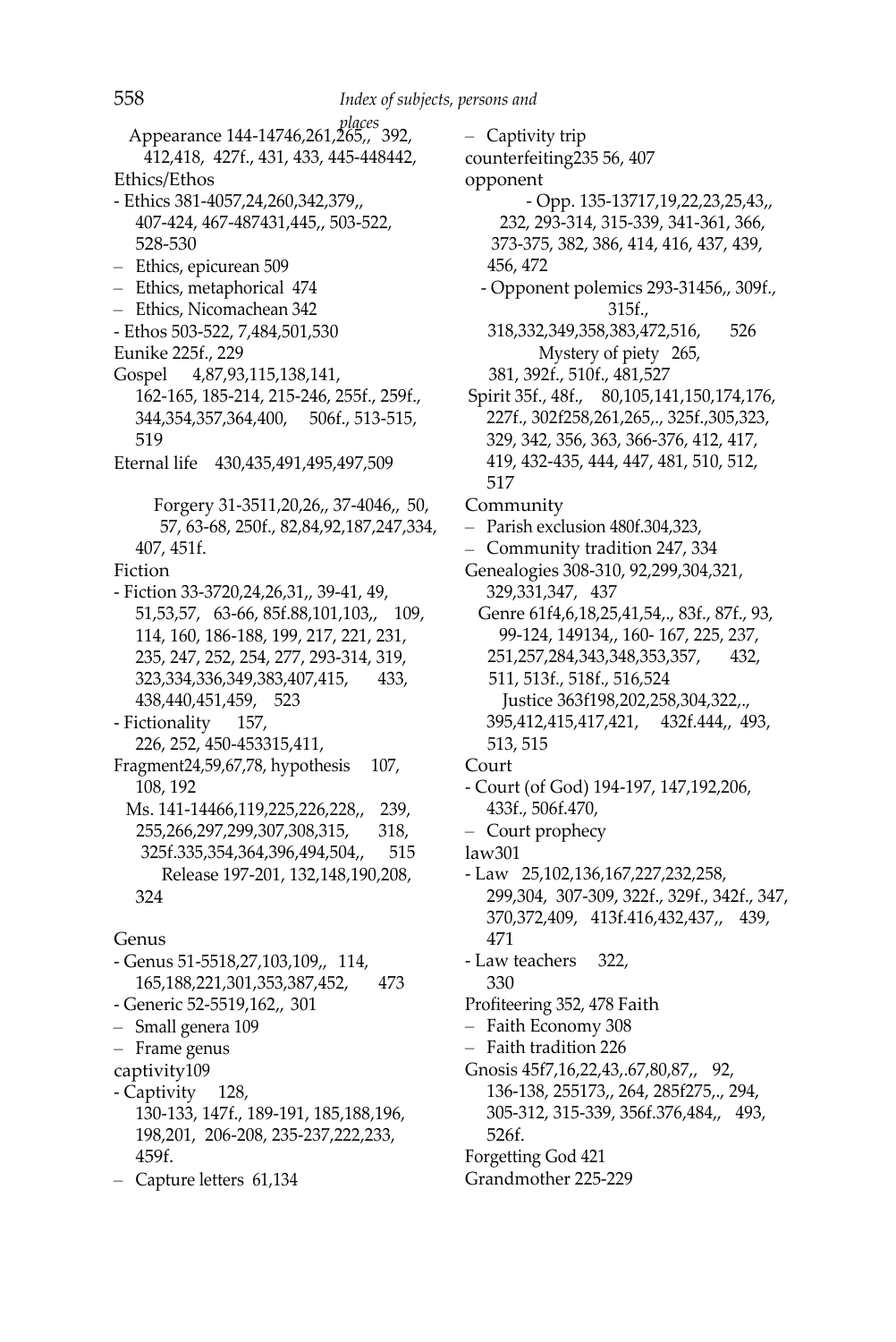*places* Appearance 144-14746,261,265,, 392, 412,418, 427f., 431, 433, 445-448442, Ethics/Ethos - Ethics 381-4057,24,260,342,379,, 407-424, 467-487431,445,, 503-522, 528-530 – Ethics, epicurean 509 – Ethics, metaphorical 474 – Ethics, Nicomachean 342 - Ethos 503-522, 7,484,501,530 Eunike 225f., 229 Gospel 4,87,93,115,138,141, 162-165, 185-214, 215-246, 255f., 259f., 344,354,357,364,400, 506f., 513-515, 519 Eternal life 430,435,491,495,497,509 Forgery 31-3511,20,26,, 37-4046,, 50, 57, 63-68, 250f., 82,84,92,187,247,334, 407, 451f. Fiction - Fiction 33-3720,24,26,31,, 39-41, 49, 51,53,57, 63-66, 85f.88,101,103,, 109, 114, 160, 186-188, 199, 217, 221, 231, 235, 247, 252, 254, 277, 293-314, 319, 323,334,336,349,383,407,415, 433, 438,440,451,459, 523 - Fictionality 157, 226, 252, 450-453315,411, Fragment24,59,67,78, hypothesis 107, 108, 192 Ms. 141-14466,119,225,226,228,, 239, 255,266,297,299,307,308,315, 318, 325f.335,354,364,396,494,504,, 515 Release 197-201, 132,148,190,208, 324 Genus - Genus 51-5518,27,103,109,, 114, 165,188,221,301,353,387,452, 473 - Generic 52-5519,162,, 301 – Small genera 109 – Frame genus captivity109 - Captivity 128,

130-133, 147f., 189-191, 185,188,196, 198,201, 206-208, 235-237,222,233, 459f.

– Capture letters 61,134

– Captivity trip counterfeiting235 56, 407 opponent - Opp. 135-13717,19,22,23,25,43,, 232, 293-314, 315-339, 341-361, 366, 373-375, 382, 386, 414, 416, 437, 439, 456, 472 - Opponent polemics 293-31456,, 309f., 315f., 318,332,349,358,383,472,516, 526 Mystery of piety 265, 381, 392f., 510f., 481,527 Spirit 35f., 48f., 80,105,141,150,174,176, 227f., 302f258,261,265,., 325f.,305,323, 329, 342, 356, 363, 366-376, 412, 417, 419, 432-435, 444, 447, 481, 510, 512, 517 Community – Parish exclusion 480f.304,323, – Community tradition 247, 334 Genealogies 308-310, 92,299,304,321, 329,331,347, 437 Genre 61f4,6,18,25,41,54,., 83f., 87f., 93, 99-124, 149134,, 160- 167, 225, 237, 251,257,284,343,348,353,357, 432, 511, 513f., 518f., 516,524 Justice 363f198,202,258,304,322,., 395,412,415,417,421, 432f.444,, 493, 513, 515 Court - Court (of God) 194-197, 147,192,206, 433f., 506f.470, – Court prophecy law301 - Law 25,102,136,167,227,232,258, 299,304, 307-309, 322f., 329f., 342f., 347, 370,372,409, 413f.416,432,437,, 439, 471 - Law teachers 322, 330 Profiteering 352, 478 Faith – Faith Economy 308 – Faith tradition 226 Gnosis 45f7,16,22,43,.67,80,87,, 92, 136-138, 255173,, 264, 285f275,., 294, 305-312, 315-339, 356f.376,484,, 493, 526f.

Forgetting God 421

Grandmother 225-229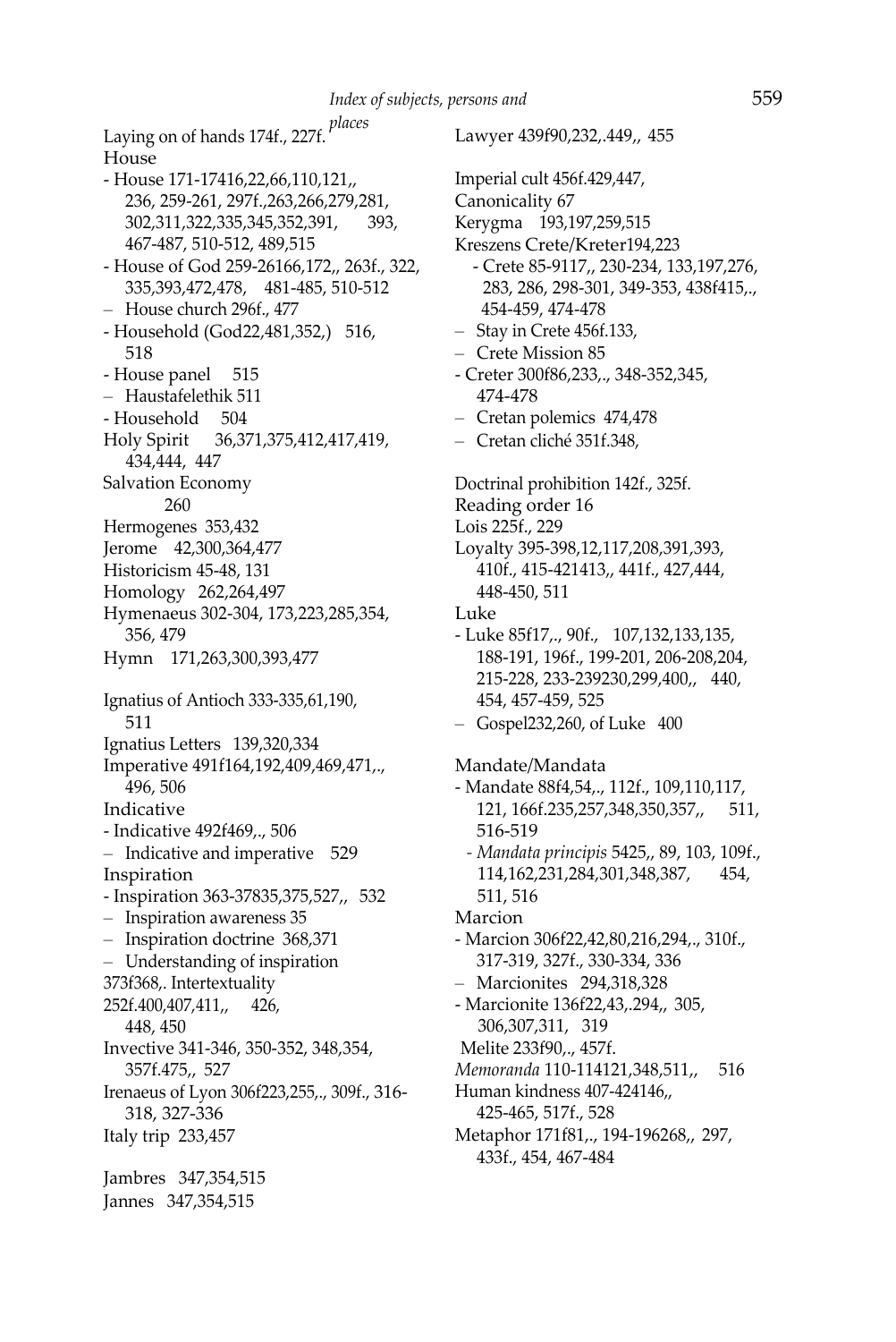*places* Laying on of hands 174f., 227f. House - House 171-17416,22,66,110,121,, 236, 259-261, 297f.,263,266,279,281, 302,311,322,335,345,352,391, 393, 467-487, 510-512, 489,515 - House of God 259-26166,172,, 263f., 322, 335,393,472,478, 481-485, 510-512 – House church 296f., 477 - Household (God22,481,352,) 516, 518 - House panel 515 – Haustafelethik 511 - Household 504 Holy Spirit 36,371,375,412,417,419, 434,444, 447 Salvation Economy 260 Hermogenes 353,432 Jerome 42,300,364,477 Historicism 45-48, 131 Homology 262,264,497 Hymenaeus 302-304, 173,223,285,354, 356, 479 Hymn 171,263,300,393,477 Ignatius of Antioch 333-335,61,190, 511 Ignatius Letters 139,320,334 Imperative 491f164,192,409,469,471,., 496, 506 Indicative - Indicative 492f469,., 506 – Indicative and imperative 529 Inspiration - Inspiration 363-37835,375,527,, 532 – Inspiration awareness 35 – Inspiration doctrine 368,371 – Understanding of inspiration 373f368,. Intertextuality 252f.400,407,411,, 426, 448, 450 Invective 341-346, 350-352, 348,354, 357f.475,, 527 Irenaeus of Lyon 306f223,255,., 309f., 316- 318, 327-336 Italy trip 233,457 Jambres 347,354,515 Jannes 347,354,515

Lawyer 439f90,232,.449,, 455 Imperial cult 456f.429,447, Canonicality 67 Kerygma 193,197,259,515 Kreszens Crete/Kreter194,223 - Crete 85-9117,, 230-234, 133,197,276, 283, 286, 298-301, 349-353, 438f415,., 454-459, 474-478 – Stay in Crete 456f.133, – Crete Mission 85 - Creter 300f86,233,., 348-352,345, 474-478 – Cretan polemics 474,478 – Cretan cliché 351f.348, Doctrinal prohibition 142f., 325f. Reading order 16 Lois 225f., 229 Loyalty 395-398,12,117,208,391,393, 410f., 415-421413,, 441f., 427,444, 448-450, 511 Luke - Luke 85f17,., 90f., 107,132,133,135, 188-191, 196f., 199-201, 206-208,204, 215-228, 233-239230,299,400,, 440, 454, 457-459, 525 – Gospel232,260, of Luke 400 Mandate/Mandata - Mandate 88f4,54,., 112f., 109,110,117, 121, 166f.235,257,348,350,357,, 511, 516-519 *- Mandata principis* 5425,, 89, 103, 109f., 114,162,231,284,301,348,387, 454, 511, 516 Marcion - Marcion 306f22,42,80,216,294,., 310f., 317-319, 327f., 330-334, 336 – Marcionites 294,318,328 - Marcionite 136f22,43,.294,, 305, 306,307,311, 319 Melite 233f90,., 457f. *Memoranda* 110-114121,348,511,, 516 Human kindness 407-424146,, 425-465, 517f., 528 Metaphor 171f81,., 194-196268,, 297,

433f., 454, 467-484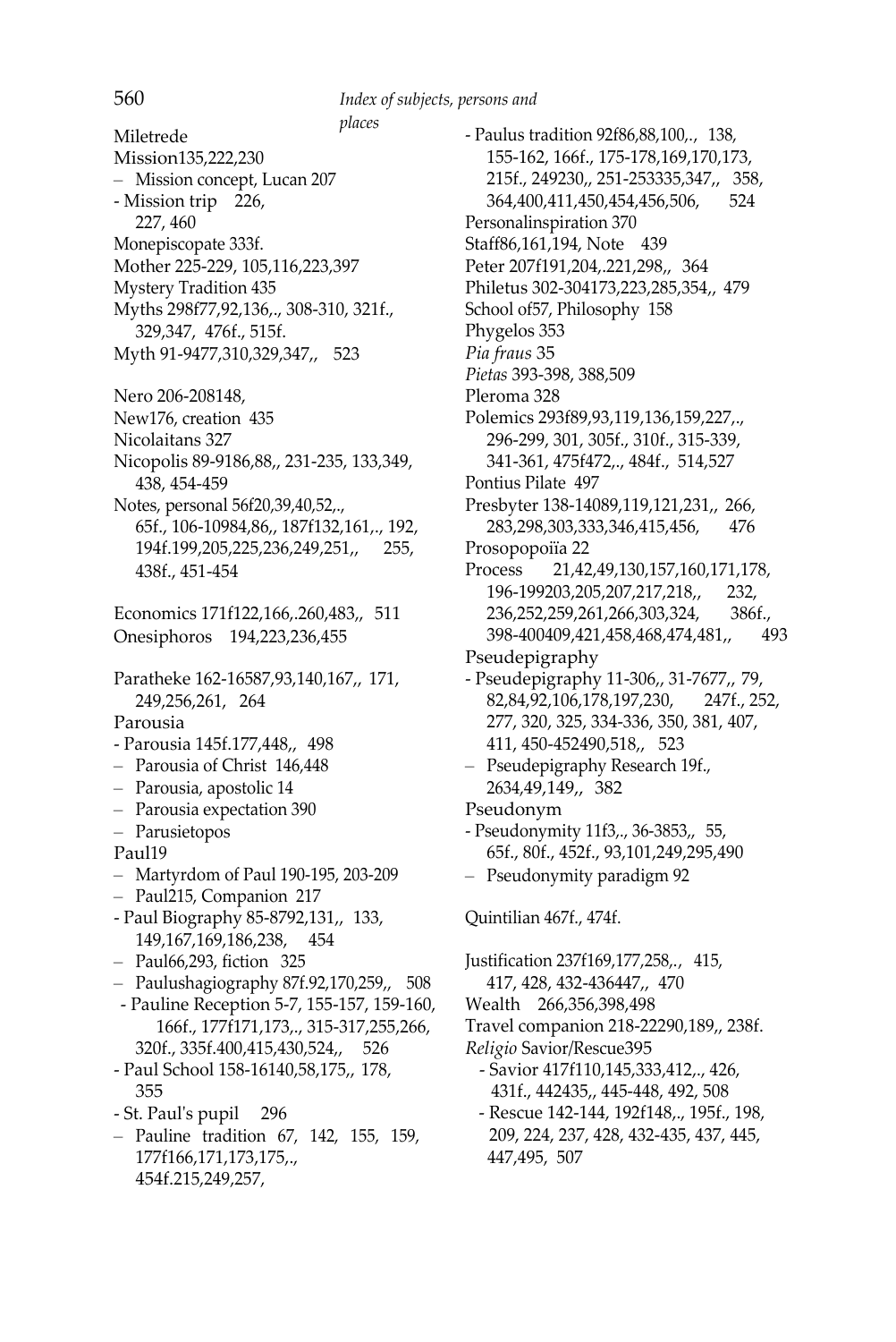*places* Miletrede Mission135,222,230 – Mission concept, Lucan 207 - Mission trip 226, 227, 460 Monepiscopate 333f. Mother 225-229, 105,116,223,397 Mystery Tradition 435 Myths 298f77,92,136,., 308-310, 321f., 329,347, 476f., 515f. Myth 91-9477,310,329,347,, 523 Nero 206-208148, New176, creation 435 Nicolaitans 327 Nicopolis 89-9186,88,, 231-235, 133,349, 438, 454-459 Notes, personal 56f20,39,40,52,., 65f., 106-10984,86,, 187f132,161,., 192, 194f.199,205,225,236,249,251,, 255, 438f., 451-454 Economics 171f122,166,.260,483,, 511 Onesiphoros 194,223,236,455 Paratheke 162-16587,93,140,167,, 171, 249,256,261, 264 Parousia - Parousia 145f.177,448,, 498 – Parousia of Christ 146,448 – Parousia, apostolic 14 – Parousia expectation 390 – Parusietopos Paul19 – Martyrdom of Paul 190-195, 203-209 – Paul215, Companion 217 - Paul Biography 85-8792,131,, 133, 149,167,169,186,238, 454 – Paul66,293, fiction 325 – Paulushagiography 87f.92,170,259,, 508 - Pauline Reception 5-7, 155-157, 159-160, 166f., 177f171,173,., 315-317,255,266, 320f., 335f.400,415,430,524,, 526 - Paul School 158-16140,58,175,, 178, 355 - St. Paul's pupil 296 – Pauline tradition 67, 142, 155, 159, 177f166,171,173,175,., 454f.215,249,257,

- Paulus tradition 92f86,88,100,., 138, 155-162, 166f., 175-178,169,170,173, 215f., 249230,, 251-253335,347,, 358, 364,400,411,450,454,456,506, 524 Personalinspiration 370 Staff86,161,194, Note 439 Peter 207f191,204,.221,298,, 364 Philetus 302-304173,223,285,354,, 479 School of57, Philosophy 158 Phygelos 353 *Pia fraus* 35 *Pietas* 393-398, 388,509 Pleroma 328 Polemics 293f89,93,119,136,159,227,., 296-299, 301, 305f., 310f., 315-339, 341-361, 475f472,., 484f., 514,527 Pontius Pilate 497 Presbyter 138-14089,119,121,231,, 266, 283,298,303,333,346,415,456, 476 Prosopopoiïa 22 Process 21,42,49,130,157,160,171,178, 196-199203,205,207,217,218,, 232, 236,252,259,261,266,303,324, 386f., 398-400409,421,458,468,474,481,, 493 Pseudepigraphy - Pseudepigraphy 11-306,, 31-7677,, 79, 82,84,92,106,178,197,230, 247f., 252, 277, 320, 325, 334-336, 350, 381, 407, 411, 450-452490,518,, 523 – Pseudepigraphy Research 19f., 2634,49,149,, 382 Pseudonym - Pseudonymity 11f3,., 36-3853,, 55, 65f., 80f., 452f., 93,101,249,295,490 – Pseudonymity paradigm 92 Quintilian 467f., 474f. Justification 237f169,177,258,., 415, 417, 428, 432-436447,, 470 Wealth 266,356,398,498 Travel companion 218-22290,189,, 238f. *Religio* Savior/Rescue395 - Savior 417f110,145,333,412,., 426, 431f., 442435,, 445-448, 492, 508 - Rescue 142-144, 192f148,., 195f., 198, 209, 224, 237, 428, 432-435, 437, 445, 447,495, 507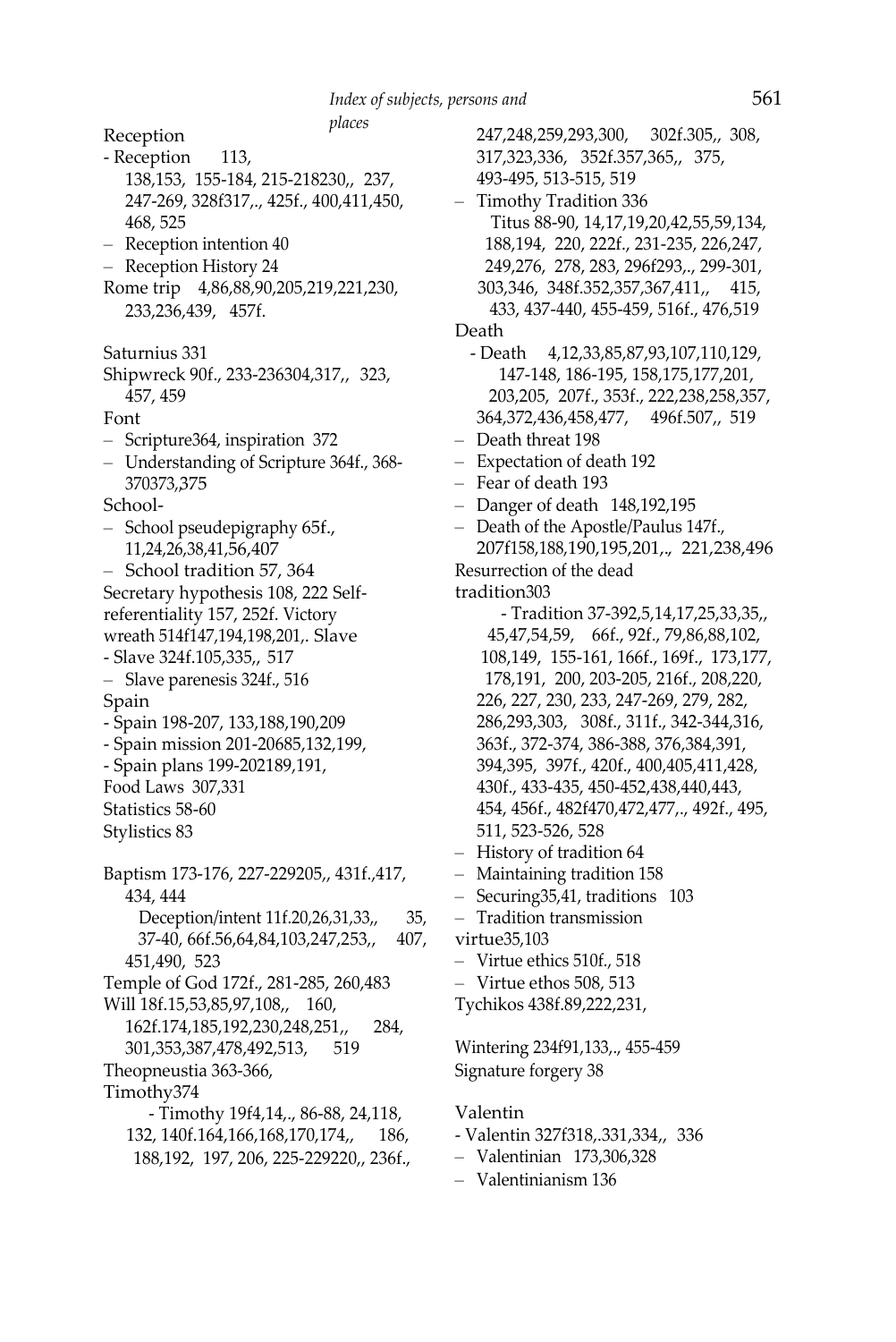*places* Reception - Reception 113, 138,153, 155-184, 215-218230,, 237, 247-269, 328f317,., 425f., 400,411,450, 468, 525 – Reception intention 40 – Reception History 24 Rome trip 4,86,88,90,205,219,221,230, 233,236,439, 457f. Saturnius 331 Shipwreck 90f., 233-236304,317,, 323, 457, 459 Font – Scripture364, inspiration 372 – Understanding of Scripture 364f., 368- 370373,, 375 School- – School pseudepigraphy 65f., 11,24,26,38,41,56,407 – School tradition 57, 364 Secretary hypothesis 108, 222 Selfreferentiality 157, 252f. Victory wreath 514f147,194,198,201,. Slave - Slave 324f.105,335,, 517 – Slave parenesis 324f., 516 Spain - Spain 198-207, 133,188,190,209 - Spain mission 201-20685,132,199, - Spain plans 199-202189,191, Food Laws 307,331 Statistics 58-60 Stylistics 83 Baptism 173-176, 227-229205,, 431f.,417, 434, 444 Deception/intent 11f.20,26,31,33,, 35, 37-40, 66f.56,64,84,103,247,253,, 407, 451,490, 523 Temple of God 172f., 281-285, 260,483 Will 18f.15,53,85,97,108,, 160, 162f.174,185,192,230,248,251,, 284, 301,353,387,478,492,513, 519 Theopneustia 363-366, Timothy374 - Timothy 19f4,14,., 86-88, 24,118, 132, 140f.164,166,168,170,174,, 186, 188,192, 197, 206, 225-229220,, 236f.,

247,248,259,293,300, 302f.305,, 308, 317,323,336, 352f.357,365,, 375, 493-495, 513-515, 519 – Timothy Tradition 336 Titus 88-90, 14,17,19,20,42,55,59,134, 188,194, 220, 222f., 231-235, 226,247, 249,276, 278, 283, 296f293,., 299-301, 303,346, 348f.352,357,367,411,, 415, 433, 437-440, 455-459, 516f., 476,519 Death - Death 4,12,33,85,87,93,107,110,129, 147-148, 186-195, 158,175,177,201, 203,205, 207f., 353f., 222,238,258,357, 364,372,436,458,477, 496f.507,, 519 – Death threat 198 – Expectation of death 192 – Fear of death 193 – Danger of death 148,192,195 – Death of the Apostle/Paulus 147f., 207f158,188,190,195,201,., 221,238,496 Resurrection of the dead tradition303 - Tradition 37-392,5,14,17,25,33,35,, 45,47,54,59, 66f., 92f., 79,86,88,102, 108,149, 155-161, 166f., 169f., 173,177, 178,191, 200, 203-205, 216f., 208,220, 226, 227, 230, 233, 247-269, 279, 282, 286,293,303, 308f., 311f., 342-344,316, 363f., 372-374, 386-388, 376,384,391, 394,395, 397f., 420f., 400,405,411,428, 430f., 433-435, 450-452,438,440,443, 454, 456f., 482f470,472,477,., 492f., 495, 511, 523-526, 528 – History of tradition 64 – Maintaining tradition 158 – Securing35,41, traditions 103 – Tradition transmission virtue35,103 – Virtue ethics 510f., 518 – Virtue ethos 508, 513 Tychikos 438f.89,222,231, Wintering 234f91,133,., 455-459 Signature forgery 38 Valentin - Valentin 327f318,.331,334,, 336 – Valentinian 173,306,328

– Valentinianism 136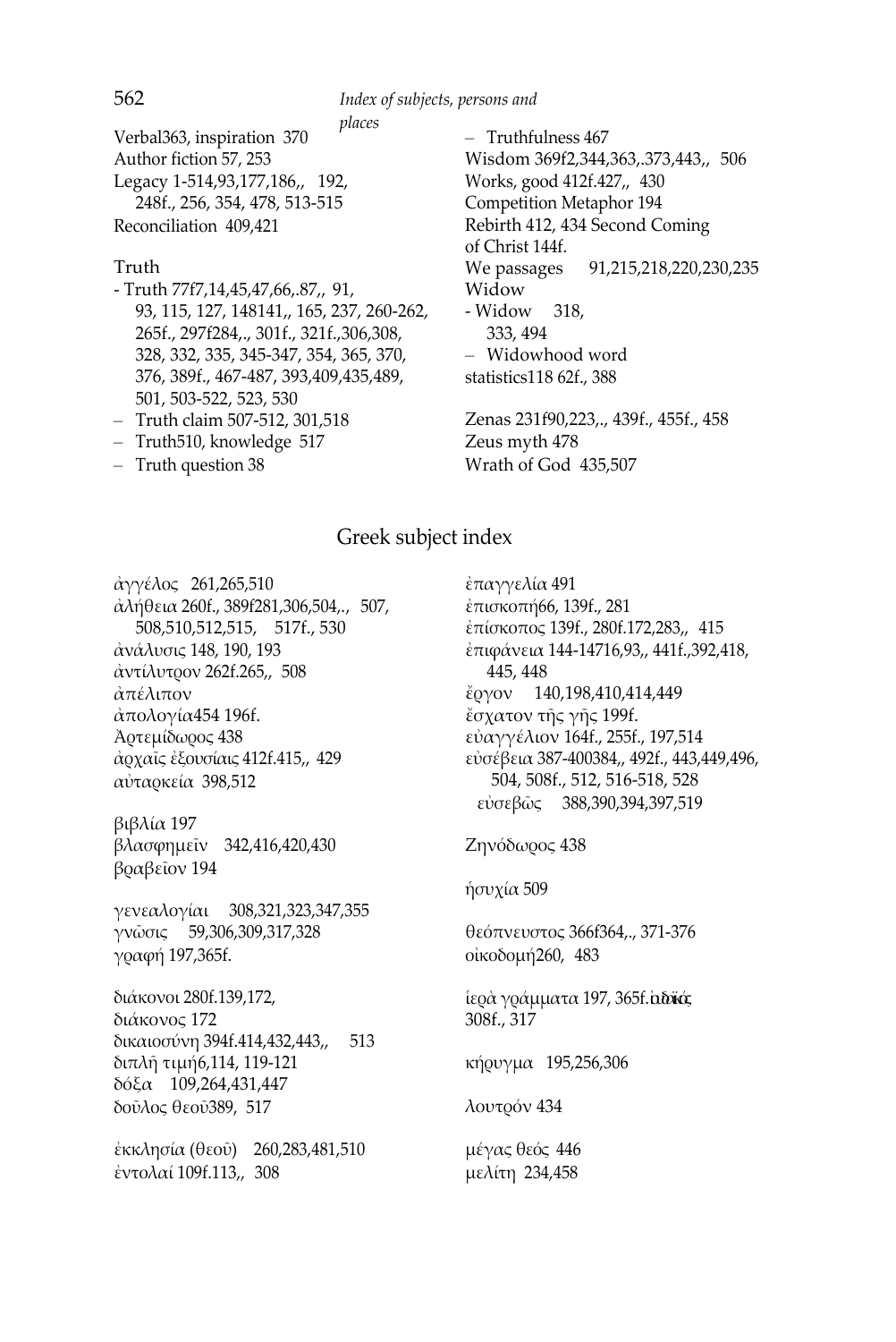*places* Verbal363, inspiration 370 Author fiction 57, 253 Legacy 1-514,93,177,186,, 192, 248f., 256, 354, 478, 513-515 Reconciliation 409,421

#### Truth

- Truth 77f7,14,45,47,66,.87,, 91, 93, 115, 127, 148141,, 165, 237, 260-262, 265f., 297f284,., 301f., 321f.,306,308, 328, 332, 335, 345-347, 354, 365, 370, 376, 389f., 467-487, 393,409,435,489, 501, 503-522, 523, 530
- Truth claim 507-512, 301,518
- Truth510, knowledge 517
- Truth question 38

– Truthfulness 467 Wisdom 369f2,344,363,.373,443,, 506 Works, good 412f.427,, 430 Competition Metaphor 194 Rebirth 412, 434 Second Coming of Christ 144f. We passages 91,215,218,220,230,235 Widow - Widow 318, 333, 494 – Widowhood word statistics118 62f., 388

Zenas 231f90,223,., 439f., 455f., 458 Zeus myth 478 Wrath of God 435,507

#### Greek subject index

ἀγγέλος 261,265,510 ἀλήθεια 260f., 389f281,306,504,., 507, 508,510,512,515, 517f., 530 ἀνάλυσις 148, 190, 193 ἀντίλυτρον 262f.265,, 508 ἀπέλιπον ἀπολογία454 196f. Ἀρτεμίδωρος 438 ἀρχαῖς ἐξουσίαις 412f.415,, 429 αὐταρκεία 398,512

βιβλία 197 βλασφημεῖν 342,416,420,430 βραβεῖον 194

γενεαλογίαι 308,321,323,347,355 γνῶσις 59,306,309,317,328 γραφή 197,365f.

διάκονοι 280f.139,172, διάκονος 172 δικαιοσύνη 394f.414,432,443,, 513 διπλῆ τιμή6,114, 119-121 δόξα 109,264,431,447 δοῦλος θεοῦ389, 517

ἐκκλησία (θεοῦ) 260,283,481,510 ἐντολαί 109f.113,, 308

ἐπαγγελία 491 ἐπισκοπή66, 139f., 281 ἐπίσκοπος 139f., 280f.172,283,, 415 ἐπιφάνεια 144-14716,93,, 441f.,392,418, 445, 448 ἔργον 140,198,410,414,449 ἔσχατον τῆς γῆς 199f. εὐαγγέλιον 164f., 255f., 197,514 εὐσέβεια 387-400384,, 492f., 443,449,496, 504, 508f., 512, 516-518, 528 εὐσεβῶς 388,390,394,397,519 Ζηνόδωρος 438 ἡσυχία 509 θεόπνευστος 366f364,., 371-376 οἰκοδομή260, 483

ίερὰ γράμματα 197, 365f. αδοϊκός 308f., 317

κήρυγμα 195,256,306

λουτρόν 434

μέγας θεός 446 μελίτη 234,458